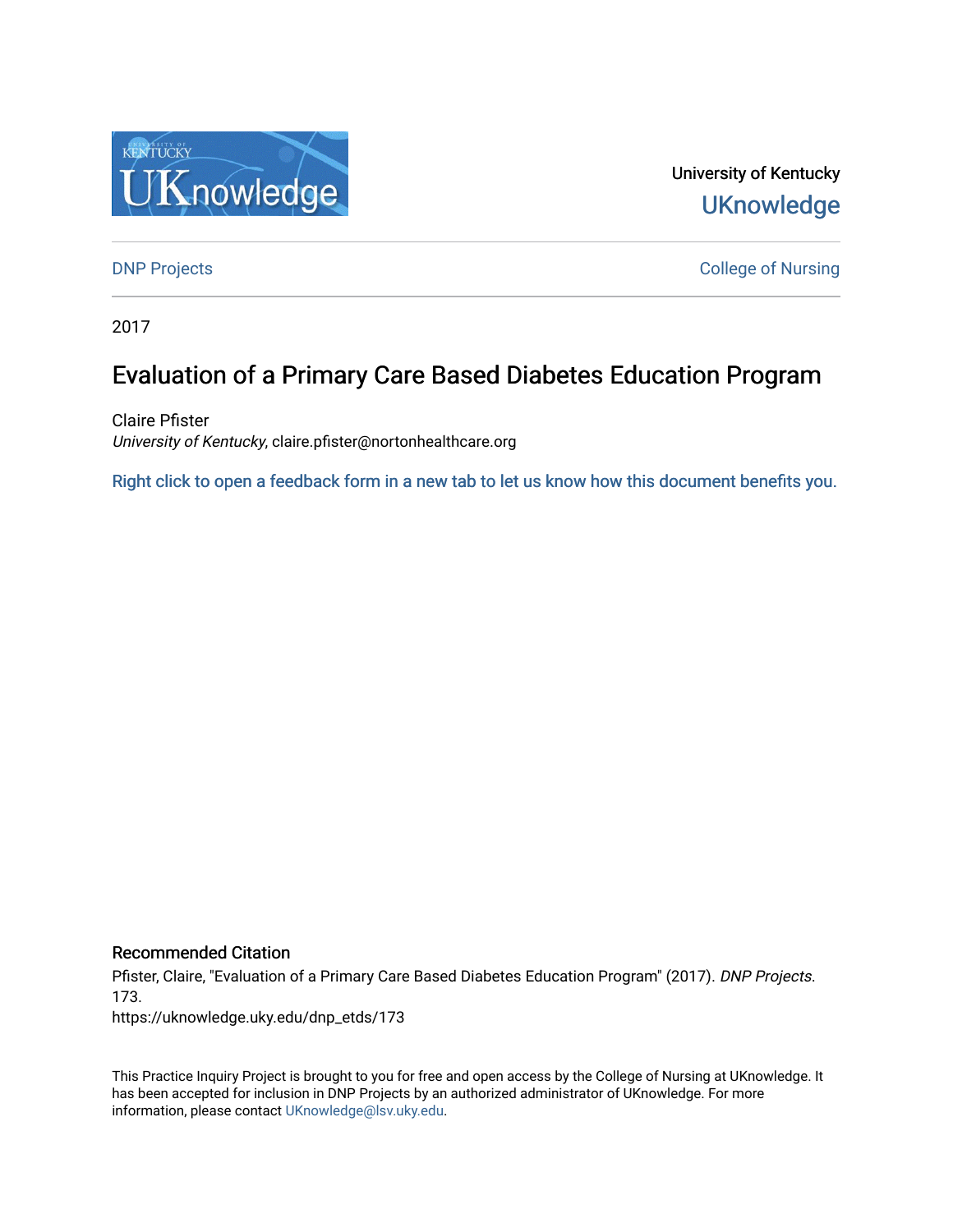

University of Kentucky **UKnowledge** 

[DNP Projects](https://uknowledge.uky.edu/dnp_etds) **College of Nursing** 

2017

# Evaluation of a Primary Care Based Diabetes Education Program

Claire Pfister University of Kentucky, claire.pfister@nortonhealthcare.org

[Right click to open a feedback form in a new tab to let us know how this document benefits you.](https://uky.az1.qualtrics.com/jfe/form/SV_9mq8fx2GnONRfz7)

#### Recommended Citation

Pfister, Claire, "Evaluation of a Primary Care Based Diabetes Education Program" (2017). DNP Projects. 173.

https://uknowledge.uky.edu/dnp\_etds/173

This Practice Inquiry Project is brought to you for free and open access by the College of Nursing at UKnowledge. It has been accepted for inclusion in DNP Projects by an authorized administrator of UKnowledge. For more information, please contact [UKnowledge@lsv.uky.edu](mailto:UKnowledge@lsv.uky.edu).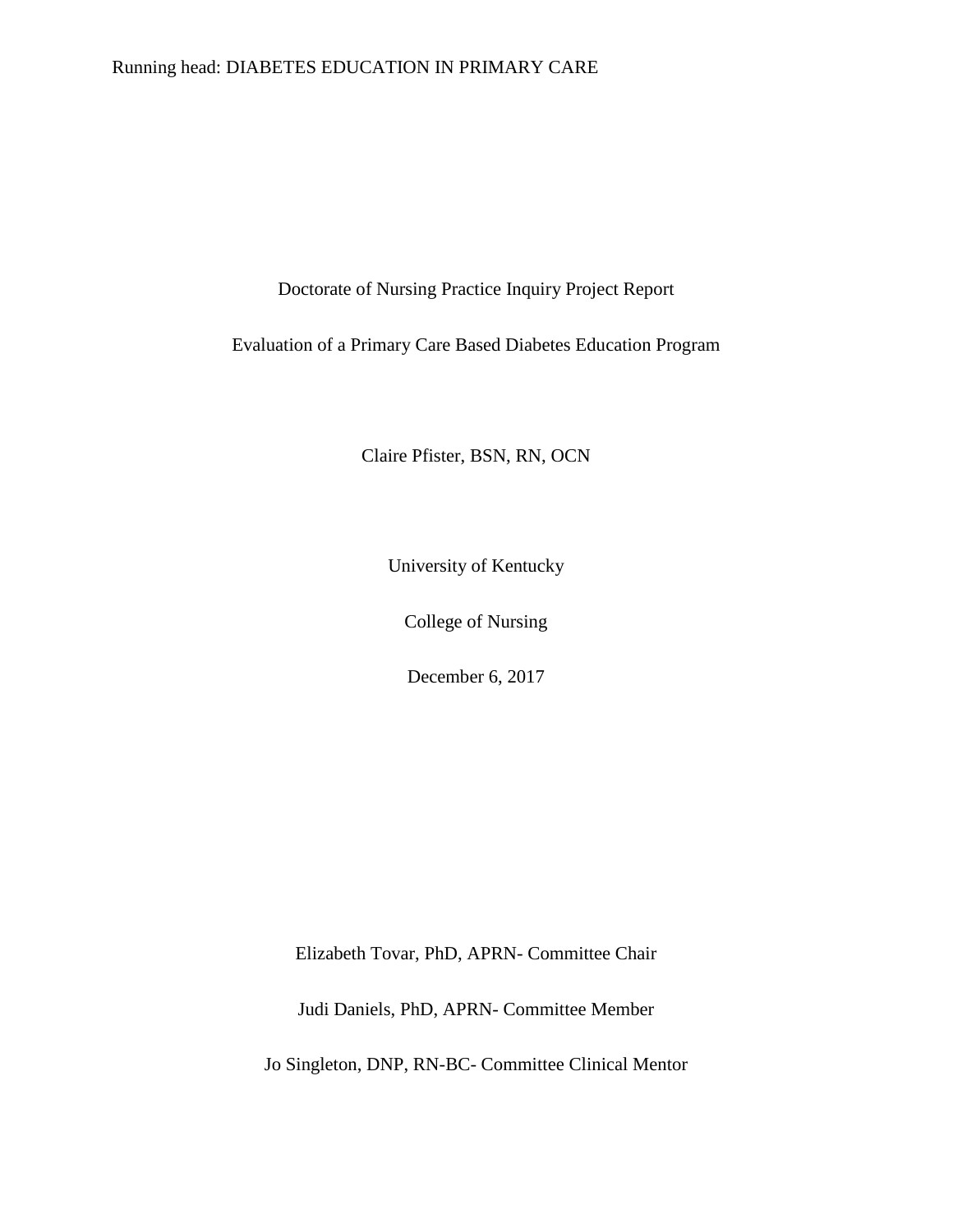### Running head: DIABETES EDUCATION IN PRIMARY CARE

Doctorate of Nursing Practice Inquiry Project Report

Evaluation of a Primary Care Based Diabetes Education Program

Claire Pfister, BSN, RN, OCN

University of Kentucky

College of Nursing

December 6, 2017

Elizabeth Tovar, PhD, APRN- Committee Chair

Judi Daniels, PhD, APRN- Committee Member

Jo Singleton, DNP, RN-BC- Committee Clinical Mentor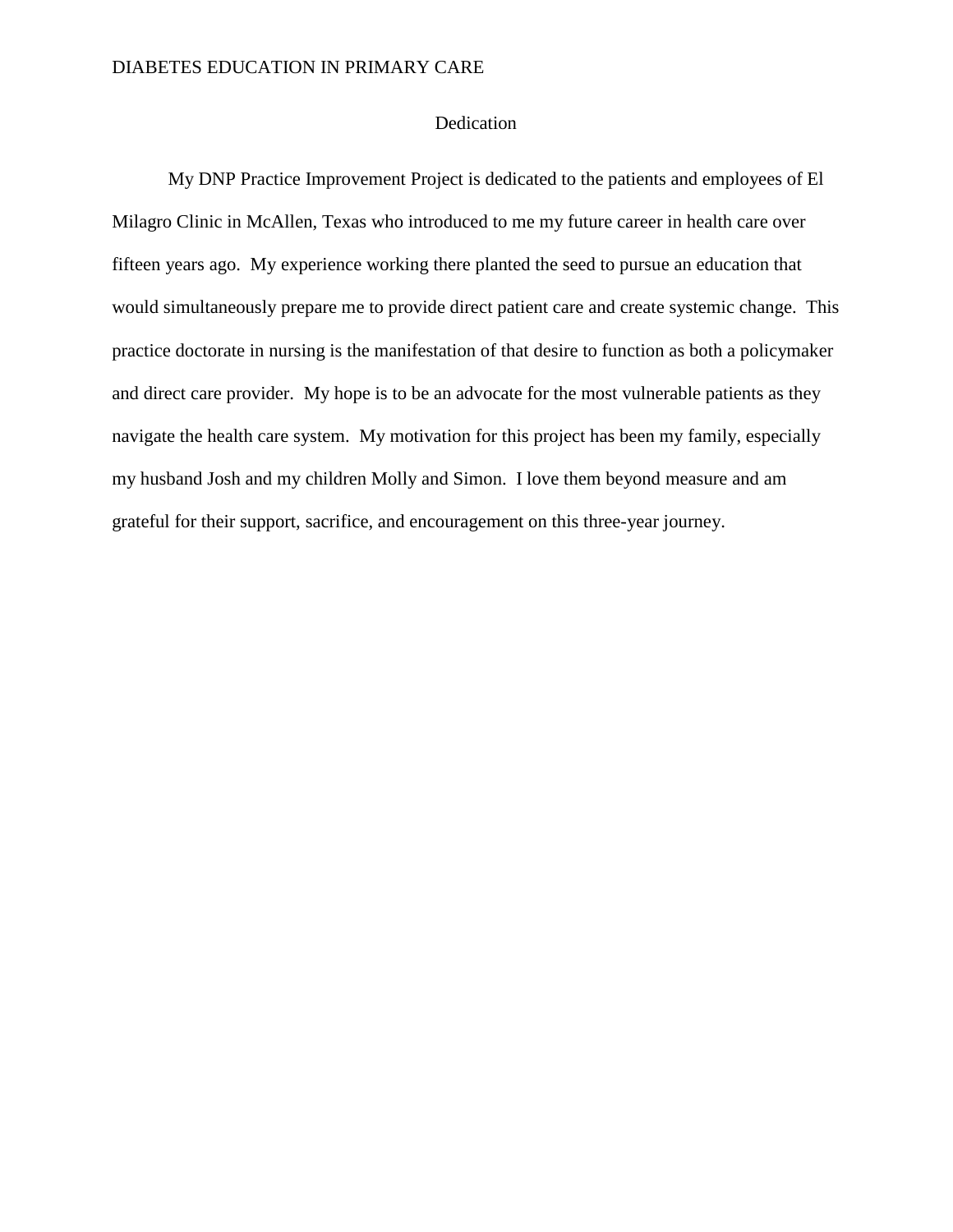### Dedication

My DNP Practice Improvement Project is dedicated to the patients and employees of El Milagro Clinic in McAllen, Texas who introduced to me my future career in health care over fifteen years ago. My experience working there planted the seed to pursue an education that would simultaneously prepare me to provide direct patient care and create systemic change. This practice doctorate in nursing is the manifestation of that desire to function as both a policymaker and direct care provider. My hope is to be an advocate for the most vulnerable patients as they navigate the health care system. My motivation for this project has been my family, especially my husband Josh and my children Molly and Simon. I love them beyond measure and am grateful for their support, sacrifice, and encouragement on this three-year journey.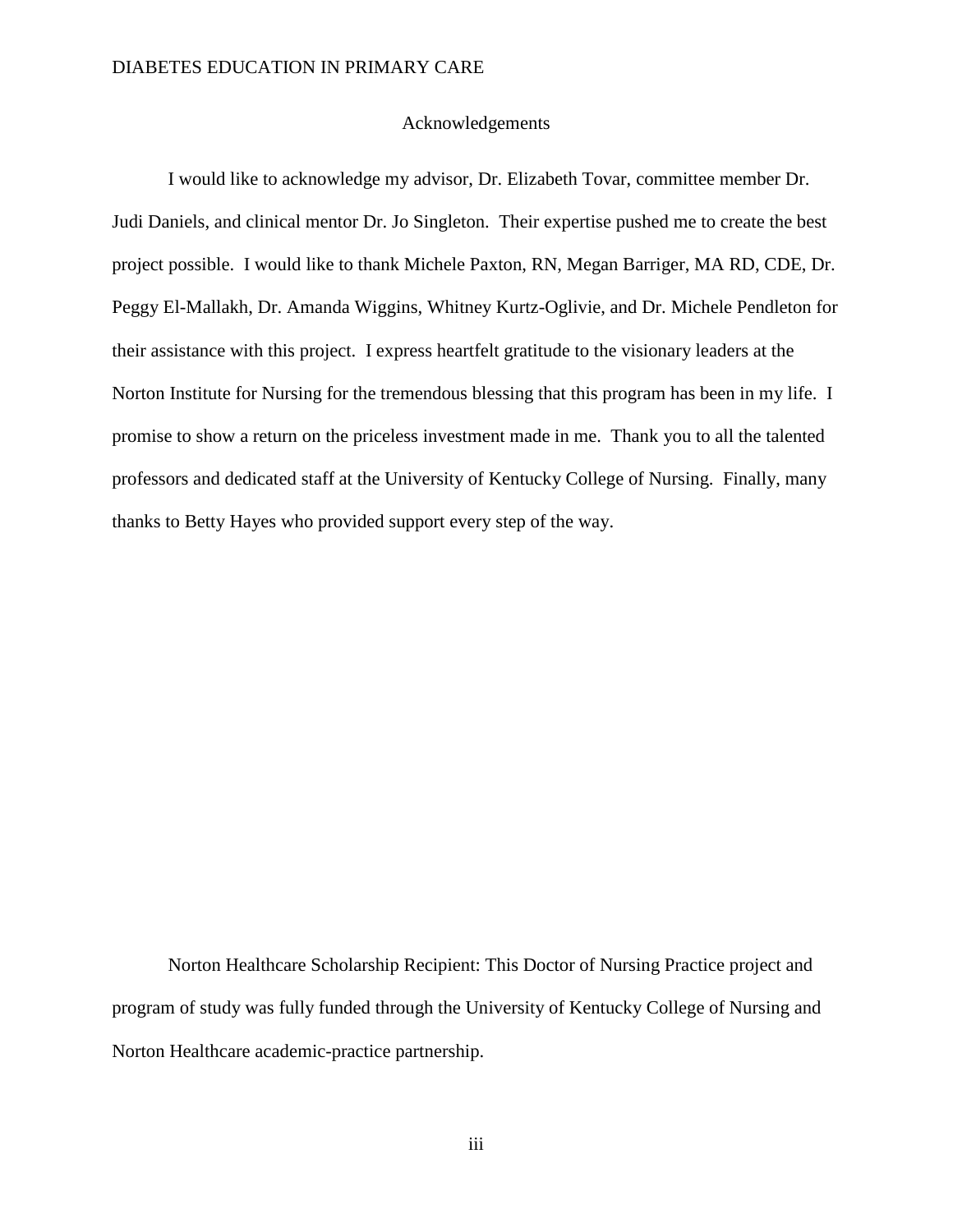#### Acknowledgements

I would like to acknowledge my advisor, Dr. Elizabeth Tovar, committee member Dr. Judi Daniels, and clinical mentor Dr. Jo Singleton. Their expertise pushed me to create the best project possible. I would like to thank Michele Paxton, RN, Megan Barriger, MA RD, CDE, Dr. Peggy El-Mallakh, Dr. Amanda Wiggins, Whitney Kurtz-Oglivie, and Dr. Michele Pendleton for their assistance with this project. I express heartfelt gratitude to the visionary leaders at the Norton Institute for Nursing for the tremendous blessing that this program has been in my life. I promise to show a return on the priceless investment made in me. Thank you to all the talented professors and dedicated staff at the University of Kentucky College of Nursing. Finally, many thanks to Betty Hayes who provided support every step of the way.

Norton Healthcare Scholarship Recipient: This Doctor of Nursing Practice project and program of study was fully funded through the University of Kentucky College of Nursing and Norton Healthcare academic-practice partnership.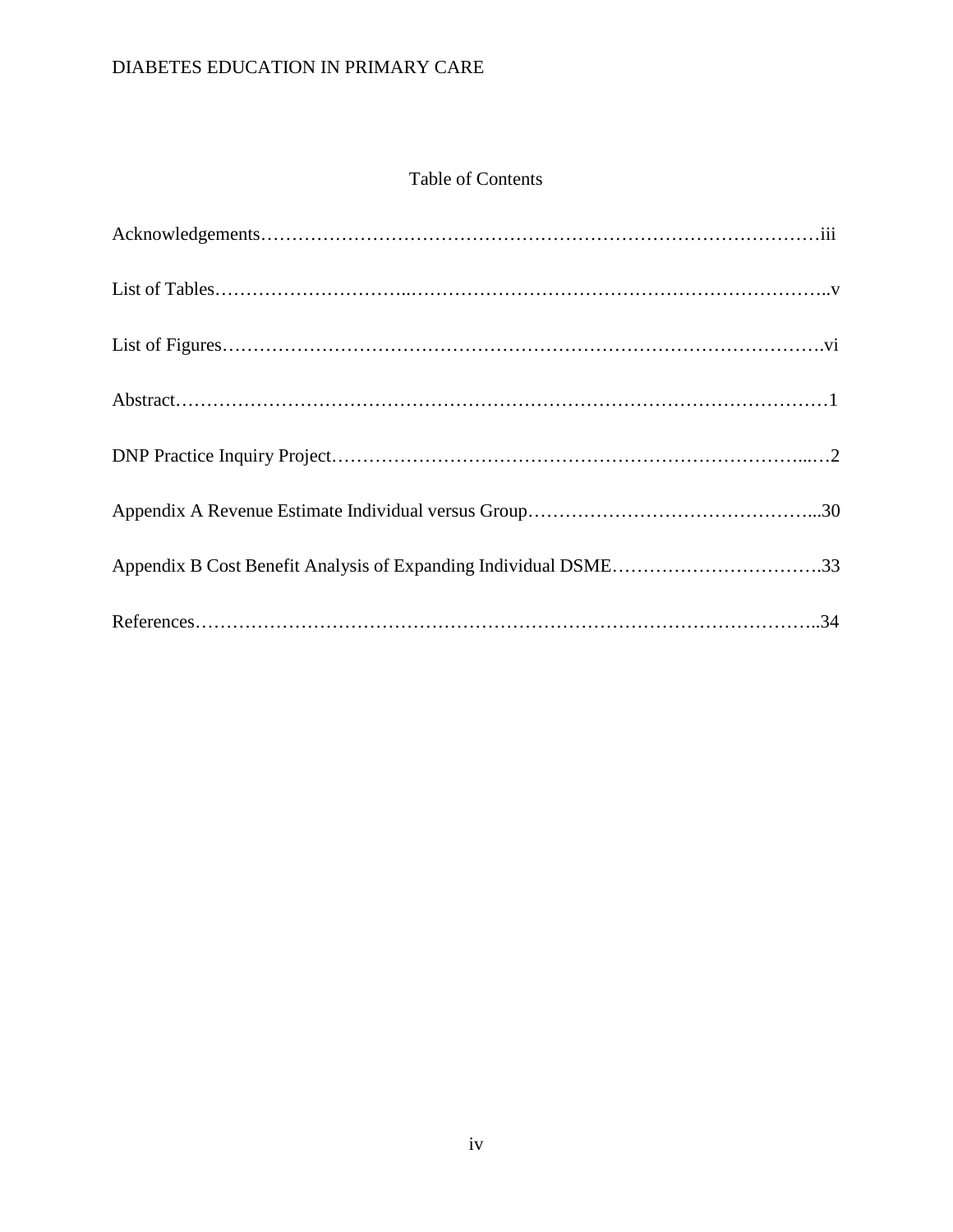### Table of Contents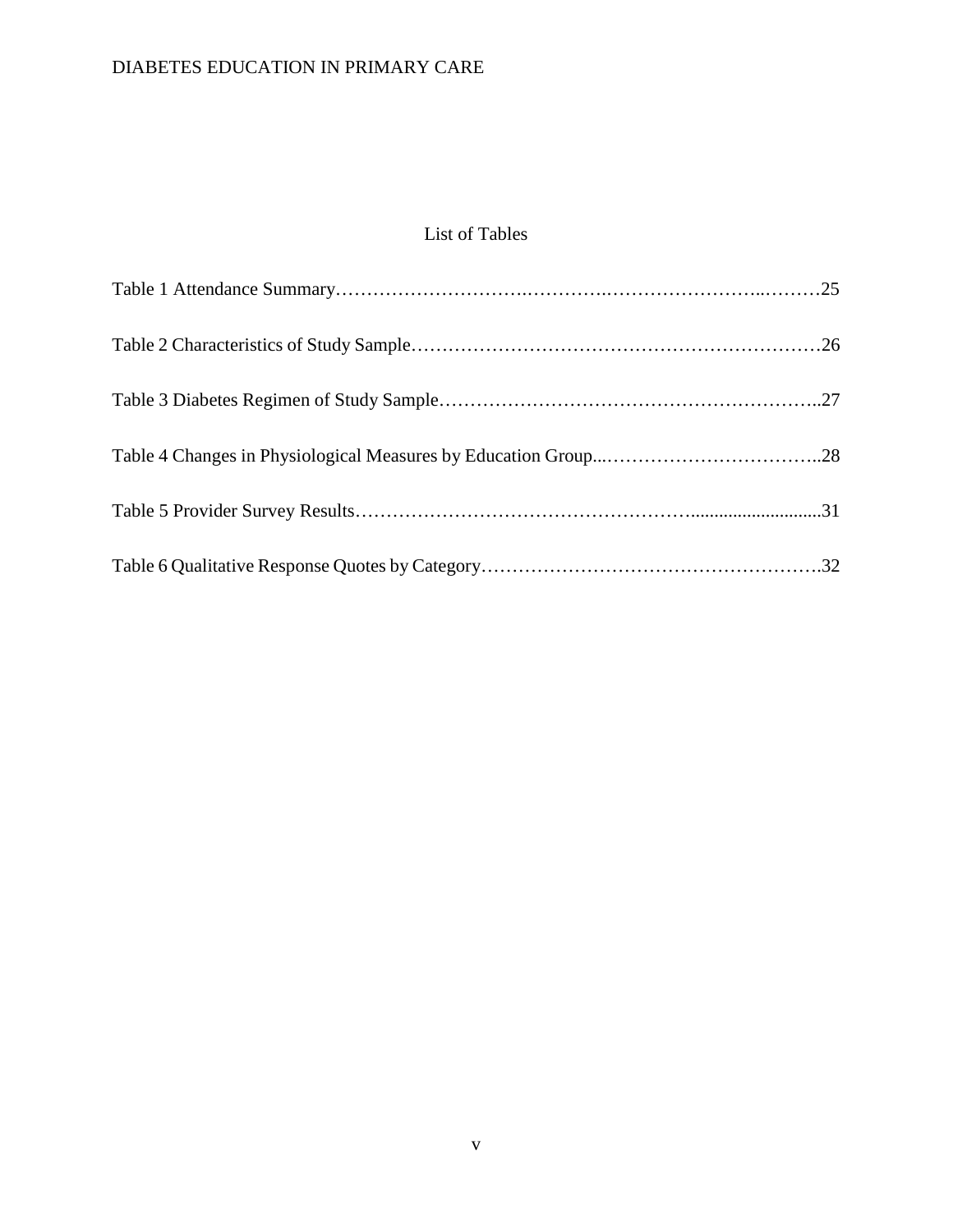### List of Tables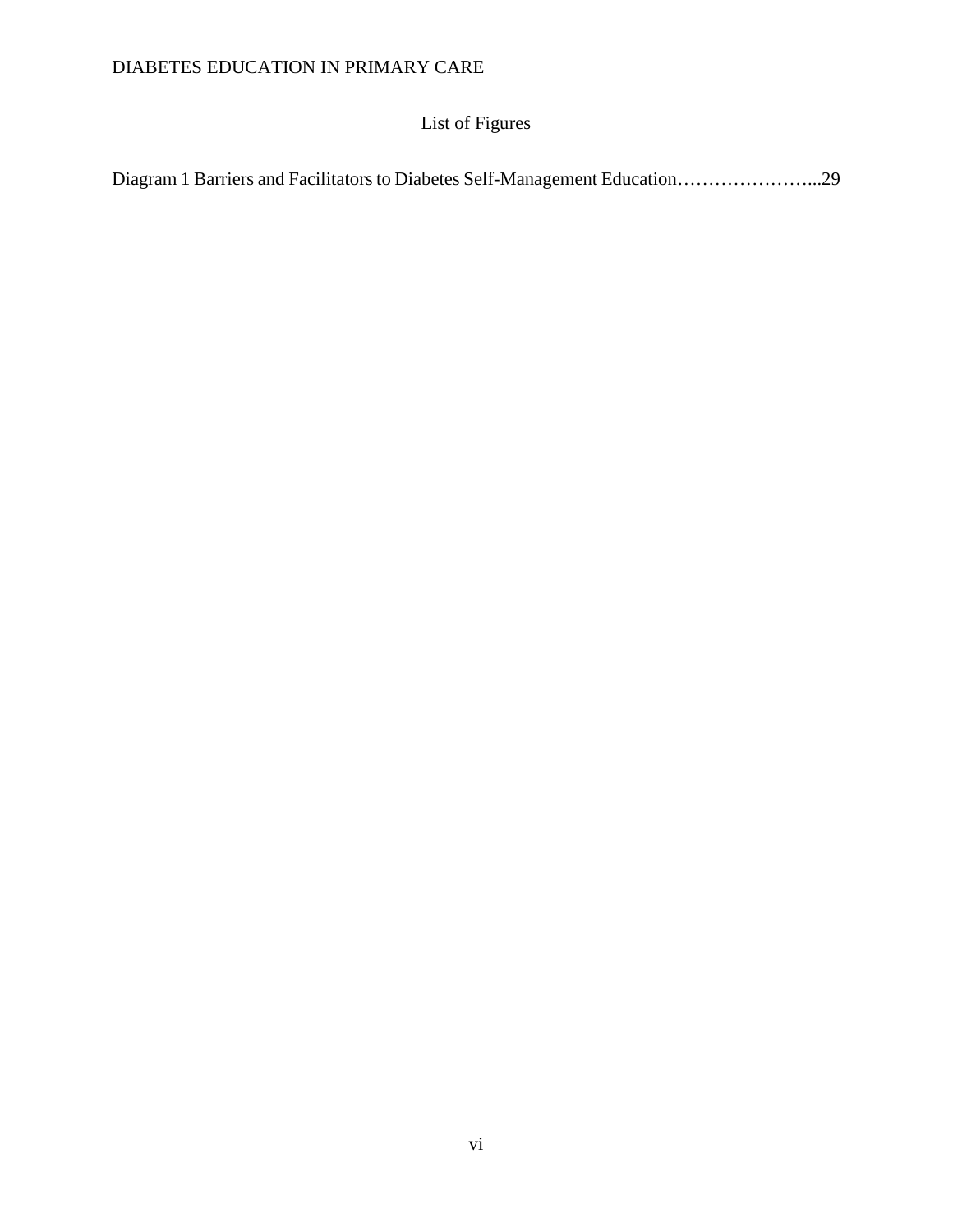# List of Figures

| Diagram 1 Barriers and Facilitators to Diabetes Self-Management Education29 |  |  |
|-----------------------------------------------------------------------------|--|--|
|                                                                             |  |  |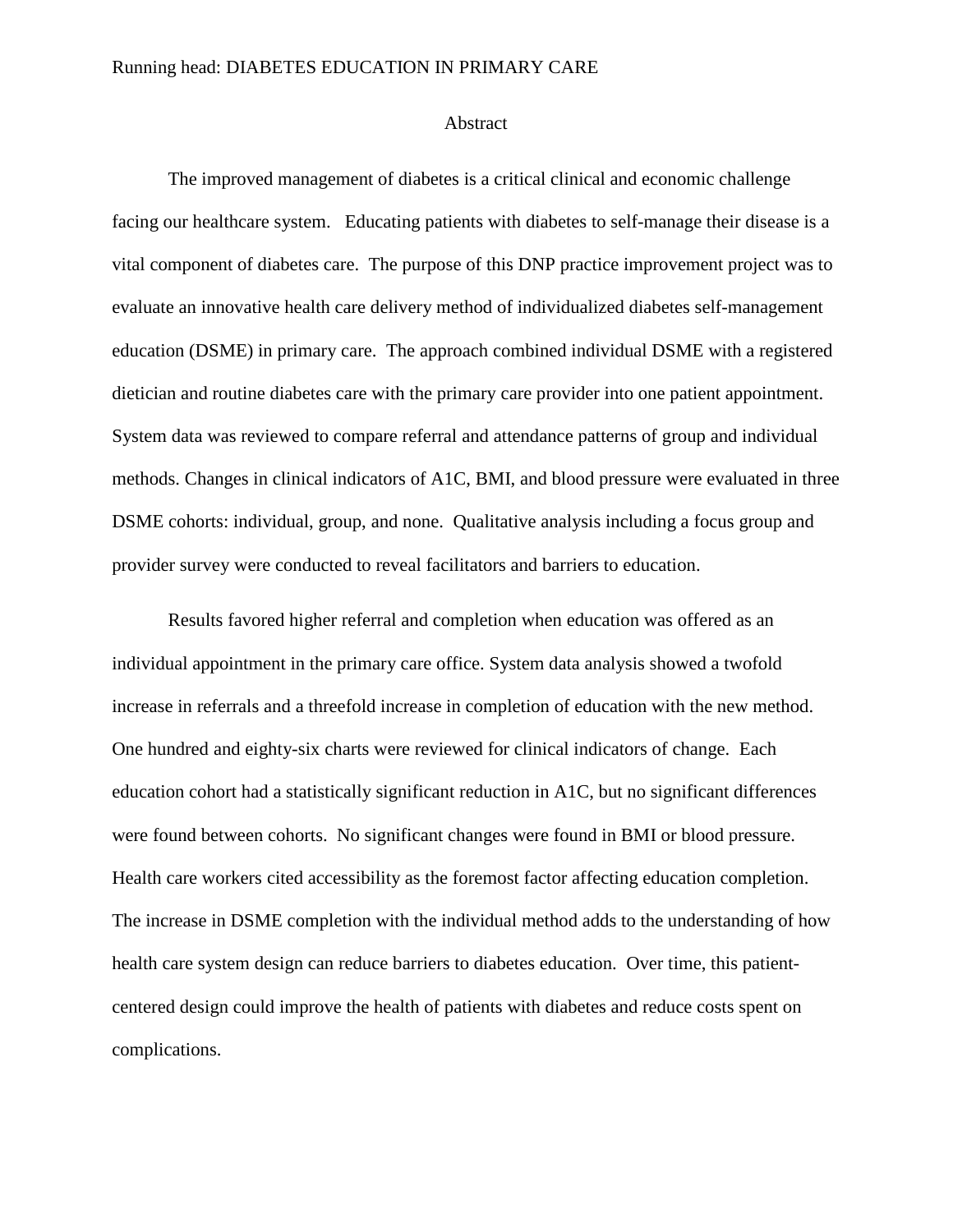#### Running head: DIABETES EDUCATION IN PRIMARY CARE

#### Abstract

The improved management of diabetes is a critical clinical and economic challenge facing our healthcare system. Educating patients with diabetes to self-manage their disease is a vital component of diabetes care. The purpose of this DNP practice improvement project was to evaluate an innovative health care delivery method of individualized diabetes self-management education (DSME) in primary care. The approach combined individual DSME with a registered dietician and routine diabetes care with the primary care provider into one patient appointment. System data was reviewed to compare referral and attendance patterns of group and individual methods. Changes in clinical indicators of A1C, BMI, and blood pressure were evaluated in three DSME cohorts: individual, group, and none. Qualitative analysis including a focus group and provider survey were conducted to reveal facilitators and barriers to education.

Results favored higher referral and completion when education was offered as an individual appointment in the primary care office. System data analysis showed a twofold increase in referrals and a threefold increase in completion of education with the new method. One hundred and eighty-six charts were reviewed for clinical indicators of change. Each education cohort had a statistically significant reduction in A1C, but no significant differences were found between cohorts. No significant changes were found in BMI or blood pressure. Health care workers cited accessibility as the foremost factor affecting education completion. The increase in DSME completion with the individual method adds to the understanding of how health care system design can reduce barriers to diabetes education. Over time, this patientcentered design could improve the health of patients with diabetes and reduce costs spent on complications.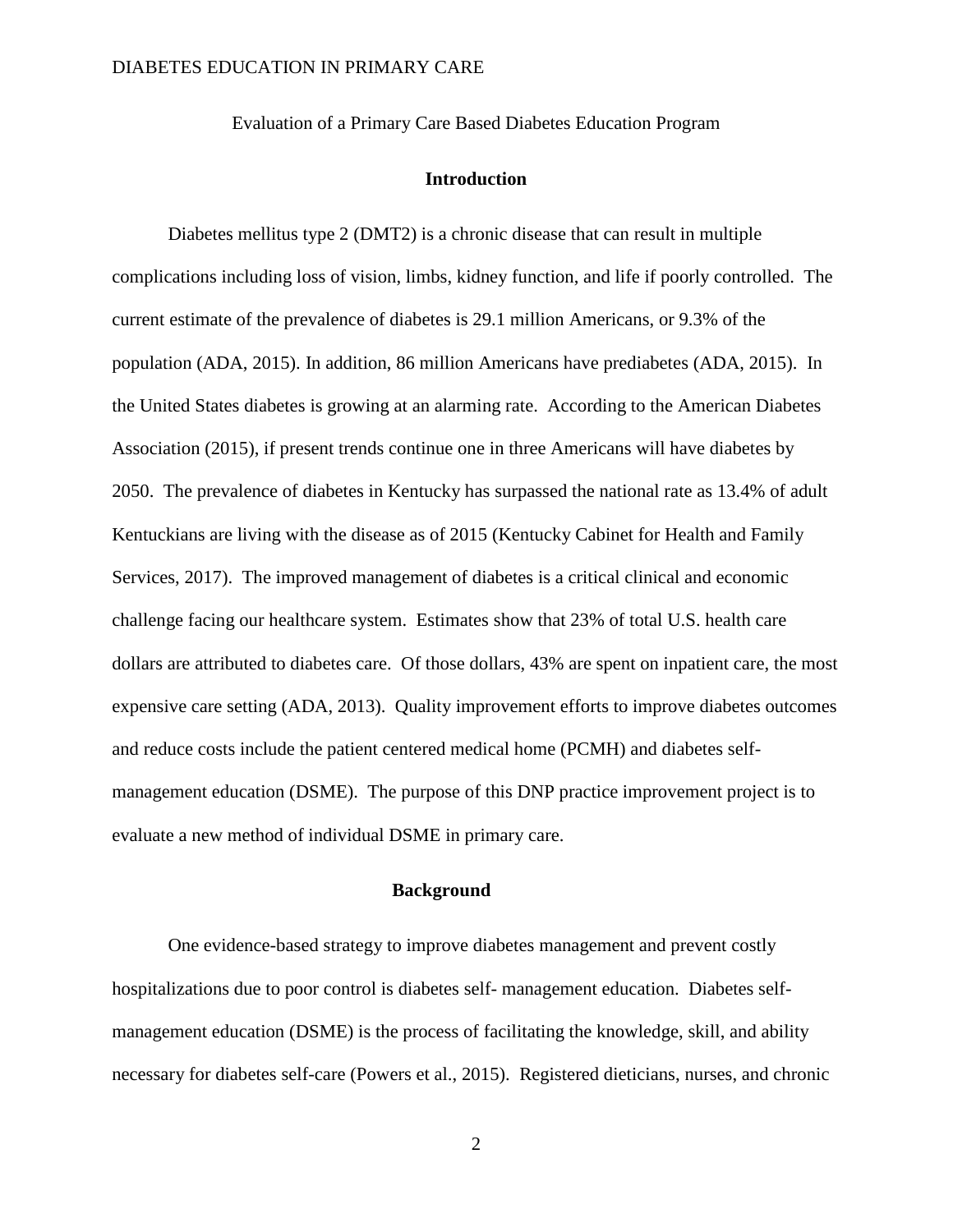Evaluation of a Primary Care Based Diabetes Education Program

#### **Introduction**

Diabetes mellitus type 2 (DMT2) is a chronic disease that can result in multiple complications including loss of vision, limbs, kidney function, and life if poorly controlled. The current estimate of the prevalence of diabetes is 29.1 million Americans, or 9.3% of the population (ADA, 2015). In addition, 86 million Americans have prediabetes (ADA, 2015). In the United States diabetes is growing at an alarming rate. According to the American Diabetes Association (2015), if present trends continue one in three Americans will have diabetes by 2050. The prevalence of diabetes in Kentucky has surpassed the national rate as 13.4% of adult Kentuckians are living with the disease as of 2015 (Kentucky Cabinet for Health and Family Services, 2017). The improved management of diabetes is a critical clinical and economic challenge facing our healthcare system. Estimates show that 23% of total U.S. health care dollars are attributed to diabetes care. Of those dollars, 43% are spent on inpatient care, the most expensive care setting (ADA, 2013). Quality improvement efforts to improve diabetes outcomes and reduce costs include the patient centered medical home (PCMH) and diabetes selfmanagement education (DSME). The purpose of this DNP practice improvement project is to evaluate a new method of individual DSME in primary care.

### **Background**

One evidence-based strategy to improve diabetes management and prevent costly hospitalizations due to poor control is diabetes self- management education. Diabetes selfmanagement education (DSME) is the process of facilitating the knowledge, skill, and ability necessary for diabetes self-care (Powers et al., 2015). Registered dieticians, nurses, and chronic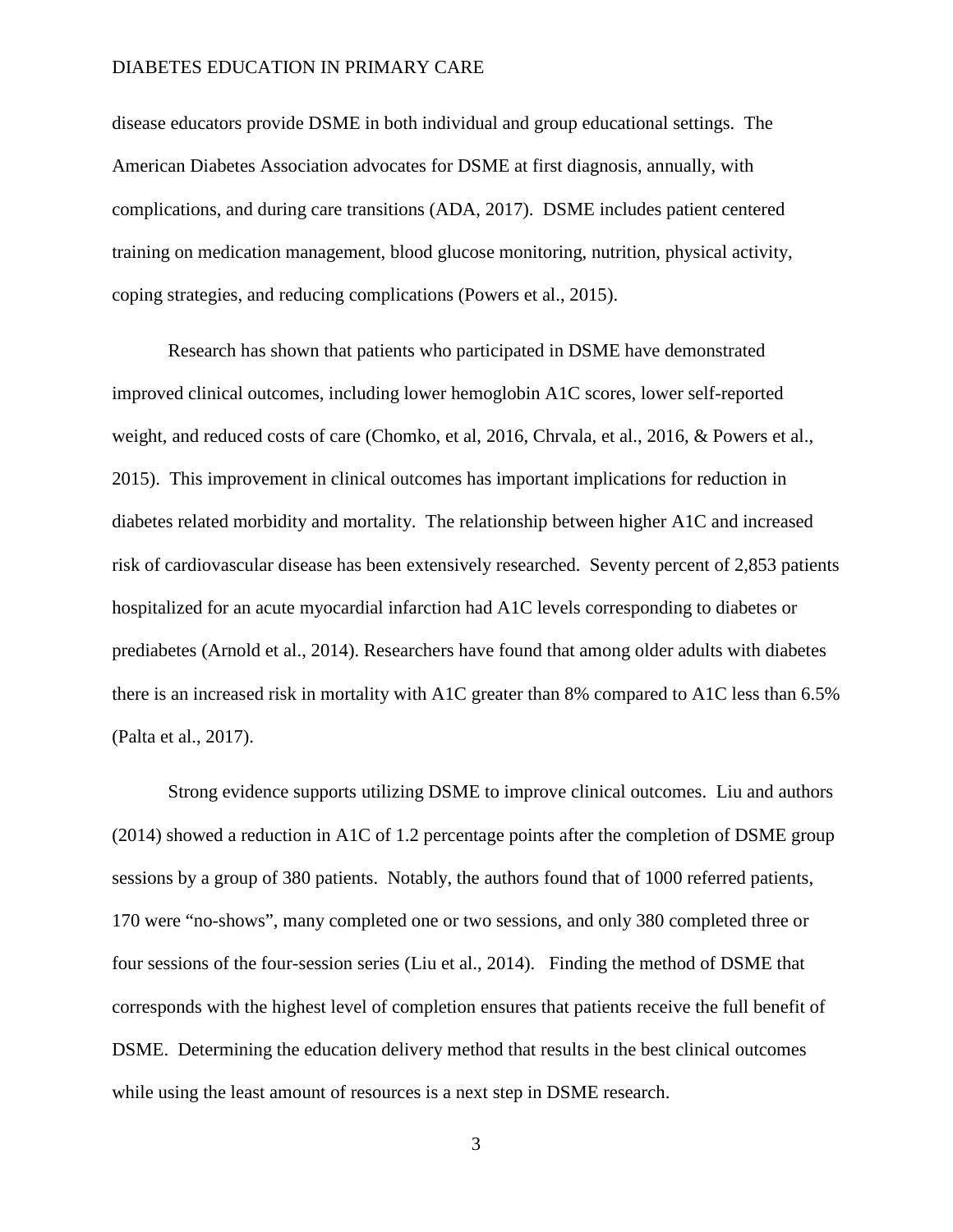disease educators provide DSME in both individual and group educational settings. The American Diabetes Association advocates for DSME at first diagnosis, annually, with complications, and during care transitions (ADA, 2017). DSME includes patient centered training on medication management, blood glucose monitoring, nutrition, physical activity, coping strategies, and reducing complications (Powers et al., 2015).

Research has shown that patients who participated in DSME have demonstrated improved clinical outcomes, including lower hemoglobin A1C scores, lower self-reported weight, and reduced costs of care (Chomko, et al, 2016, Chrvala, et al., 2016, & Powers et al., 2015). This improvement in clinical outcomes has important implications for reduction in diabetes related morbidity and mortality. The relationship between higher A1C and increased risk of cardiovascular disease has been extensively researched. Seventy percent of 2,853 patients hospitalized for an acute myocardial infarction had A1C levels corresponding to diabetes or prediabetes (Arnold et al., 2014). Researchers have found that among older adults with diabetes there is an increased risk in mortality with A1C greater than 8% compared to A1C less than 6.5% (Palta et al., 2017).

Strong evidence supports utilizing DSME to improve clinical outcomes. Liu and authors (2014) showed a reduction in A1C of 1.2 percentage points after the completion of DSME group sessions by a group of 380 patients. Notably, the authors found that of 1000 referred patients, 170 were "no-shows", many completed one or two sessions, and only 380 completed three or four sessions of the four-session series (Liu et al., 2014). Finding the method of DSME that corresponds with the highest level of completion ensures that patients receive the full benefit of DSME. Determining the education delivery method that results in the best clinical outcomes while using the least amount of resources is a next step in DSME research.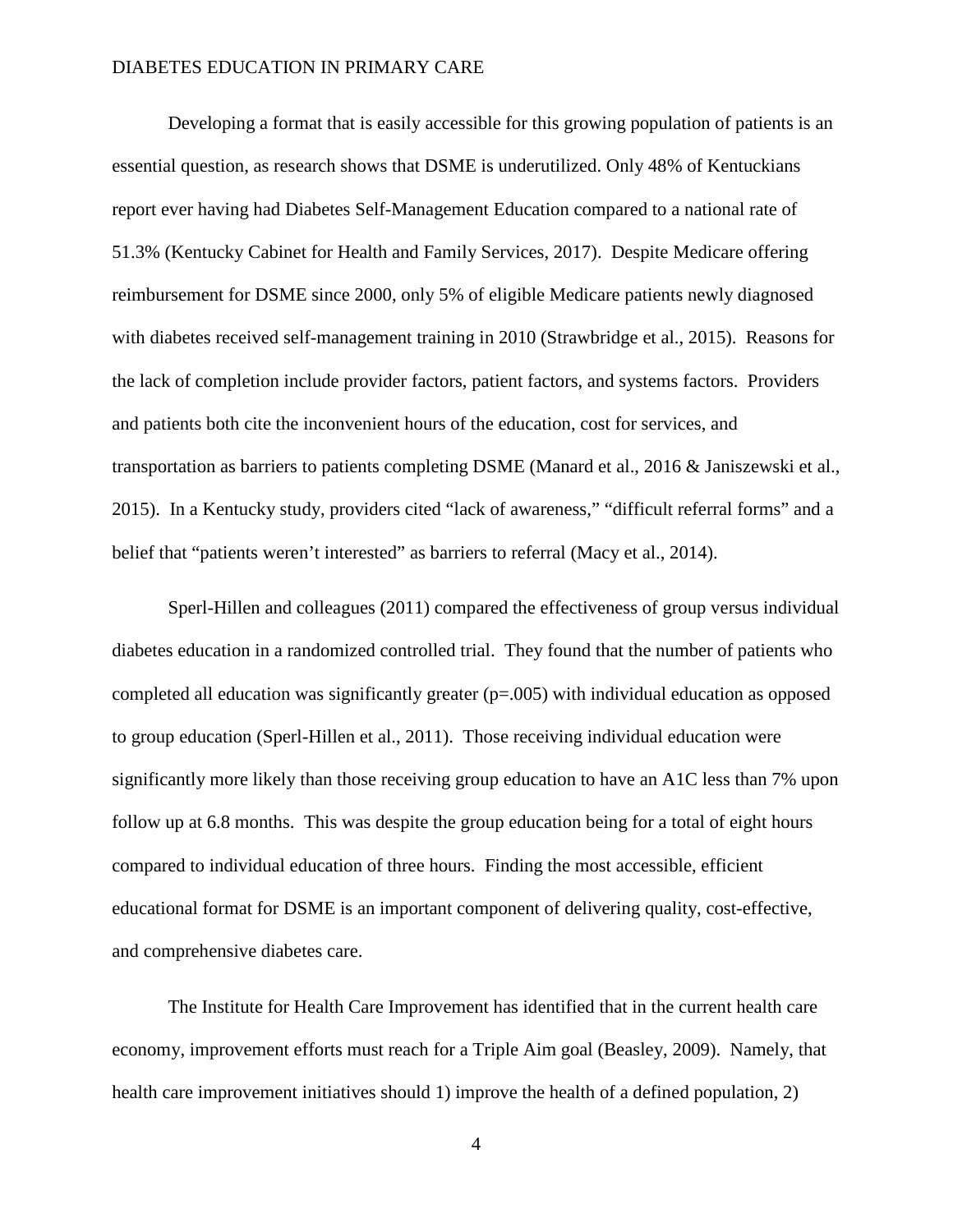Developing a format that is easily accessible for this growing population of patients is an essential question, as research shows that DSME is underutilized. Only 48% of Kentuckians report ever having had Diabetes Self-Management Education compared to a national rate of 51.3% (Kentucky Cabinet for Health and Family Services, 2017). Despite Medicare offering reimbursement for DSME since 2000, only 5% of eligible Medicare patients newly diagnosed with diabetes received self-management training in 2010 (Strawbridge et al., 2015). Reasons for the lack of completion include provider factors, patient factors, and systems factors. Providers and patients both cite the inconvenient hours of the education, cost for services, and transportation as barriers to patients completing DSME (Manard et al., 2016 & Janiszewski et al., 2015). In a Kentucky study, providers cited "lack of awareness," "difficult referral forms" and a belief that "patients weren't interested" as barriers to referral (Macy et al., 2014).

Sperl-Hillen and colleagues (2011) compared the effectiveness of group versus individual diabetes education in a randomized controlled trial. They found that the number of patients who completed all education was significantly greater  $(p=0.005)$  with individual education as opposed to group education (Sperl-Hillen et al., 2011). Those receiving individual education were significantly more likely than those receiving group education to have an A1C less than 7% upon follow up at 6.8 months. This was despite the group education being for a total of eight hours compared to individual education of three hours. Finding the most accessible, efficient educational format for DSME is an important component of delivering quality, cost-effective, and comprehensive diabetes care.

The Institute for Health Care Improvement has identified that in the current health care economy, improvement efforts must reach for a Triple Aim goal (Beasley, 2009). Namely, that health care improvement initiatives should 1) improve the health of a defined population, 2)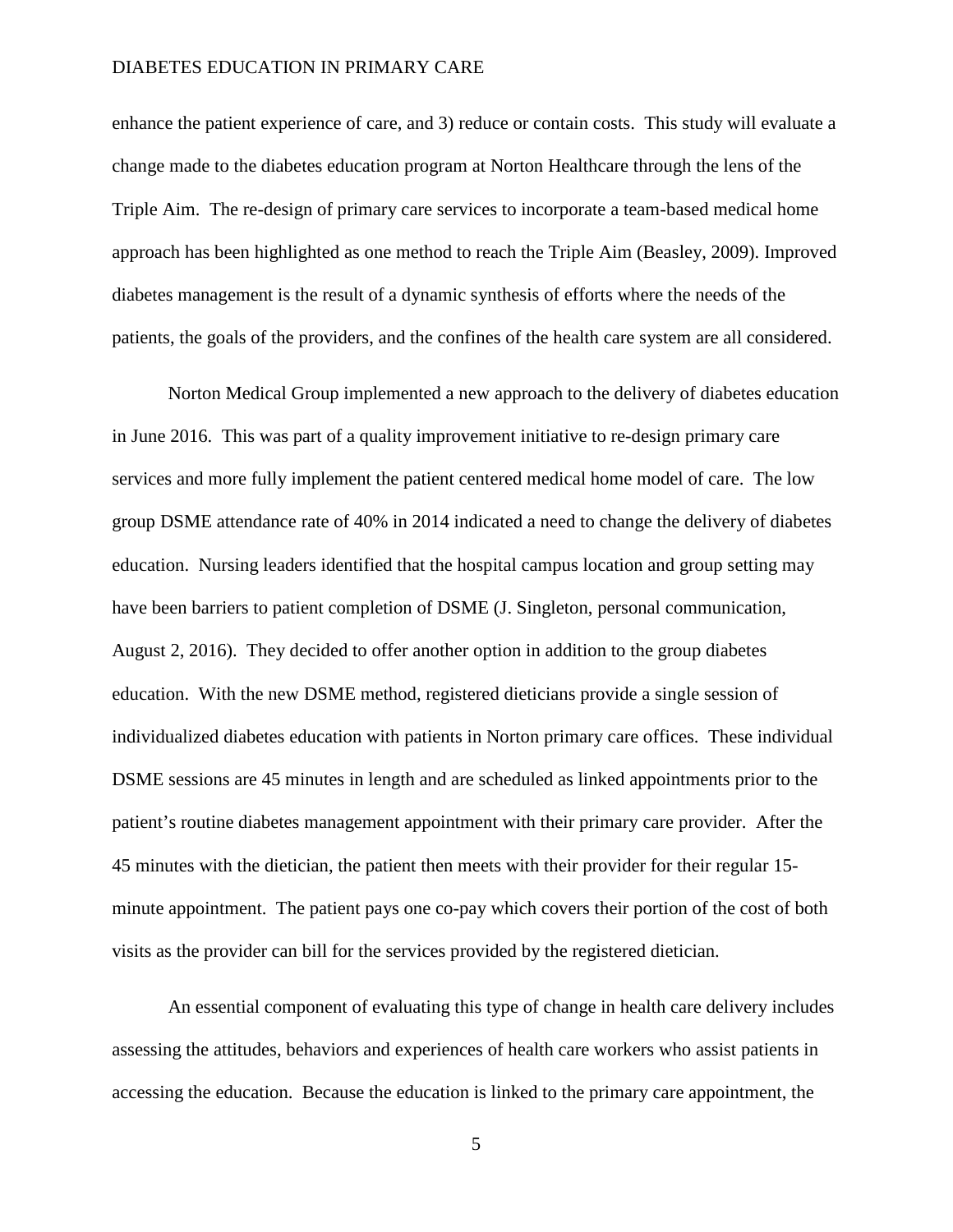enhance the patient experience of care, and 3) reduce or contain costs. This study will evaluate a change made to the diabetes education program at Norton Healthcare through the lens of the Triple Aim. The re-design of primary care services to incorporate a team-based medical home approach has been highlighted as one method to reach the Triple Aim (Beasley, 2009). Improved diabetes management is the result of a dynamic synthesis of efforts where the needs of the patients, the goals of the providers, and the confines of the health care system are all considered.

Norton Medical Group implemented a new approach to the delivery of diabetes education in June 2016. This was part of a quality improvement initiative to re-design primary care services and more fully implement the patient centered medical home model of care. The low group DSME attendance rate of 40% in 2014 indicated a need to change the delivery of diabetes education. Nursing leaders identified that the hospital campus location and group setting may have been barriers to patient completion of DSME (J. Singleton, personal communication, August 2, 2016). They decided to offer another option in addition to the group diabetes education. With the new DSME method, registered dieticians provide a single session of individualized diabetes education with patients in Norton primary care offices. These individual DSME sessions are 45 minutes in length and are scheduled as linked appointments prior to the patient's routine diabetes management appointment with their primary care provider. After the 45 minutes with the dietician, the patient then meets with their provider for their regular 15 minute appointment. The patient pays one co-pay which covers their portion of the cost of both visits as the provider can bill for the services provided by the registered dietician.

An essential component of evaluating this type of change in health care delivery includes assessing the attitudes, behaviors and experiences of health care workers who assist patients in accessing the education. Because the education is linked to the primary care appointment, the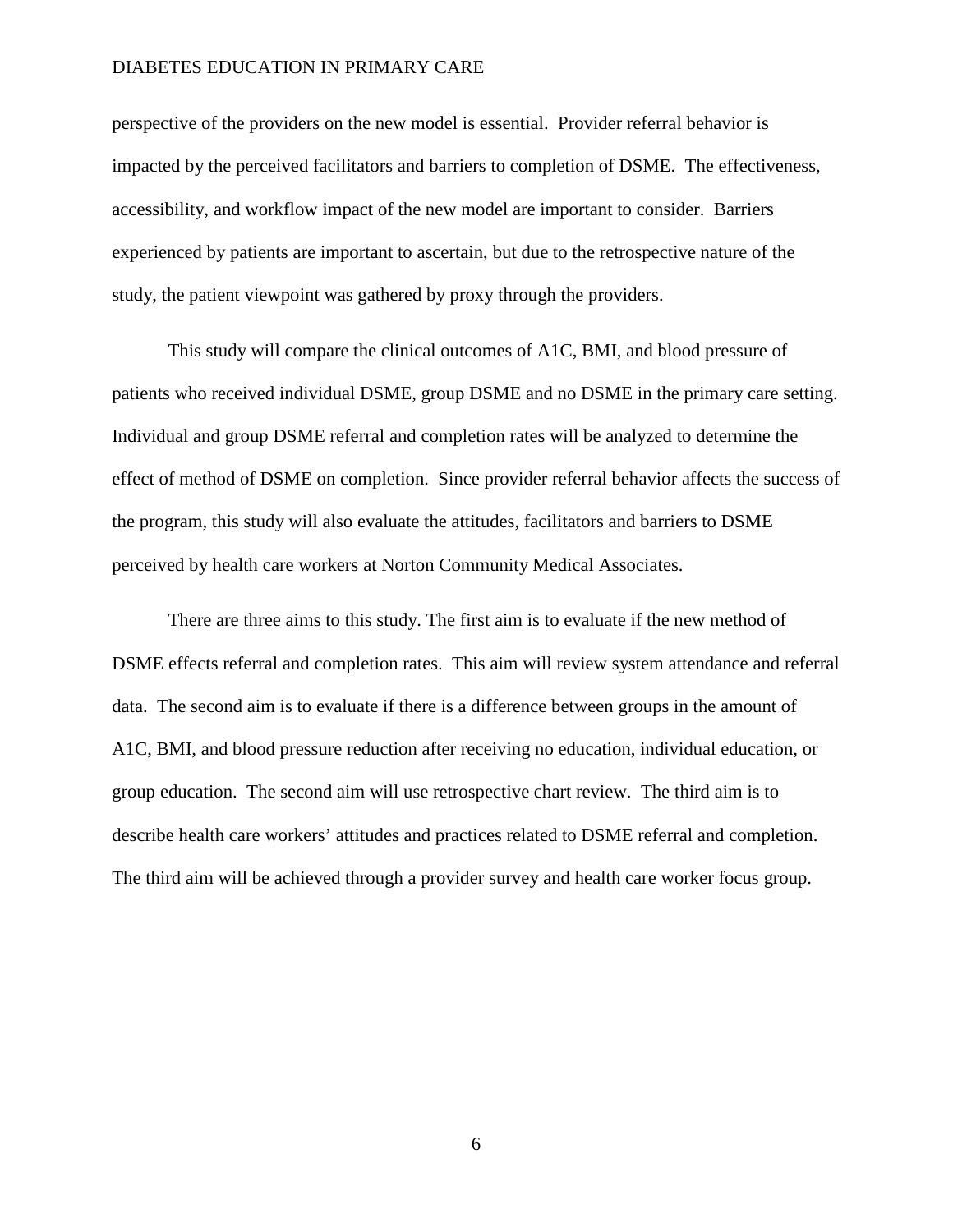perspective of the providers on the new model is essential. Provider referral behavior is impacted by the perceived facilitators and barriers to completion of DSME. The effectiveness, accessibility, and workflow impact of the new model are important to consider. Barriers experienced by patients are important to ascertain, but due to the retrospective nature of the study, the patient viewpoint was gathered by proxy through the providers.

This study will compare the clinical outcomes of A1C, BMI, and blood pressure of patients who received individual DSME, group DSME and no DSME in the primary care setting. Individual and group DSME referral and completion rates will be analyzed to determine the effect of method of DSME on completion. Since provider referral behavior affects the success of the program, this study will also evaluate the attitudes, facilitators and barriers to DSME perceived by health care workers at Norton Community Medical Associates.

There are three aims to this study. The first aim is to evaluate if the new method of DSME effects referral and completion rates. This aim will review system attendance and referral data. The second aim is to evaluate if there is a difference between groups in the amount of A1C, BMI, and blood pressure reduction after receiving no education, individual education, or group education. The second aim will use retrospective chart review. The third aim is to describe health care workers' attitudes and practices related to DSME referral and completion. The third aim will be achieved through a provider survey and health care worker focus group.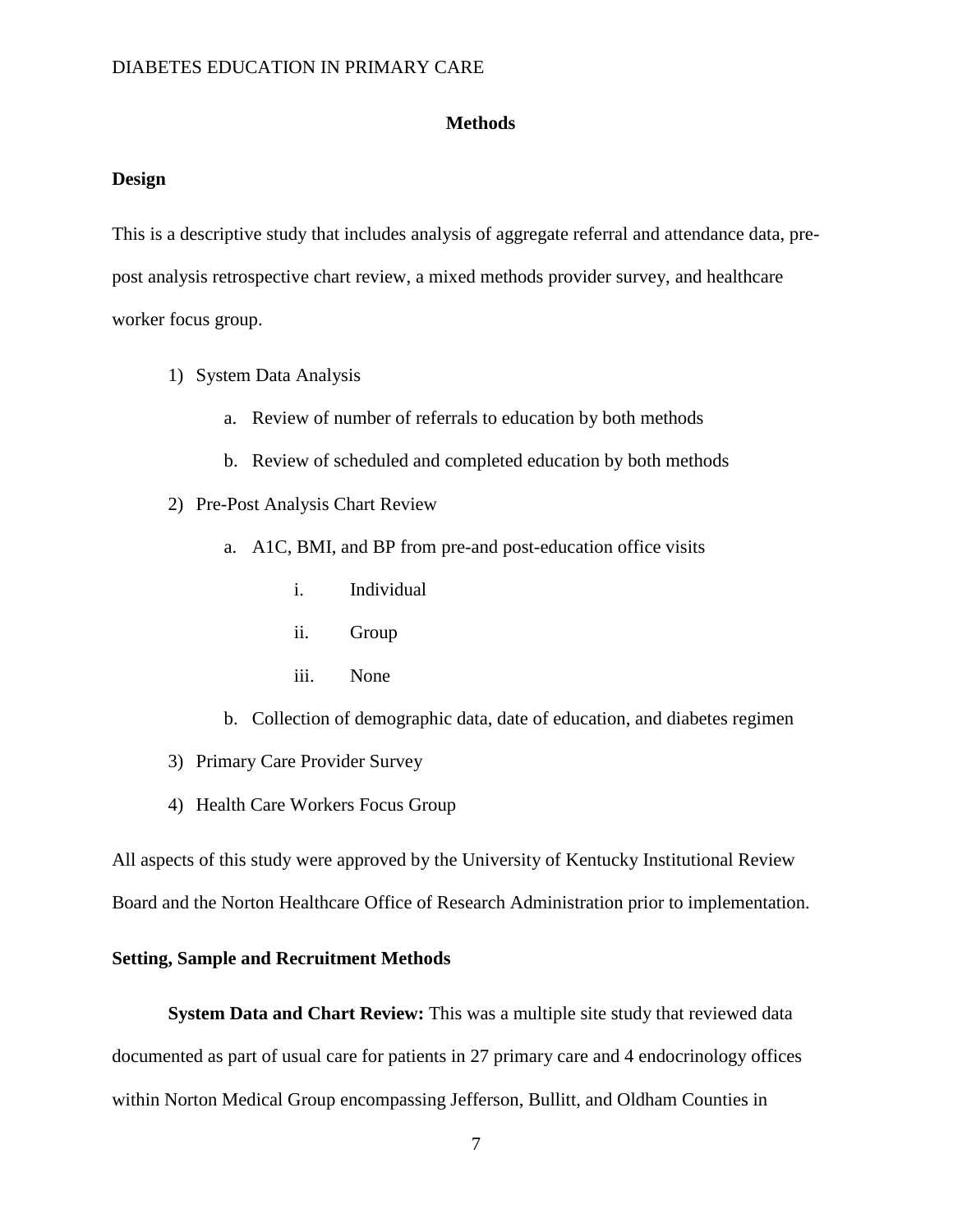#### **Methods**

#### **Design**

This is a descriptive study that includes analysis of aggregate referral and attendance data, prepost analysis retrospective chart review, a mixed methods provider survey, and healthcare worker focus group.

- 1) System Data Analysis
	- a. Review of number of referrals to education by both methods
	- b. Review of scheduled and completed education by both methods
- 2) Pre-Post Analysis Chart Review
	- a. A1C, BMI, and BP from pre-and post-education office visits
		- i. Individual
		- ii. Group
		- iii. None
	- b. Collection of demographic data, date of education, and diabetes regimen
- 3) Primary Care Provider Survey
- 4) Health Care Workers Focus Group

All aspects of this study were approved by the University of Kentucky Institutional Review Board and the Norton Healthcare Office of Research Administration prior to implementation.

### **Setting, Sample and Recruitment Methods**

**System Data and Chart Review:** This was a multiple site study that reviewed data documented as part of usual care for patients in 27 primary care and 4 endocrinology offices within Norton Medical Group encompassing Jefferson, Bullitt, and Oldham Counties in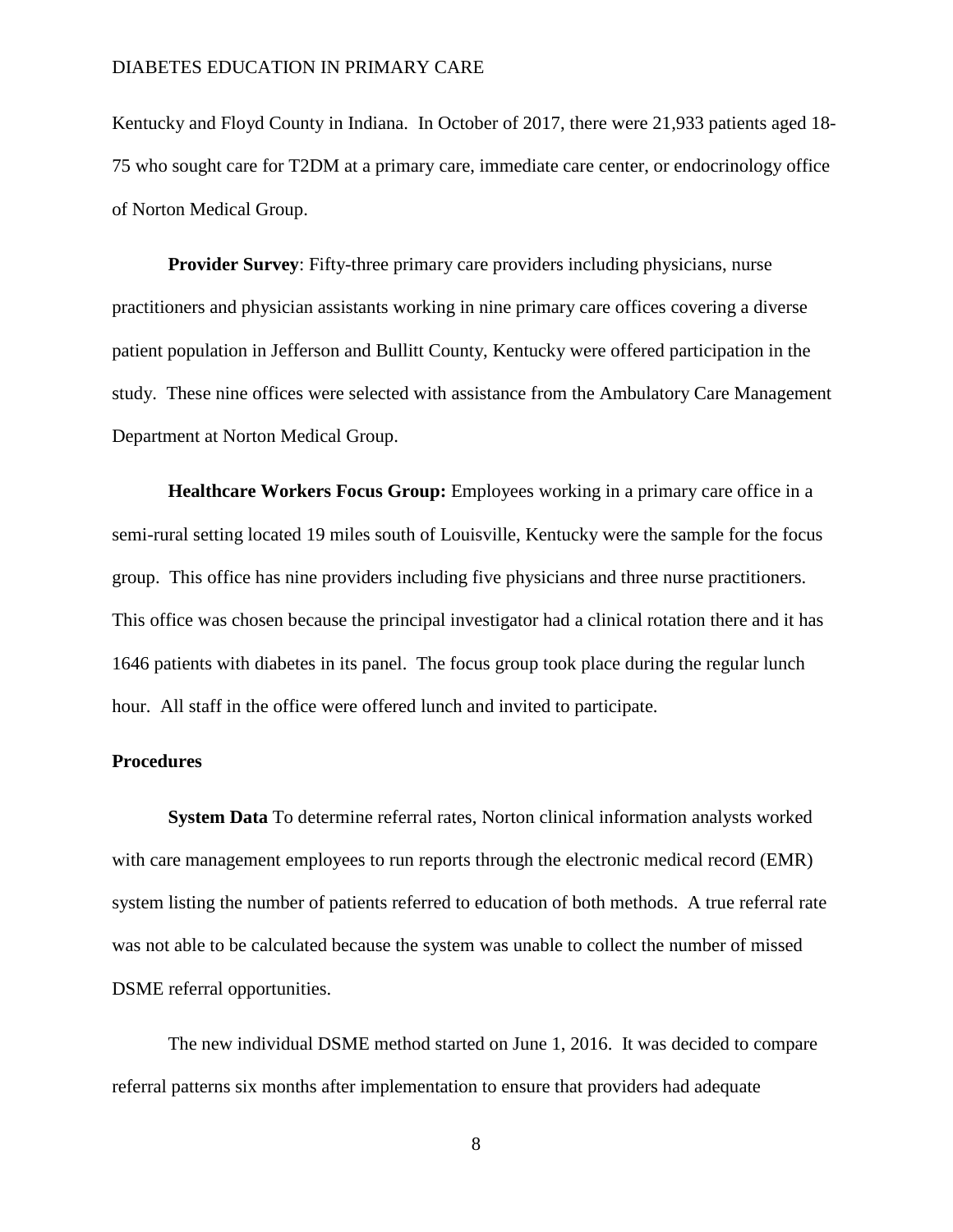Kentucky and Floyd County in Indiana. In October of 2017, there were 21,933 patients aged 18- 75 who sought care for T2DM at a primary care, immediate care center, or endocrinology office of Norton Medical Group.

**Provider Survey**: Fifty-three primary care providers including physicians, nurse practitioners and physician assistants working in nine primary care offices covering a diverse patient population in Jefferson and Bullitt County, Kentucky were offered participation in the study. These nine offices were selected with assistance from the Ambulatory Care Management Department at Norton Medical Group.

**Healthcare Workers Focus Group:** Employees working in a primary care office in a semi-rural setting located 19 miles south of Louisville, Kentucky were the sample for the focus group. This office has nine providers including five physicians and three nurse practitioners. This office was chosen because the principal investigator had a clinical rotation there and it has 1646 patients with diabetes in its panel. The focus group took place during the regular lunch hour. All staff in the office were offered lunch and invited to participate.

### **Procedures**

**System Data** To determine referral rates, Norton clinical information analysts worked with care management employees to run reports through the electronic medical record (EMR) system listing the number of patients referred to education of both methods. A true referral rate was not able to be calculated because the system was unable to collect the number of missed DSME referral opportunities.

The new individual DSME method started on June 1, 2016. It was decided to compare referral patterns six months after implementation to ensure that providers had adequate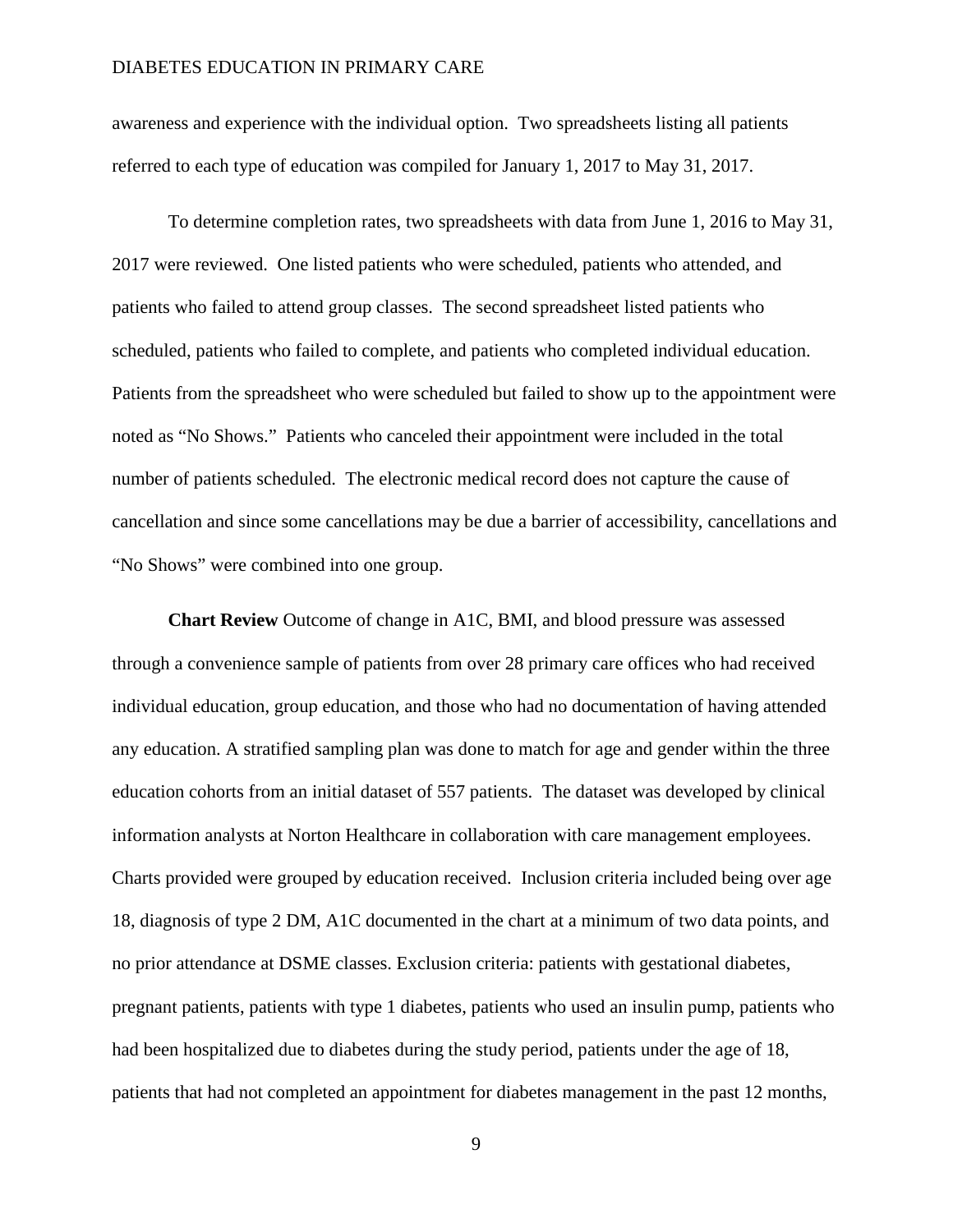awareness and experience with the individual option. Two spreadsheets listing all patients referred to each type of education was compiled for January 1, 2017 to May 31, 2017.

To determine completion rates, two spreadsheets with data from June 1, 2016 to May 31, 2017 were reviewed. One listed patients who were scheduled, patients who attended, and patients who failed to attend group classes. The second spreadsheet listed patients who scheduled, patients who failed to complete, and patients who completed individual education. Patients from the spreadsheet who were scheduled but failed to show up to the appointment were noted as "No Shows." Patients who canceled their appointment were included in the total number of patients scheduled. The electronic medical record does not capture the cause of cancellation and since some cancellations may be due a barrier of accessibility, cancellations and "No Shows" were combined into one group.

**Chart Review** Outcome of change in A1C, BMI, and blood pressure was assessed through a convenience sample of patients from over 28 primary care offices who had received individual education, group education, and those who had no documentation of having attended any education. A stratified sampling plan was done to match for age and gender within the three education cohorts from an initial dataset of 557 patients. The dataset was developed by clinical information analysts at Norton Healthcare in collaboration with care management employees. Charts provided were grouped by education received. Inclusion criteria included being over age 18, diagnosis of type 2 DM, A1C documented in the chart at a minimum of two data points, and no prior attendance at DSME classes. Exclusion criteria: patients with gestational diabetes, pregnant patients, patients with type 1 diabetes, patients who used an insulin pump, patients who had been hospitalized due to diabetes during the study period, patients under the age of 18, patients that had not completed an appointment for diabetes management in the past 12 months,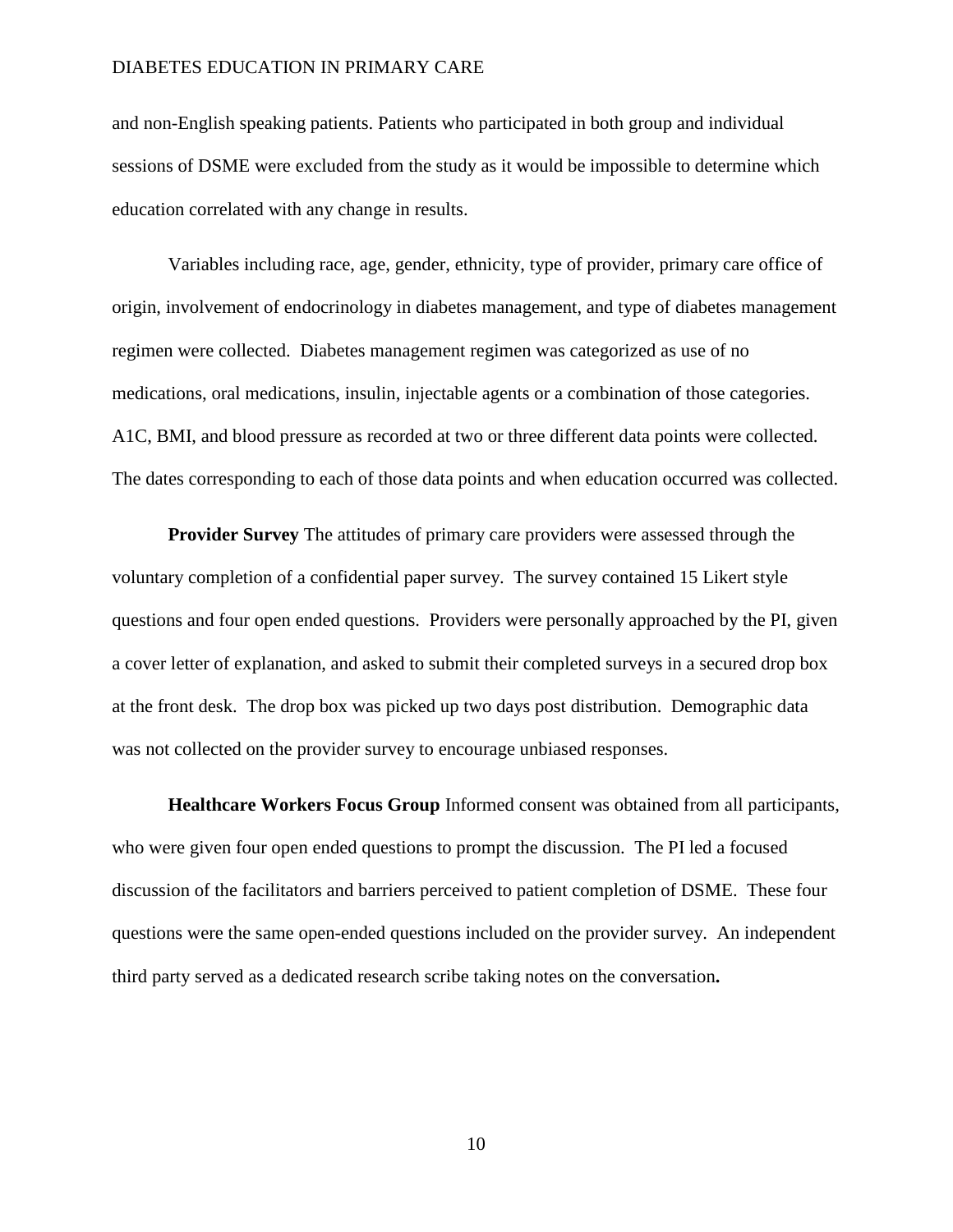and non-English speaking patients. Patients who participated in both group and individual sessions of DSME were excluded from the study as it would be impossible to determine which education correlated with any change in results.

Variables including race, age, gender, ethnicity, type of provider, primary care office of origin, involvement of endocrinology in diabetes management, and type of diabetes management regimen were collected. Diabetes management regimen was categorized as use of no medications, oral medications, insulin, injectable agents or a combination of those categories. A1C, BMI, and blood pressure as recorded at two or three different data points were collected. The dates corresponding to each of those data points and when education occurred was collected.

**Provider Survey** The attitudes of primary care providers were assessed through the voluntary completion of a confidential paper survey. The survey contained 15 Likert style questions and four open ended questions. Providers were personally approached by the PI, given a cover letter of explanation, and asked to submit their completed surveys in a secured drop box at the front desk. The drop box was picked up two days post distribution. Demographic data was not collected on the provider survey to encourage unbiased responses.

**Healthcare Workers Focus Group** Informed consent was obtained from all participants, who were given four open ended questions to prompt the discussion. The PI led a focused discussion of the facilitators and barriers perceived to patient completion of DSME. These four questions were the same open-ended questions included on the provider survey. An independent third party served as a dedicated research scribe taking notes on the conversation**.**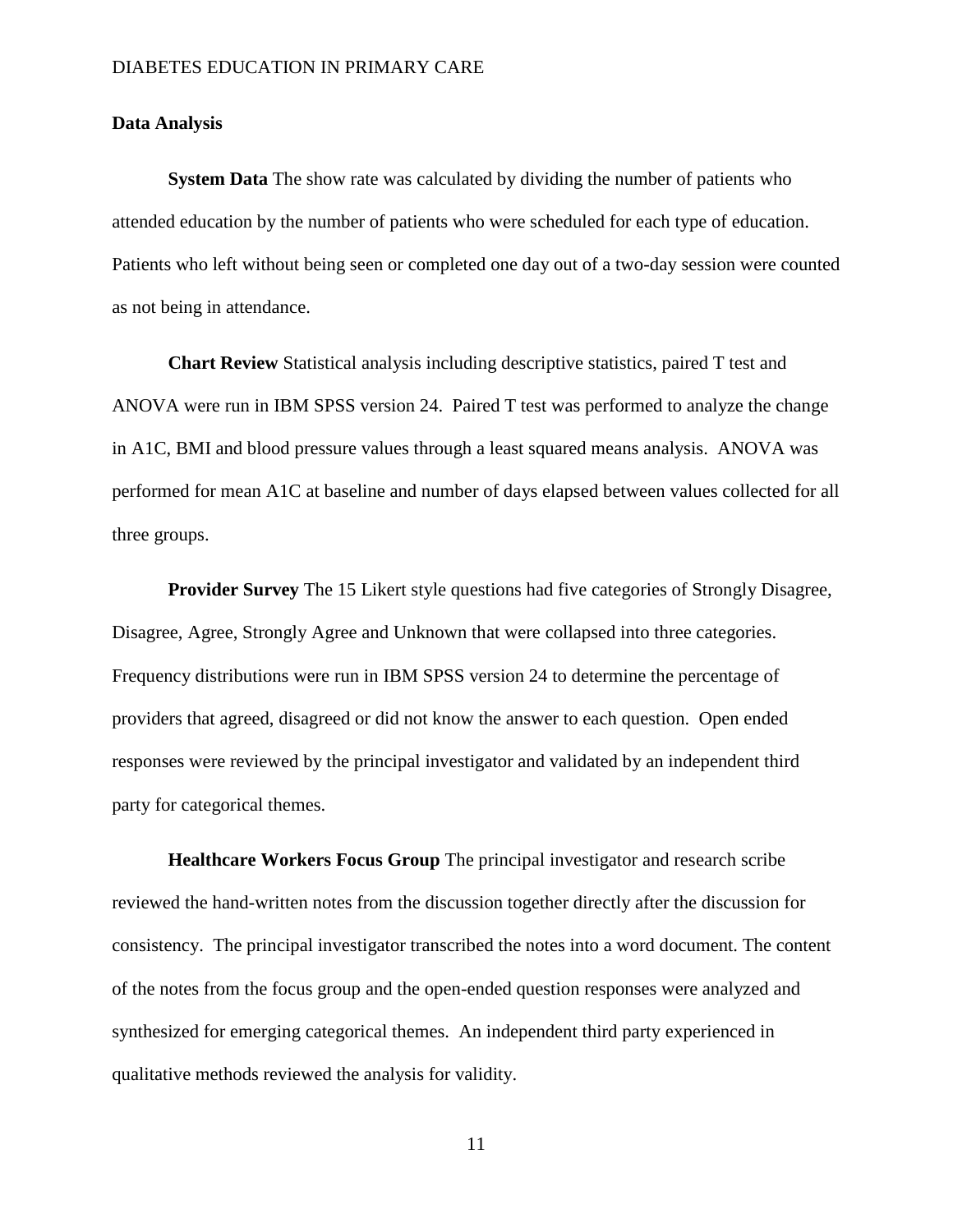#### **Data Analysis**

**System Data** The show rate was calculated by dividing the number of patients who attended education by the number of patients who were scheduled for each type of education. Patients who left without being seen or completed one day out of a two-day session were counted as not being in attendance.

**Chart Review** Statistical analysis including descriptive statistics, paired T test and ANOVA were run in IBM SPSS version 24. Paired T test was performed to analyze the change in A1C, BMI and blood pressure values through a least squared means analysis. ANOVA was performed for mean A1C at baseline and number of days elapsed between values collected for all three groups.

**Provider Survey** The 15 Likert style questions had five categories of Strongly Disagree, Disagree, Agree, Strongly Agree and Unknown that were collapsed into three categories. Frequency distributions were run in IBM SPSS version 24 to determine the percentage of providers that agreed, disagreed or did not know the answer to each question. Open ended responses were reviewed by the principal investigator and validated by an independent third party for categorical themes.

**Healthcare Workers Focus Group** The principal investigator and research scribe reviewed the hand-written notes from the discussion together directly after the discussion for consistency. The principal investigator transcribed the notes into a word document. The content of the notes from the focus group and the open-ended question responses were analyzed and synthesized for emerging categorical themes. An independent third party experienced in qualitative methods reviewed the analysis for validity.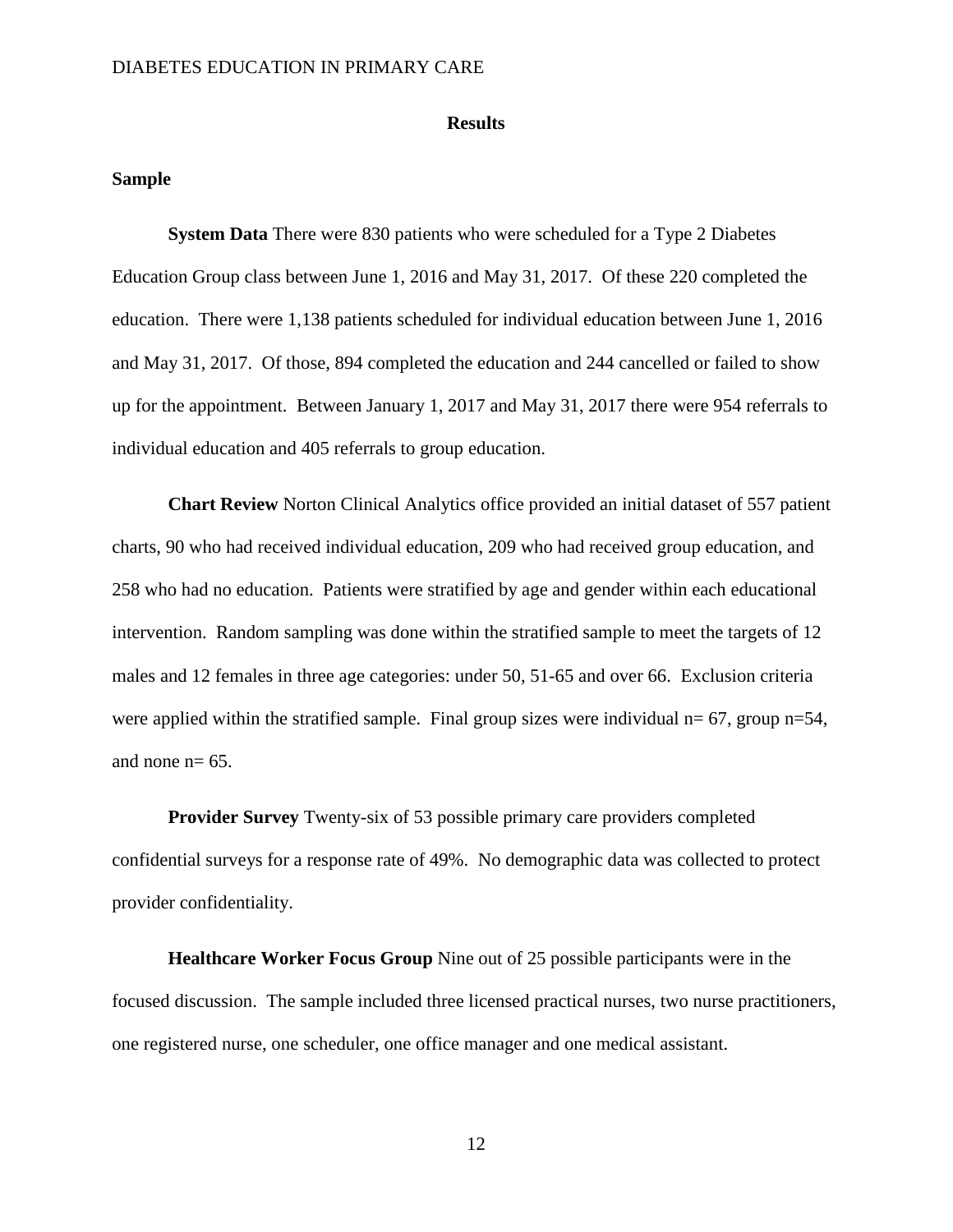#### **Results**

#### **Sample**

**System Data** There were 830 patients who were scheduled for a Type 2 Diabetes Education Group class between June 1, 2016 and May 31, 2017. Of these 220 completed the education. There were 1,138 patients scheduled for individual education between June 1, 2016 and May 31, 2017. Of those, 894 completed the education and 244 cancelled or failed to show up for the appointment. Between January 1, 2017 and May 31, 2017 there were 954 referrals to individual education and 405 referrals to group education.

**Chart Review** Norton Clinical Analytics office provided an initial dataset of 557 patient charts, 90 who had received individual education, 209 who had received group education, and 258 who had no education. Patients were stratified by age and gender within each educational intervention. Random sampling was done within the stratified sample to meet the targets of 12 males and 12 females in three age categories: under 50, 51-65 and over 66. Exclusion criteria were applied within the stratified sample. Final group sizes were individual  $n= 67$ , group  $n=54$ , and none  $n= 65$ .

**Provider Survey** Twenty-six of 53 possible primary care providers completed confidential surveys for a response rate of 49%. No demographic data was collected to protect provider confidentiality.

**Healthcare Worker Focus Group** Nine out of 25 possible participants were in the focused discussion. The sample included three licensed practical nurses, two nurse practitioners, one registered nurse, one scheduler, one office manager and one medical assistant.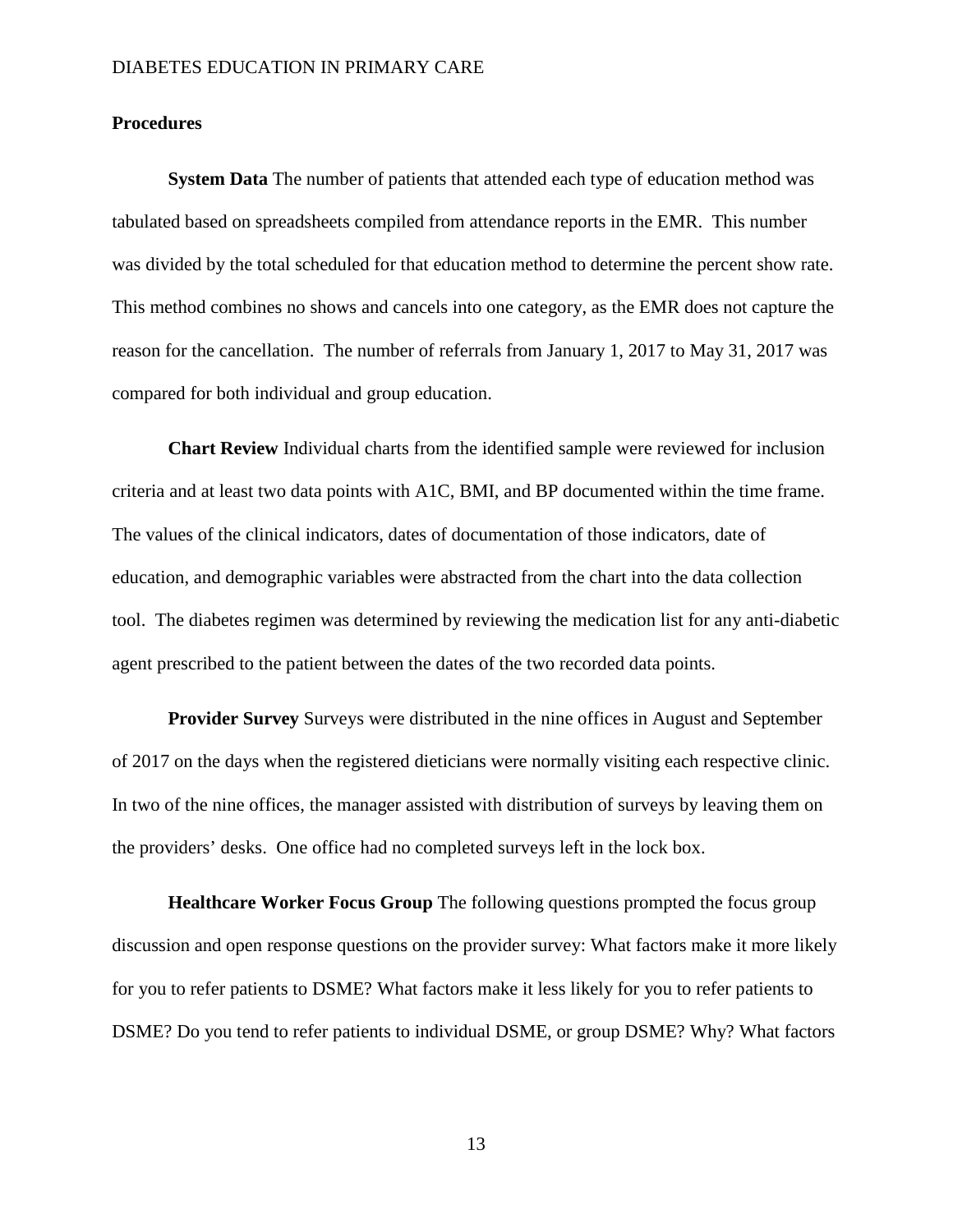#### **Procedures**

**System Data** The number of patients that attended each type of education method was tabulated based on spreadsheets compiled from attendance reports in the EMR. This number was divided by the total scheduled for that education method to determine the percent show rate. This method combines no shows and cancels into one category, as the EMR does not capture the reason for the cancellation. The number of referrals from January 1, 2017 to May 31, 2017 was compared for both individual and group education.

**Chart Review** Individual charts from the identified sample were reviewed for inclusion criteria and at least two data points with A1C, BMI, and BP documented within the time frame. The values of the clinical indicators, dates of documentation of those indicators, date of education, and demographic variables were abstracted from the chart into the data collection tool. The diabetes regimen was determined by reviewing the medication list for any anti-diabetic agent prescribed to the patient between the dates of the two recorded data points.

**Provider Survey** Surveys were distributed in the nine offices in August and September of 2017 on the days when the registered dieticians were normally visiting each respective clinic. In two of the nine offices, the manager assisted with distribution of surveys by leaving them on the providers' desks. One office had no completed surveys left in the lock box.

**Healthcare Worker Focus Group** The following questions prompted the focus group discussion and open response questions on the provider survey: What factors make it more likely for you to refer patients to DSME? What factors make it less likely for you to refer patients to DSME? Do you tend to refer patients to individual DSME, or group DSME? Why? What factors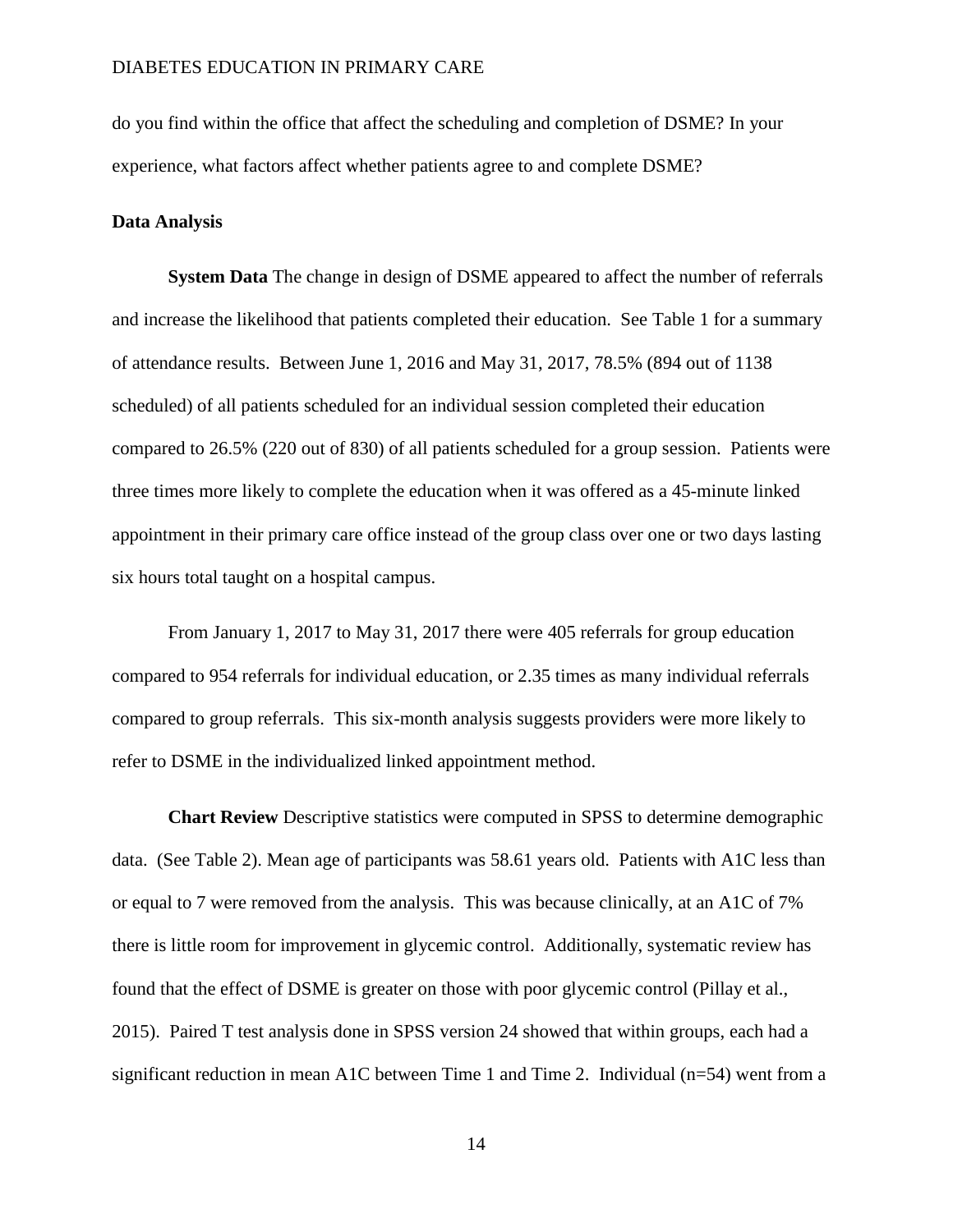do you find within the office that affect the scheduling and completion of DSME? In your experience, what factors affect whether patients agree to and complete DSME?

#### **Data Analysis**

**System Data** The change in design of DSME appeared to affect the number of referrals and increase the likelihood that patients completed their education. See Table 1 for a summary of attendance results. Between June 1, 2016 and May 31, 2017, 78.5% (894 out of 1138 scheduled) of all patients scheduled for an individual session completed their education compared to 26.5% (220 out of 830) of all patients scheduled for a group session. Patients were three times more likely to complete the education when it was offered as a 45-minute linked appointment in their primary care office instead of the group class over one or two days lasting six hours total taught on a hospital campus.

From January 1, 2017 to May 31, 2017 there were 405 referrals for group education compared to 954 referrals for individual education, or 2.35 times as many individual referrals compared to group referrals. This six-month analysis suggests providers were more likely to refer to DSME in the individualized linked appointment method.

**Chart Review** Descriptive statistics were computed in SPSS to determine demographic data. (See Table 2). Mean age of participants was 58.61 years old. Patients with A1C less than or equal to 7 were removed from the analysis. This was because clinically, at an A1C of 7% there is little room for improvement in glycemic control. Additionally, systematic review has found that the effect of DSME is greater on those with poor glycemic control (Pillay et al., 2015). Paired T test analysis done in SPSS version 24 showed that within groups, each had a significant reduction in mean A1C between Time 1 and Time 2. Individual (n=54) went from a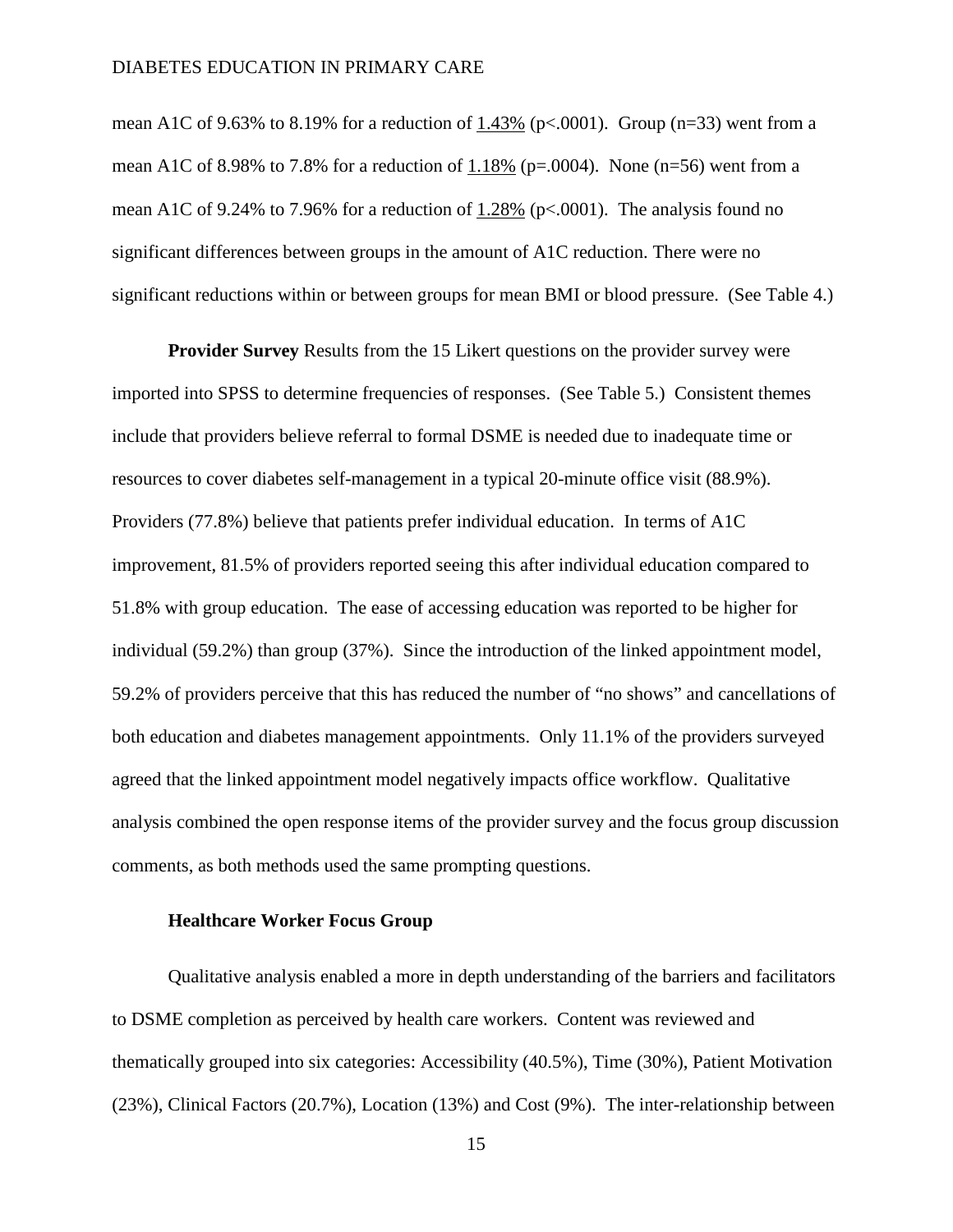mean A1C of 9.63% to 8.19% for a reduction of  $1.43\%$  (p<.0001). Group (n=33) went from a mean A1C of 8.98% to 7.8% for a reduction of 1.18% ( $p=.0004$ ). None ( $n=56$ ) went from a mean A1C of 9.24% to 7.96% for a reduction of 1.28% (p<.0001). The analysis found no significant differences between groups in the amount of A1C reduction. There were no significant reductions within or between groups for mean BMI or blood pressure. (See Table 4.)

**Provider Survey** Results from the 15 Likert questions on the provider survey were imported into SPSS to determine frequencies of responses. (See Table 5.) Consistent themes include that providers believe referral to formal DSME is needed due to inadequate time or resources to cover diabetes self-management in a typical 20-minute office visit (88.9%). Providers (77.8%) believe that patients prefer individual education. In terms of A1C improvement, 81.5% of providers reported seeing this after individual education compared to 51.8% with group education. The ease of accessing education was reported to be higher for individual (59.2%) than group (37%). Since the introduction of the linked appointment model, 59.2% of providers perceive that this has reduced the number of "no shows" and cancellations of both education and diabetes management appointments. Only 11.1% of the providers surveyed agreed that the linked appointment model negatively impacts office workflow. Qualitative analysis combined the open response items of the provider survey and the focus group discussion comments, as both methods used the same prompting questions.

#### **Healthcare Worker Focus Group**

Qualitative analysis enabled a more in depth understanding of the barriers and facilitators to DSME completion as perceived by health care workers. Content was reviewed and thematically grouped into six categories: Accessibility (40.5%), Time (30%), Patient Motivation (23%), Clinical Factors (20.7%), Location (13%) and Cost (9%). The inter-relationship between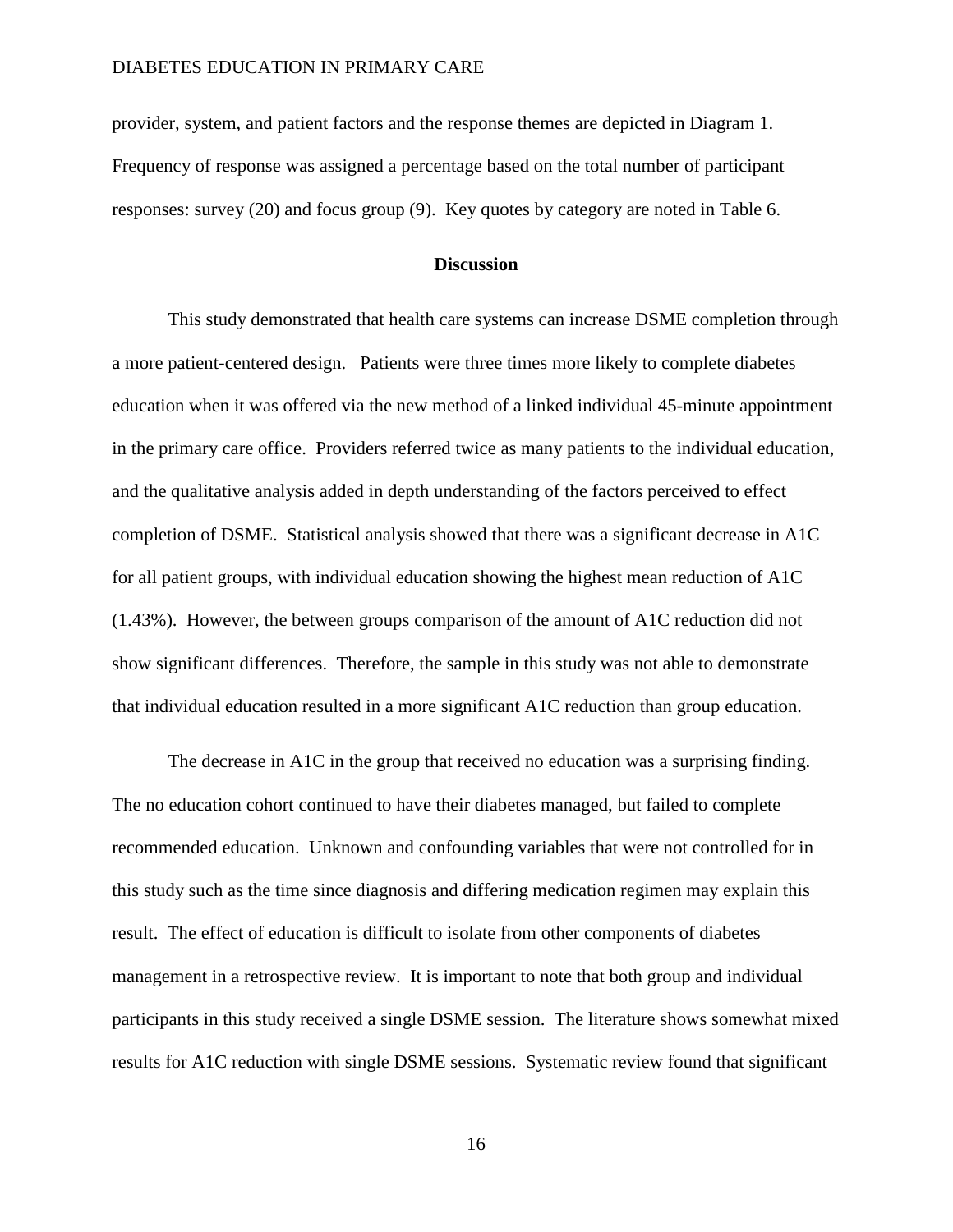provider, system, and patient factors and the response themes are depicted in Diagram 1. Frequency of response was assigned a percentage based on the total number of participant responses: survey (20) and focus group (9). Key quotes by category are noted in Table 6.

#### **Discussion**

This study demonstrated that health care systems can increase DSME completion through a more patient-centered design. Patients were three times more likely to complete diabetes education when it was offered via the new method of a linked individual 45-minute appointment in the primary care office. Providers referred twice as many patients to the individual education, and the qualitative analysis added in depth understanding of the factors perceived to effect completion of DSME. Statistical analysis showed that there was a significant decrease in A1C for all patient groups, with individual education showing the highest mean reduction of A1C (1.43%). However, the between groups comparison of the amount of A1C reduction did not show significant differences. Therefore, the sample in this study was not able to demonstrate that individual education resulted in a more significant A1C reduction than group education.

The decrease in A1C in the group that received no education was a surprising finding. The no education cohort continued to have their diabetes managed, but failed to complete recommended education. Unknown and confounding variables that were not controlled for in this study such as the time since diagnosis and differing medication regimen may explain this result. The effect of education is difficult to isolate from other components of diabetes management in a retrospective review. It is important to note that both group and individual participants in this study received a single DSME session. The literature shows somewhat mixed results for A1C reduction with single DSME sessions. Systematic review found that significant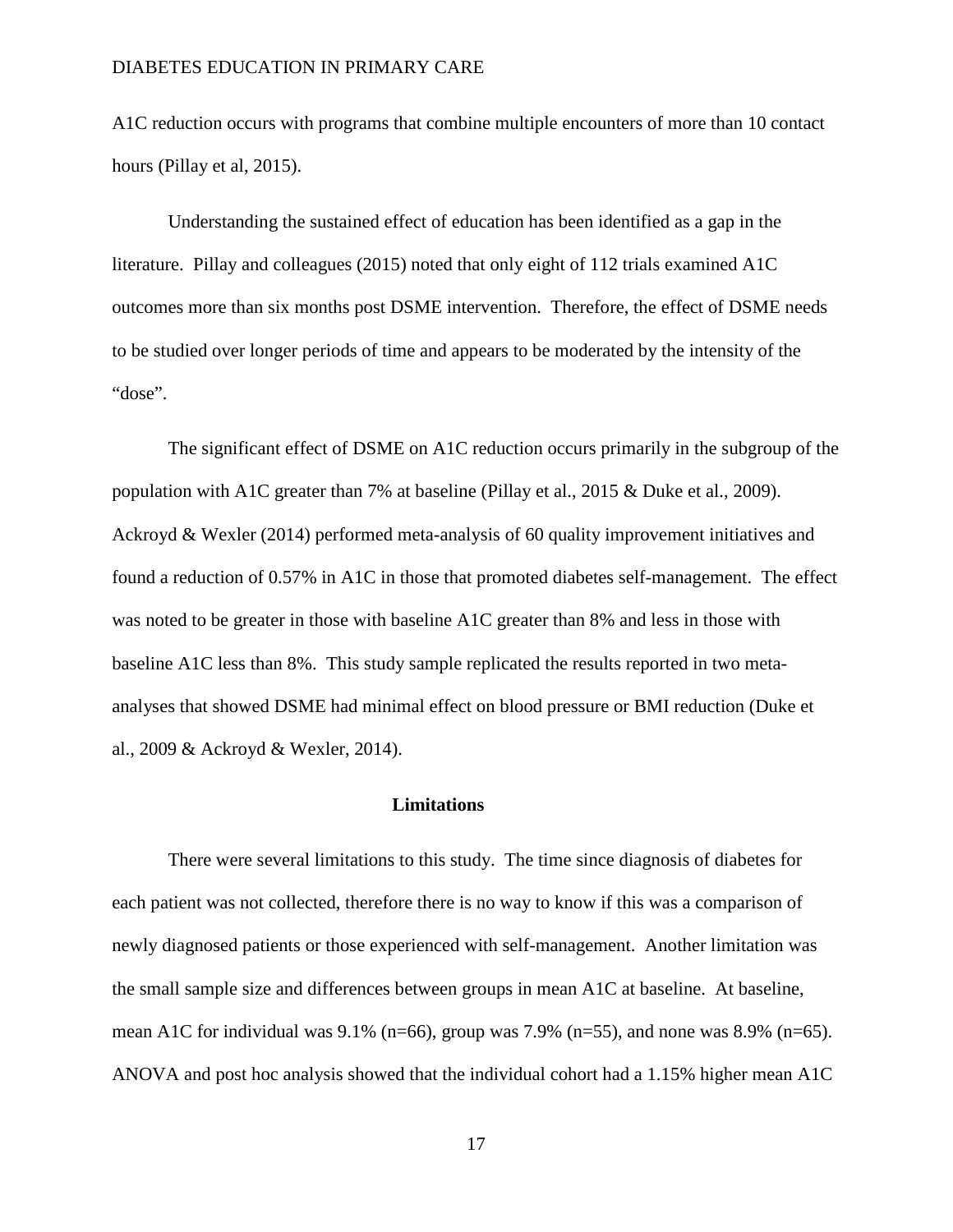A1C reduction occurs with programs that combine multiple encounters of more than 10 contact hours (Pillay et al, 2015).

Understanding the sustained effect of education has been identified as a gap in the literature. Pillay and colleagues (2015) noted that only eight of 112 trials examined A1C outcomes more than six months post DSME intervention. Therefore, the effect of DSME needs to be studied over longer periods of time and appears to be moderated by the intensity of the "dose".

The significant effect of DSME on A1C reduction occurs primarily in the subgroup of the population with A1C greater than 7% at baseline (Pillay et al., 2015 & Duke et al., 2009). Ackroyd & Wexler (2014) performed meta-analysis of 60 quality improvement initiatives and found a reduction of 0.57% in A1C in those that promoted diabetes self-management. The effect was noted to be greater in those with baseline A1C greater than 8% and less in those with baseline A1C less than 8%. This study sample replicated the results reported in two metaanalyses that showed DSME had minimal effect on blood pressure or BMI reduction (Duke et al., 2009 & Ackroyd & Wexler, 2014).

#### **Limitations**

There were several limitations to this study. The time since diagnosis of diabetes for each patient was not collected, therefore there is no way to know if this was a comparison of newly diagnosed patients or those experienced with self-management. Another limitation was the small sample size and differences between groups in mean A1C at baseline. At baseline, mean A1C for individual was  $9.1\%$  (n=66), group was 7.9% (n=55), and none was 8.9% (n=65). ANOVA and post hoc analysis showed that the individual cohort had a 1.15% higher mean A1C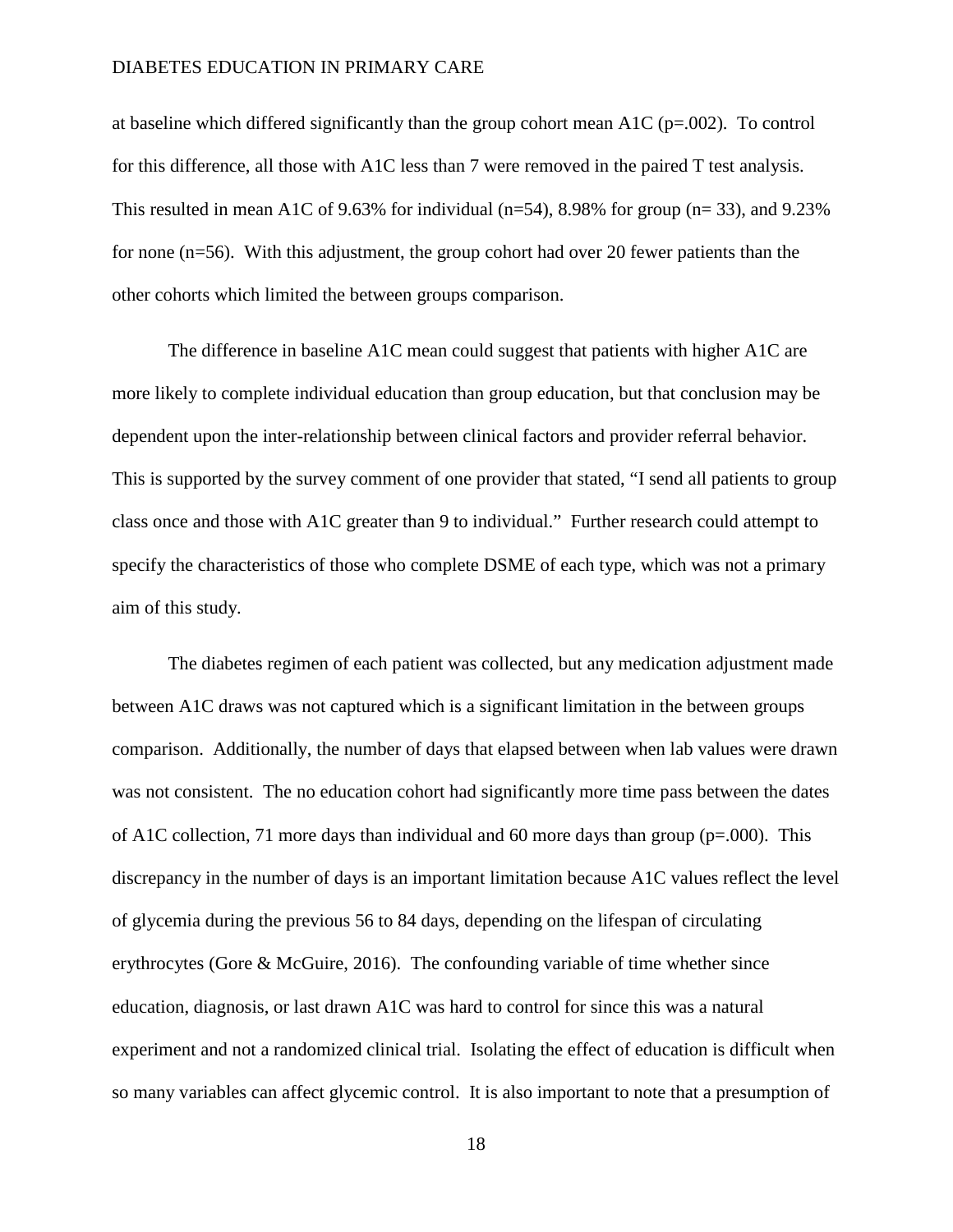at baseline which differed significantly than the group cohort mean A1C ( $p=.002$ ). To control for this difference, all those with A1C less than 7 were removed in the paired T test analysis. This resulted in mean A1C of 9.63% for individual ( $n=54$ ), 8.98% for group ( $n=33$ ), and 9.23% for none (n=56). With this adjustment, the group cohort had over 20 fewer patients than the other cohorts which limited the between groups comparison.

The difference in baseline A1C mean could suggest that patients with higher A1C are more likely to complete individual education than group education, but that conclusion may be dependent upon the inter-relationship between clinical factors and provider referral behavior. This is supported by the survey comment of one provider that stated, "I send all patients to group class once and those with A1C greater than 9 to individual." Further research could attempt to specify the characteristics of those who complete DSME of each type, which was not a primary aim of this study.

The diabetes regimen of each patient was collected, but any medication adjustment made between A1C draws was not captured which is a significant limitation in the between groups comparison. Additionally, the number of days that elapsed between when lab values were drawn was not consistent. The no education cohort had significantly more time pass between the dates of A1C collection, 71 more days than individual and 60 more days than group (p=.000). This discrepancy in the number of days is an important limitation because A1C values reflect the level of glycemia during the previous 56 to 84 days, depending on the lifespan of circulating erythrocytes (Gore & McGuire, 2016). The confounding variable of time whether since education, diagnosis, or last drawn A1C was hard to control for since this was a natural experiment and not a randomized clinical trial. Isolating the effect of education is difficult when so many variables can affect glycemic control. It is also important to note that a presumption of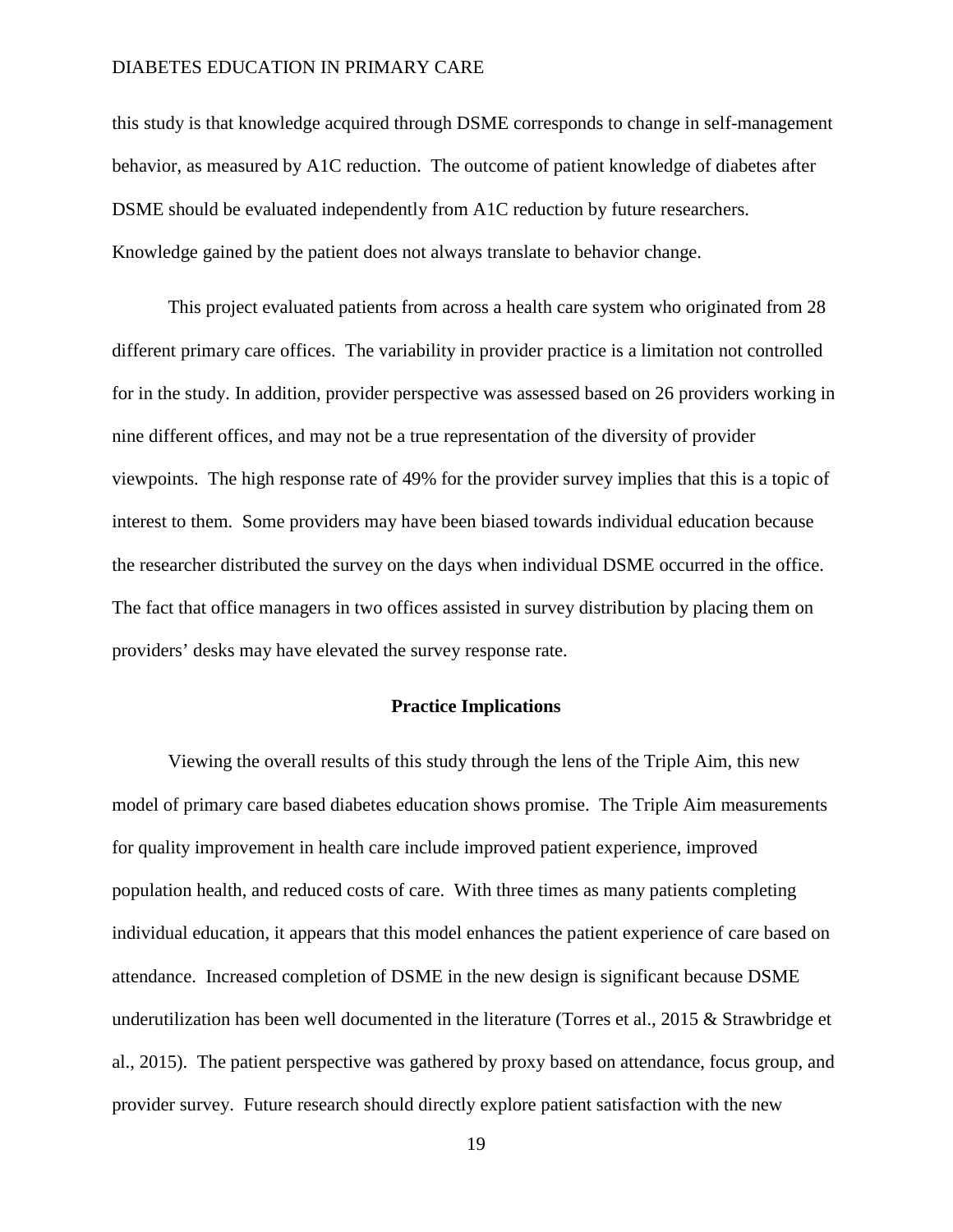this study is that knowledge acquired through DSME corresponds to change in self-management behavior, as measured by A1C reduction. The outcome of patient knowledge of diabetes after DSME should be evaluated independently from A1C reduction by future researchers. Knowledge gained by the patient does not always translate to behavior change.

This project evaluated patients from across a health care system who originated from 28 different primary care offices. The variability in provider practice is a limitation not controlled for in the study. In addition, provider perspective was assessed based on 26 providers working in nine different offices, and may not be a true representation of the diversity of provider viewpoints. The high response rate of 49% for the provider survey implies that this is a topic of interest to them. Some providers may have been biased towards individual education because the researcher distributed the survey on the days when individual DSME occurred in the office. The fact that office managers in two offices assisted in survey distribution by placing them on providers' desks may have elevated the survey response rate.

#### **Practice Implications**

Viewing the overall results of this study through the lens of the Triple Aim, this new model of primary care based diabetes education shows promise. The Triple Aim measurements for quality improvement in health care include improved patient experience, improved population health, and reduced costs of care. With three times as many patients completing individual education, it appears that this model enhances the patient experience of care based on attendance. Increased completion of DSME in the new design is significant because DSME underutilization has been well documented in the literature (Torres et al., 2015 & Strawbridge et al., 2015). The patient perspective was gathered by proxy based on attendance, focus group, and provider survey. Future research should directly explore patient satisfaction with the new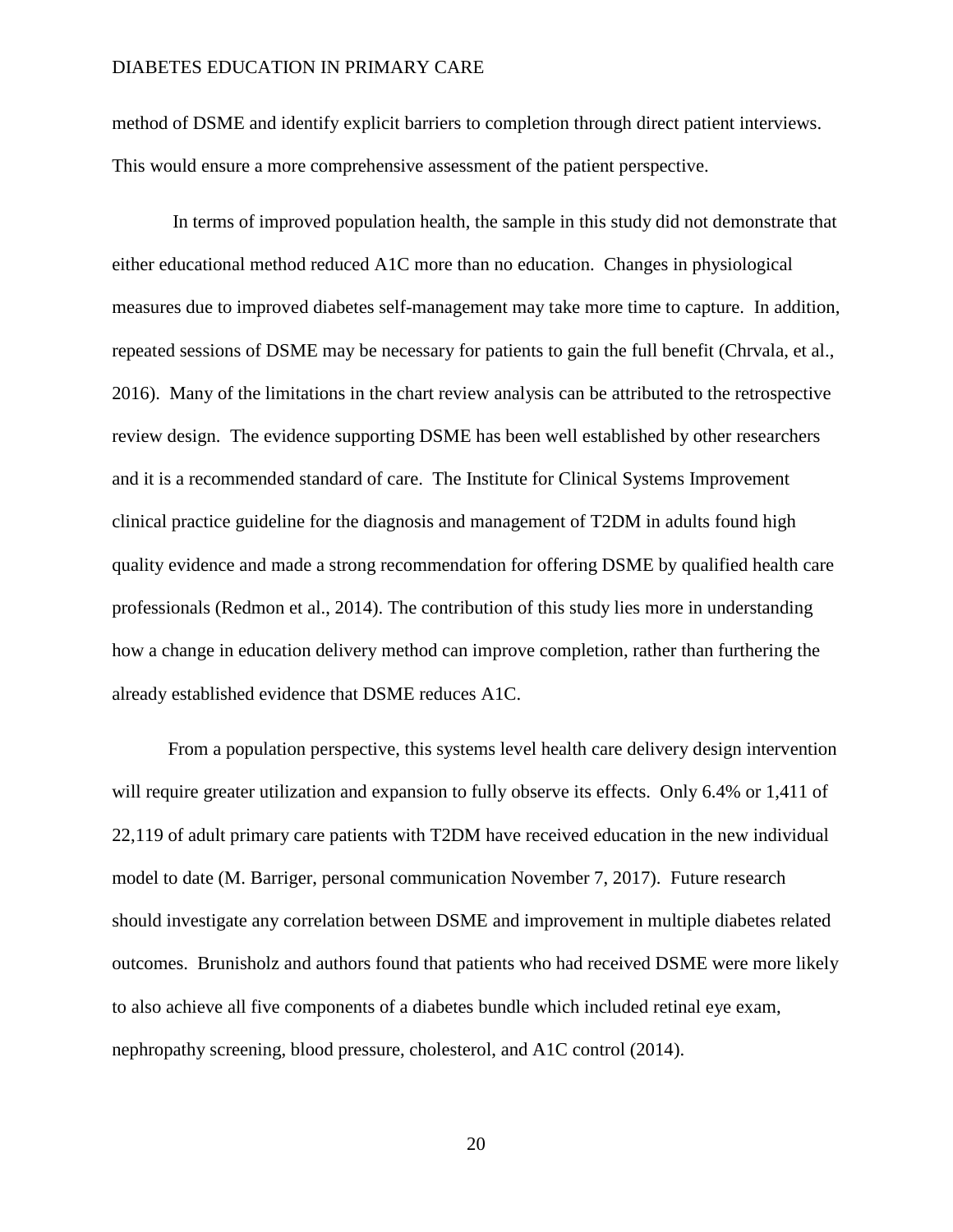method of DSME and identify explicit barriers to completion through direct patient interviews. This would ensure a more comprehensive assessment of the patient perspective.

In terms of improved population health, the sample in this study did not demonstrate that either educational method reduced A1C more than no education. Changes in physiological measures due to improved diabetes self-management may take more time to capture. In addition, repeated sessions of DSME may be necessary for patients to gain the full benefit (Chrvala, et al., 2016). Many of the limitations in the chart review analysis can be attributed to the retrospective review design. The evidence supporting DSME has been well established by other researchers and it is a recommended standard of care. The Institute for Clinical Systems Improvement clinical practice guideline for the diagnosis and management of T2DM in adults found high quality evidence and made a strong recommendation for offering DSME by qualified health care professionals (Redmon et al., 2014). The contribution of this study lies more in understanding how a change in education delivery method can improve completion, rather than furthering the already established evidence that DSME reduces A1C.

From a population perspective, this systems level health care delivery design intervention will require greater utilization and expansion to fully observe its effects. Only 6.4% or 1,411 of 22,119 of adult primary care patients with T2DM have received education in the new individual model to date (M. Barriger, personal communication November 7, 2017). Future research should investigate any correlation between DSME and improvement in multiple diabetes related outcomes. Brunisholz and authors found that patients who had received DSME were more likely to also achieve all five components of a diabetes bundle which included retinal eye exam, nephropathy screening, blood pressure, cholesterol, and A1C control (2014).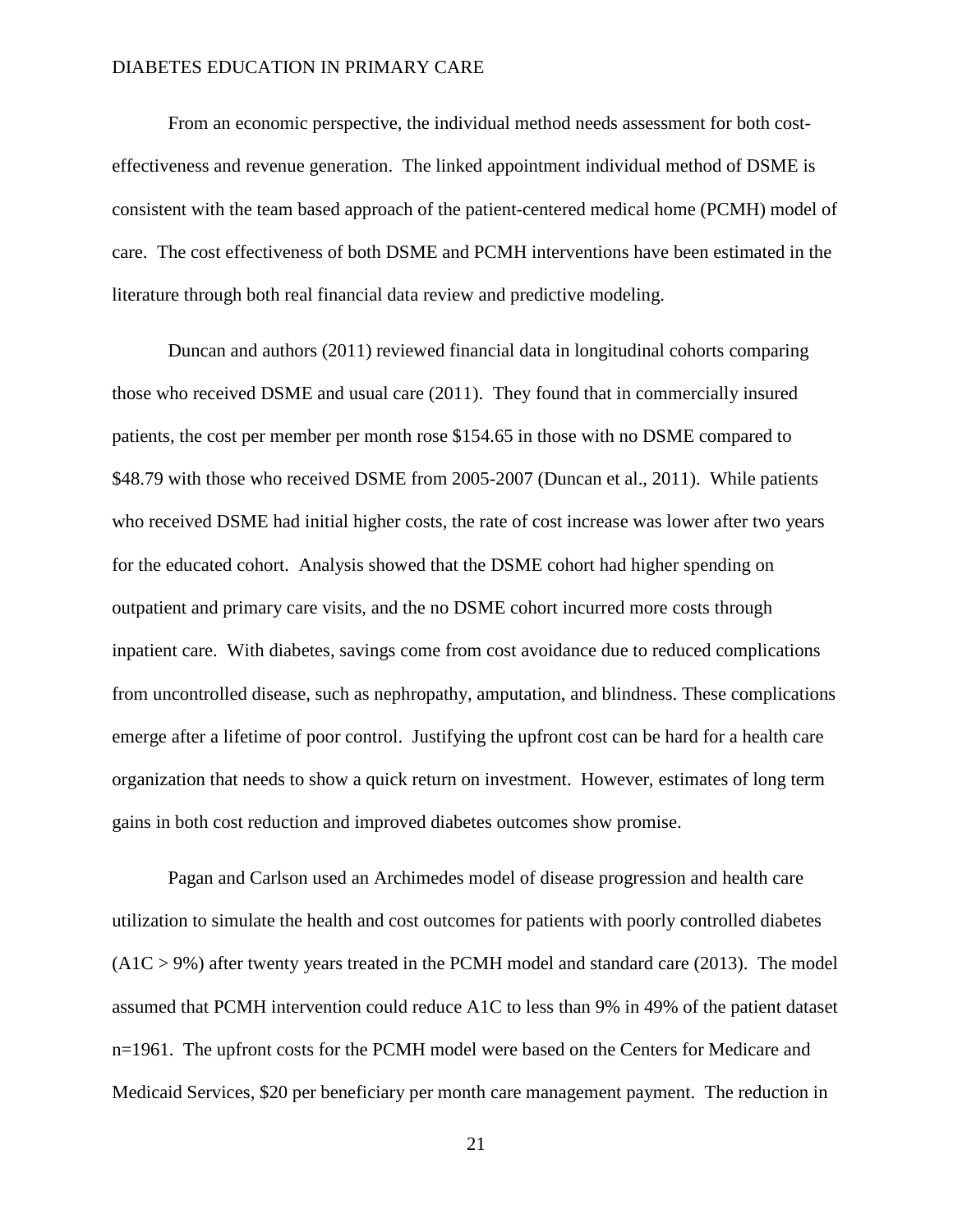From an economic perspective, the individual method needs assessment for both costeffectiveness and revenue generation. The linked appointment individual method of DSME is consistent with the team based approach of the patient-centered medical home (PCMH) model of care. The cost effectiveness of both DSME and PCMH interventions have been estimated in the literature through both real financial data review and predictive modeling.

Duncan and authors (2011) reviewed financial data in longitudinal cohorts comparing those who received DSME and usual care (2011). They found that in commercially insured patients, the cost per member per month rose \$154.65 in those with no DSME compared to \$48.79 with those who received DSME from 2005-2007 (Duncan et al., 2011). While patients who received DSME had initial higher costs, the rate of cost increase was lower after two years for the educated cohort. Analysis showed that the DSME cohort had higher spending on outpatient and primary care visits, and the no DSME cohort incurred more costs through inpatient care. With diabetes, savings come from cost avoidance due to reduced complications from uncontrolled disease, such as nephropathy, amputation, and blindness. These complications emerge after a lifetime of poor control. Justifying the upfront cost can be hard for a health care organization that needs to show a quick return on investment. However, estimates of long term gains in both cost reduction and improved diabetes outcomes show promise.

Pagan and Carlson used an Archimedes model of disease progression and health care utilization to simulate the health and cost outcomes for patients with poorly controlled diabetes  $(A1C > 9%)$  after twenty years treated in the PCMH model and standard care (2013). The model assumed that PCMH intervention could reduce A1C to less than 9% in 49% of the patient dataset n=1961. The upfront costs for the PCMH model were based on the Centers for Medicare and Medicaid Services, \$20 per beneficiary per month care management payment. The reduction in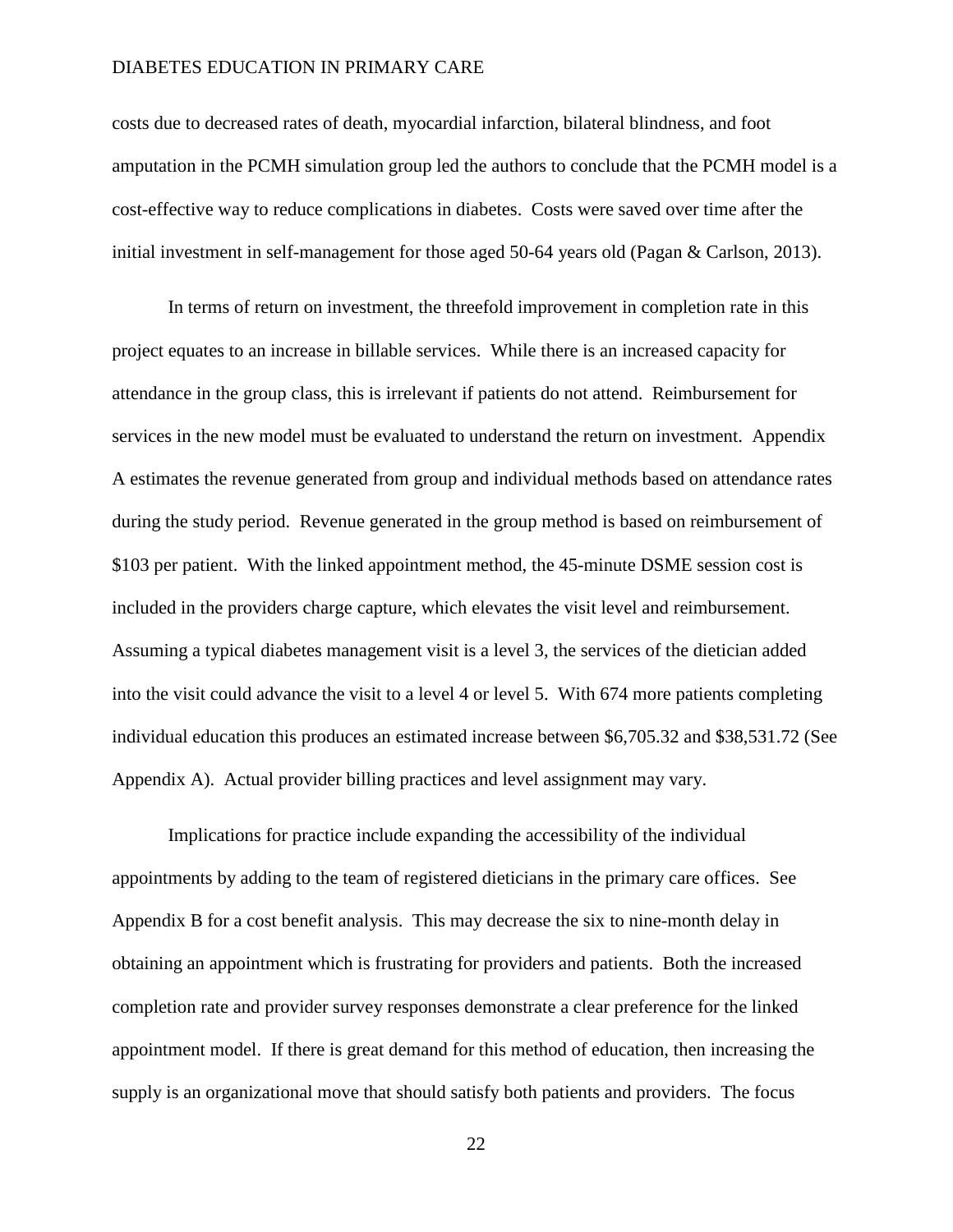costs due to decreased rates of death, myocardial infarction, bilateral blindness, and foot amputation in the PCMH simulation group led the authors to conclude that the PCMH model is a cost-effective way to reduce complications in diabetes. Costs were saved over time after the initial investment in self-management for those aged 50-64 years old (Pagan & Carlson, 2013).

In terms of return on investment, the threefold improvement in completion rate in this project equates to an increase in billable services. While there is an increased capacity for attendance in the group class, this is irrelevant if patients do not attend. Reimbursement for services in the new model must be evaluated to understand the return on investment. Appendix A estimates the revenue generated from group and individual methods based on attendance rates during the study period. Revenue generated in the group method is based on reimbursement of \$103 per patient. With the linked appointment method, the 45-minute DSME session cost is included in the providers charge capture, which elevates the visit level and reimbursement. Assuming a typical diabetes management visit is a level 3, the services of the dietician added into the visit could advance the visit to a level 4 or level 5. With 674 more patients completing individual education this produces an estimated increase between \$6,705.32 and \$38,531.72 (See Appendix A). Actual provider billing practices and level assignment may vary.

Implications for practice include expanding the accessibility of the individual appointments by adding to the team of registered dieticians in the primary care offices. See Appendix B for a cost benefit analysis. This may decrease the six to nine-month delay in obtaining an appointment which is frustrating for providers and patients. Both the increased completion rate and provider survey responses demonstrate a clear preference for the linked appointment model. If there is great demand for this method of education, then increasing the supply is an organizational move that should satisfy both patients and providers. The focus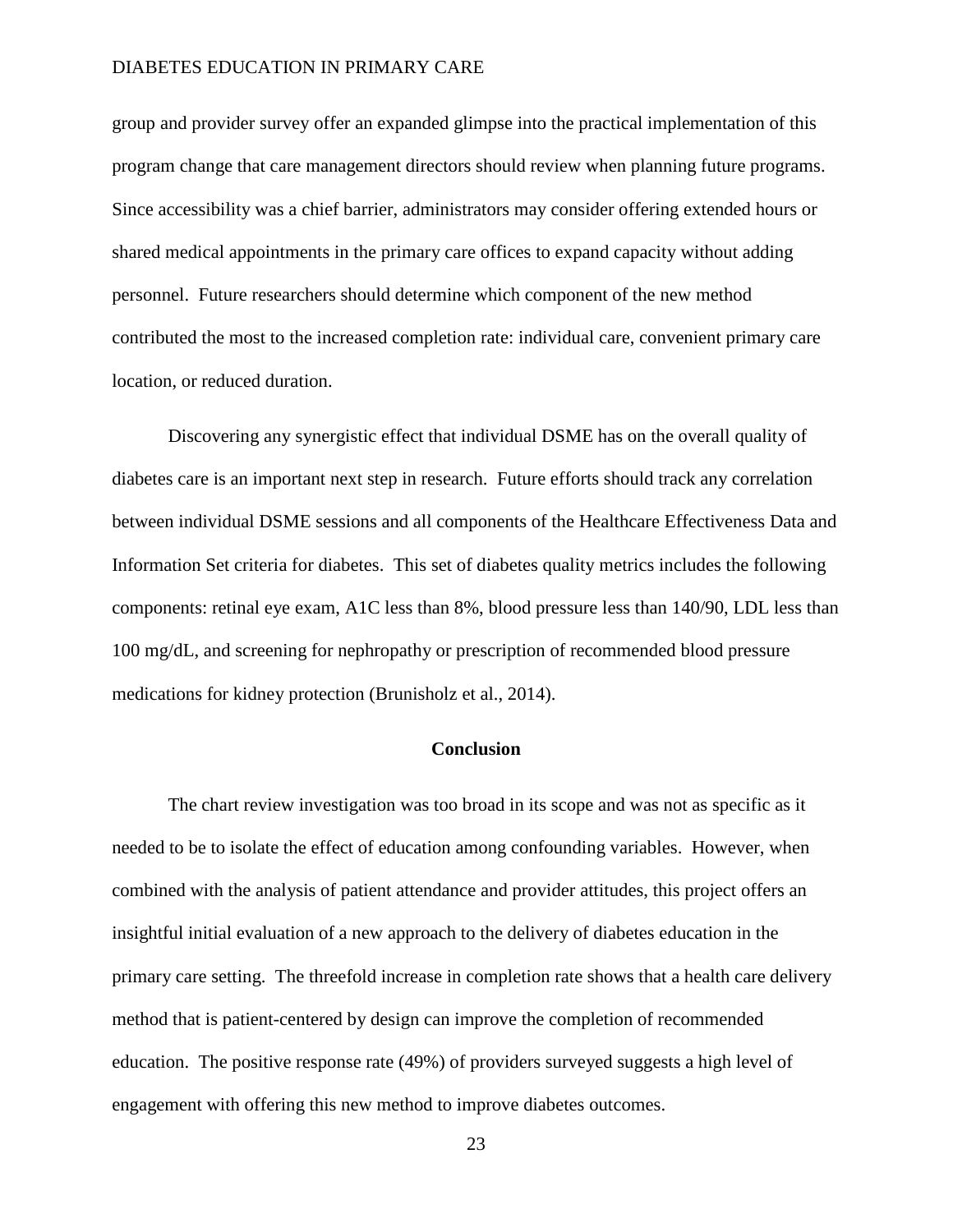group and provider survey offer an expanded glimpse into the practical implementation of this program change that care management directors should review when planning future programs. Since accessibility was a chief barrier, administrators may consider offering extended hours or shared medical appointments in the primary care offices to expand capacity without adding personnel. Future researchers should determine which component of the new method contributed the most to the increased completion rate: individual care, convenient primary care location, or reduced duration.

Discovering any synergistic effect that individual DSME has on the overall quality of diabetes care is an important next step in research. Future efforts should track any correlation between individual DSME sessions and all components of the Healthcare Effectiveness Data and Information Set criteria for diabetes. This set of diabetes quality metrics includes the following components: retinal eye exam, A1C less than 8%, blood pressure less than 140/90, LDL less than 100 mg/dL, and screening for nephropathy or prescription of recommended blood pressure medications for kidney protection (Brunisholz et al., 2014).

#### **Conclusion**

The chart review investigation was too broad in its scope and was not as specific as it needed to be to isolate the effect of education among confounding variables. However, when combined with the analysis of patient attendance and provider attitudes, this project offers an insightful initial evaluation of a new approach to the delivery of diabetes education in the primary care setting. The threefold increase in completion rate shows that a health care delivery method that is patient-centered by design can improve the completion of recommended education. The positive response rate (49%) of providers surveyed suggests a high level of engagement with offering this new method to improve diabetes outcomes.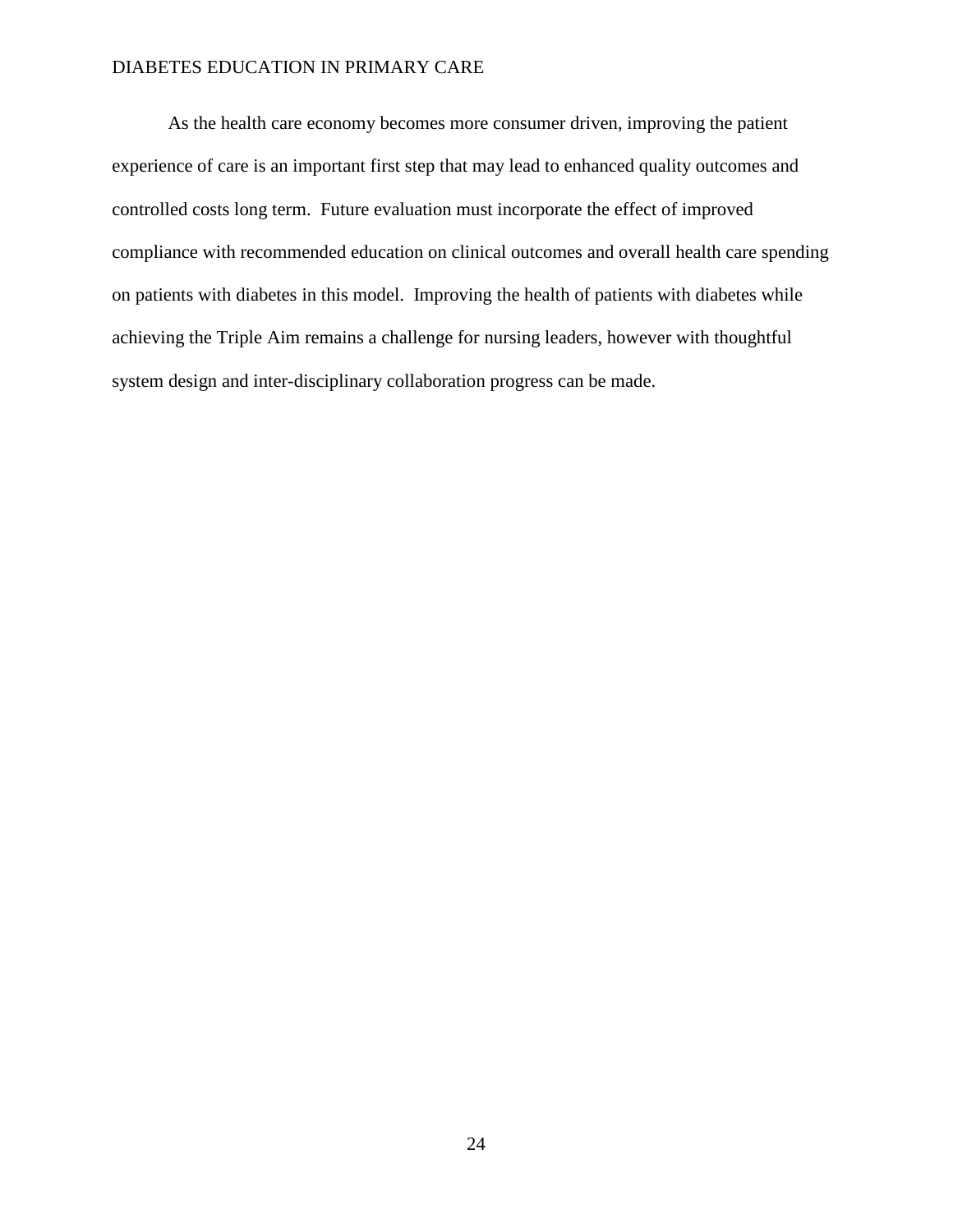As the health care economy becomes more consumer driven, improving the patient experience of care is an important first step that may lead to enhanced quality outcomes and controlled costs long term. Future evaluation must incorporate the effect of improved compliance with recommended education on clinical outcomes and overall health care spending on patients with diabetes in this model. Improving the health of patients with diabetes while achieving the Triple Aim remains a challenge for nursing leaders, however with thoughtful system design and inter-disciplinary collaboration progress can be made.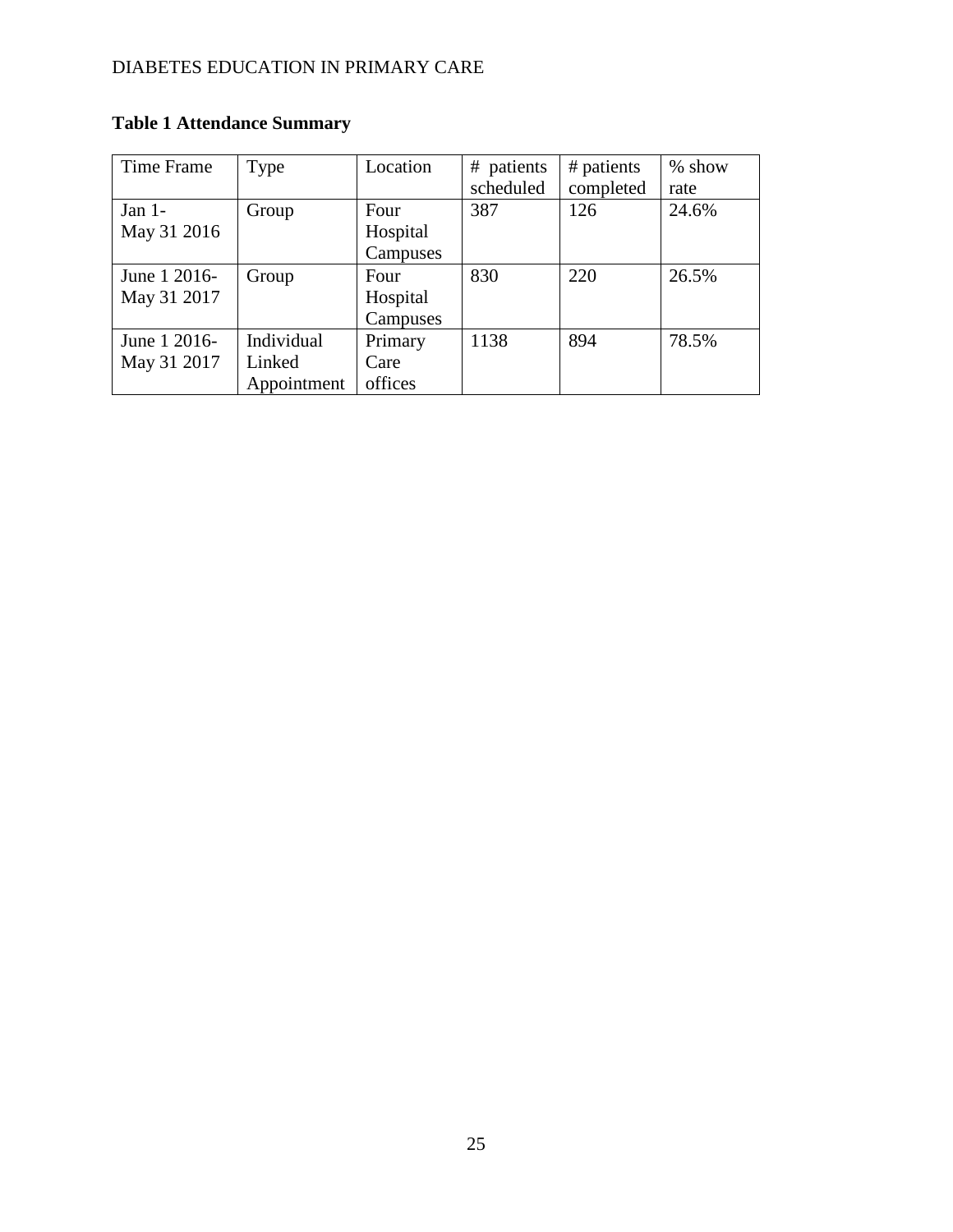| <b>Table 1 Attendance Summary</b> |
|-----------------------------------|
|                                   |

| Time Frame   | Type        | Location | # patients | # patients | % show |
|--------------|-------------|----------|------------|------------|--------|
|              |             |          | scheduled  | completed  | rate   |
| Jan $1-$     | Group       | Four     | 387        | 126        | 24.6%  |
| May 31 2016  |             | Hospital |            |            |        |
|              |             | Campuses |            |            |        |
| June 1 2016- | Group       | Four     | 830        | 220        | 26.5%  |
| May 31 2017  |             | Hospital |            |            |        |
|              |             | Campuses |            |            |        |
| June 1 2016- | Individual  | Primary  | 1138       | 894        | 78.5%  |
| May 31 2017  | Linked      | Care     |            |            |        |
|              | Appointment | offices  |            |            |        |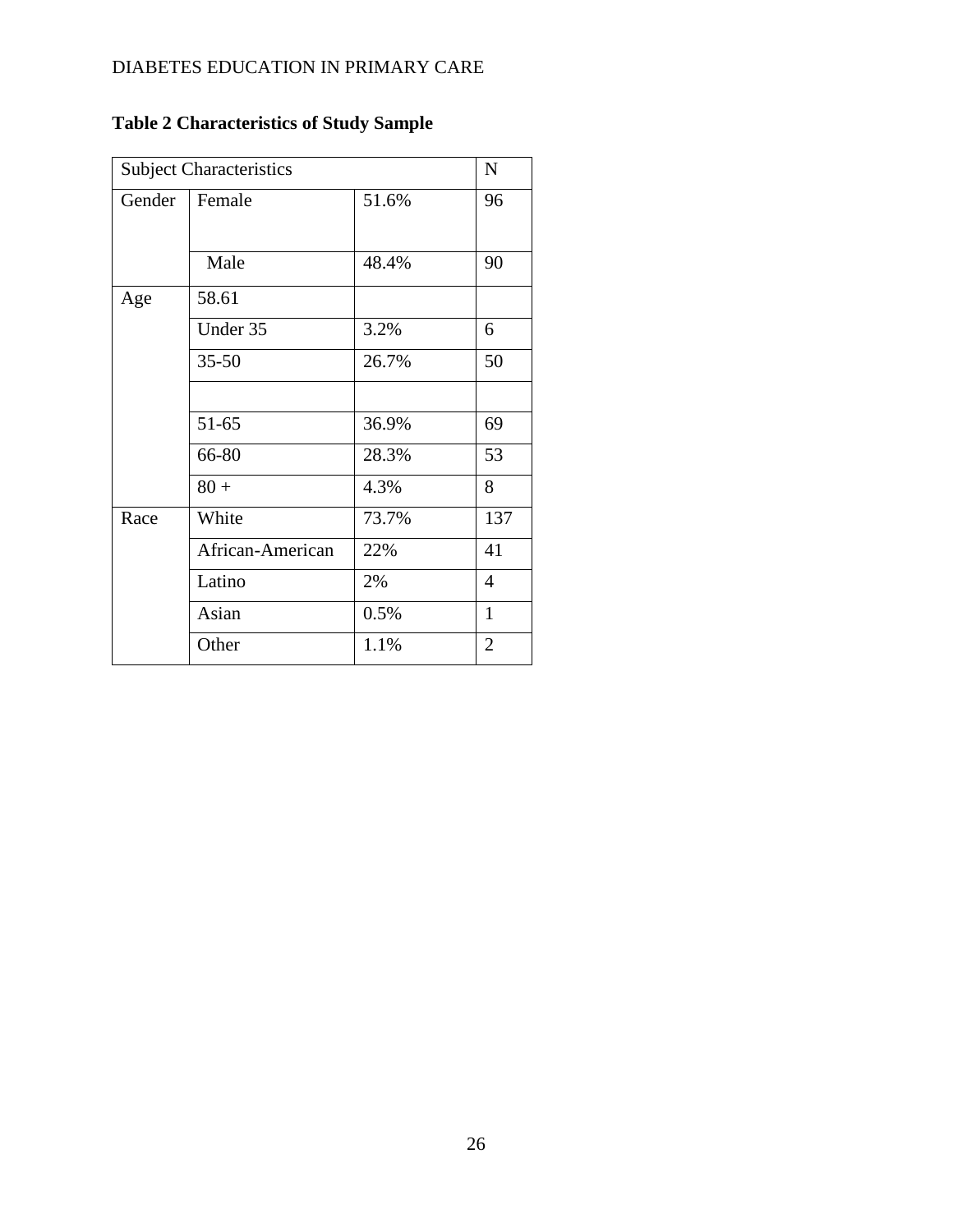| <b>Subject Characteristics</b> |                  |       |                |  |  |
|--------------------------------|------------------|-------|----------------|--|--|
| Gender                         | Female           | 51.6% | 96             |  |  |
|                                | Male             | 48.4% | 90             |  |  |
| Age                            | 58.61            |       |                |  |  |
|                                | Under 35         | 3.2%  | 6              |  |  |
|                                | $35 - 50$        | 26.7% | 50             |  |  |
|                                |                  |       |                |  |  |
|                                | 51-65            | 36.9% | 69             |  |  |
|                                | 66-80            | 28.3% | 53             |  |  |
|                                | $80 +$           | 4.3%  | 8              |  |  |
| Race                           | White            | 73.7% | 137            |  |  |
|                                | African-American | 22%   | 41             |  |  |
|                                | Latino           | 2%    | $\overline{4}$ |  |  |
|                                | Asian            | 0.5%  | $\mathbf{1}$   |  |  |
|                                | Other            | 1.1%  | $\overline{2}$ |  |  |

# **Table 2 Characteristics of Study Sample**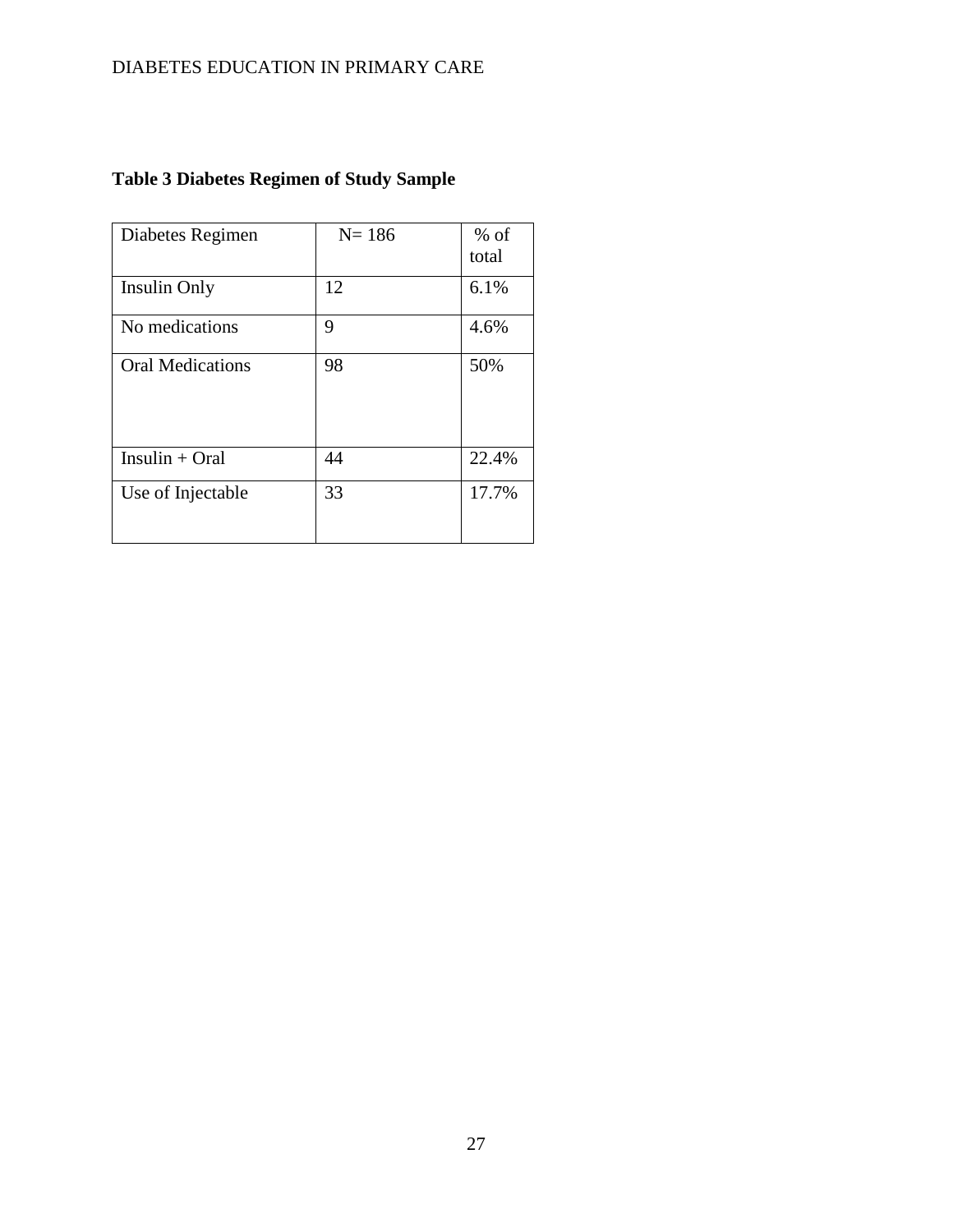| Diabetes Regimen        | $N = 186$ | $%$ of<br>total |
|-------------------------|-----------|-----------------|
| Insulin Only            | 12        | 6.1%            |
| No medications          | 9         | 4.6%            |
| <b>Oral Medications</b> | 98        | 50%             |
| $Insulin + Oral$        | 44        | 22.4%           |
| Use of Injectable       | 33        | 17.7%           |

# **Table 3 Diabetes Regimen of Study Sample**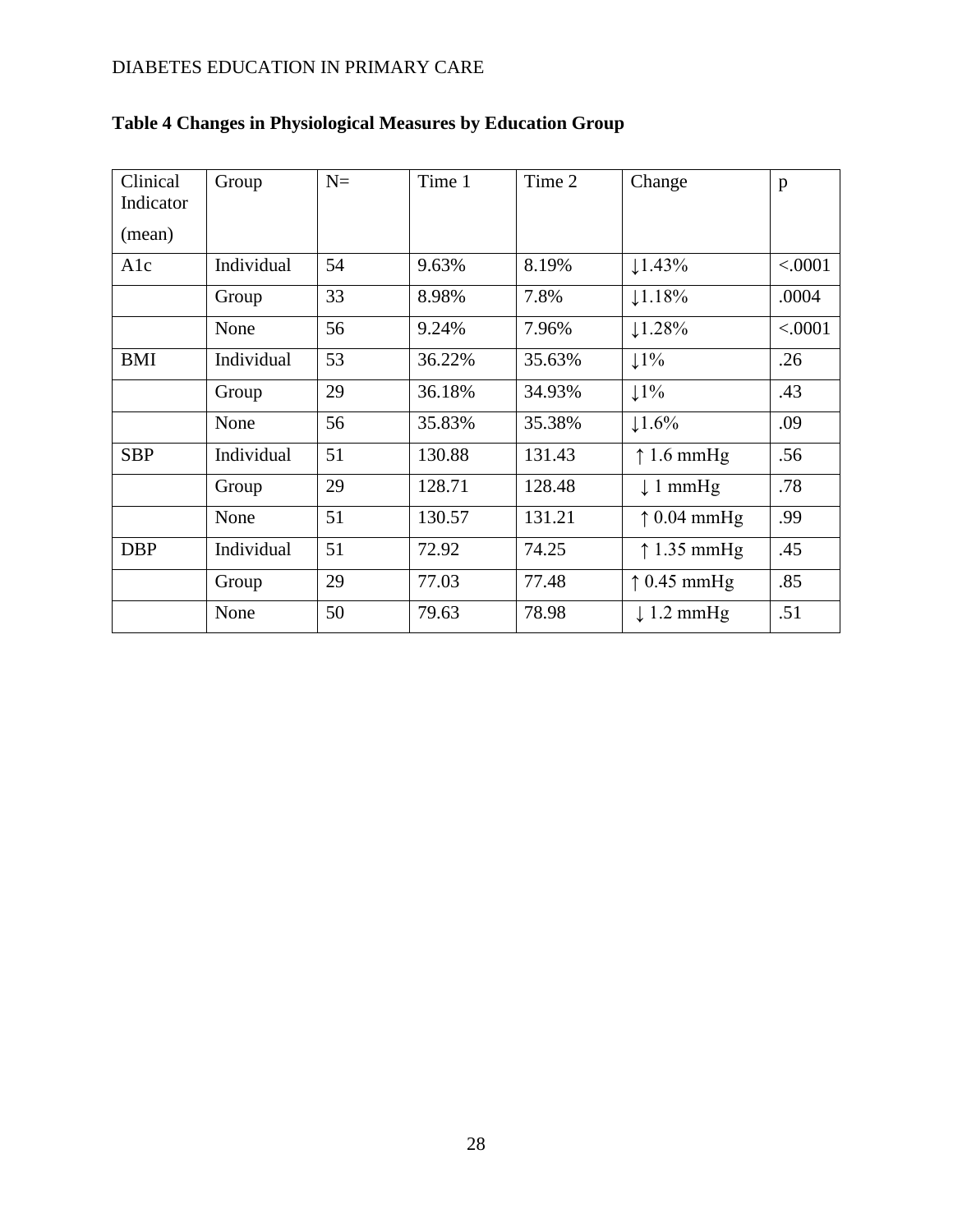| Clinical<br>Indicator<br>(mean) | Group      | $N =$ | Time 1 | Time 2 | Change                | p       |
|---------------------------------|------------|-------|--------|--------|-----------------------|---------|
| A1c                             | Individual | 54    | 9.63%  | 8.19%  | 1.43%                 | < .0001 |
|                                 | Group      | 33    | 8.98%  | 7.8%   | 1.18%                 | .0004   |
|                                 | None       | 56    | 9.24%  | 7.96%  | $\downarrow$ 1.28%    | < .0001 |
| <b>BMI</b>                      | Individual | 53    | 36.22% | 35.63% | $1\%$                 | .26     |
|                                 | Group      | 29    | 36.18% | 34.93% | $1\frac{1}{6}$        | .43     |
|                                 | None       | 56    | 35.83% | 35.38% | $\downarrow$ 1.6%     | .09     |
| <b>SBP</b>                      | Individual | 51    | 130.88 | 131.43 | $\uparrow$ 1.6 mmHg   | .56     |
|                                 | Group      | 29    | 128.71 | 128.48 | $\downarrow$ 1 mmHg   | .78     |
|                                 | None       | 51    | 130.57 | 131.21 | $\uparrow$ 0.04 mmHg  | .99     |
| <b>DBP</b>                      | Individual | 51    | 72.92  | 74.25  | $\uparrow$ 1.35 mmHg  | .45     |
|                                 | Group      | 29    | 77.03  | 77.48  | $\uparrow$ 0.45 mmHg  | .85     |
|                                 | None       | 50    | 79.63  | 78.98  | $\downarrow$ 1.2 mmHg | .51     |

# **Table 4 Changes in Physiological Measures by Education Group**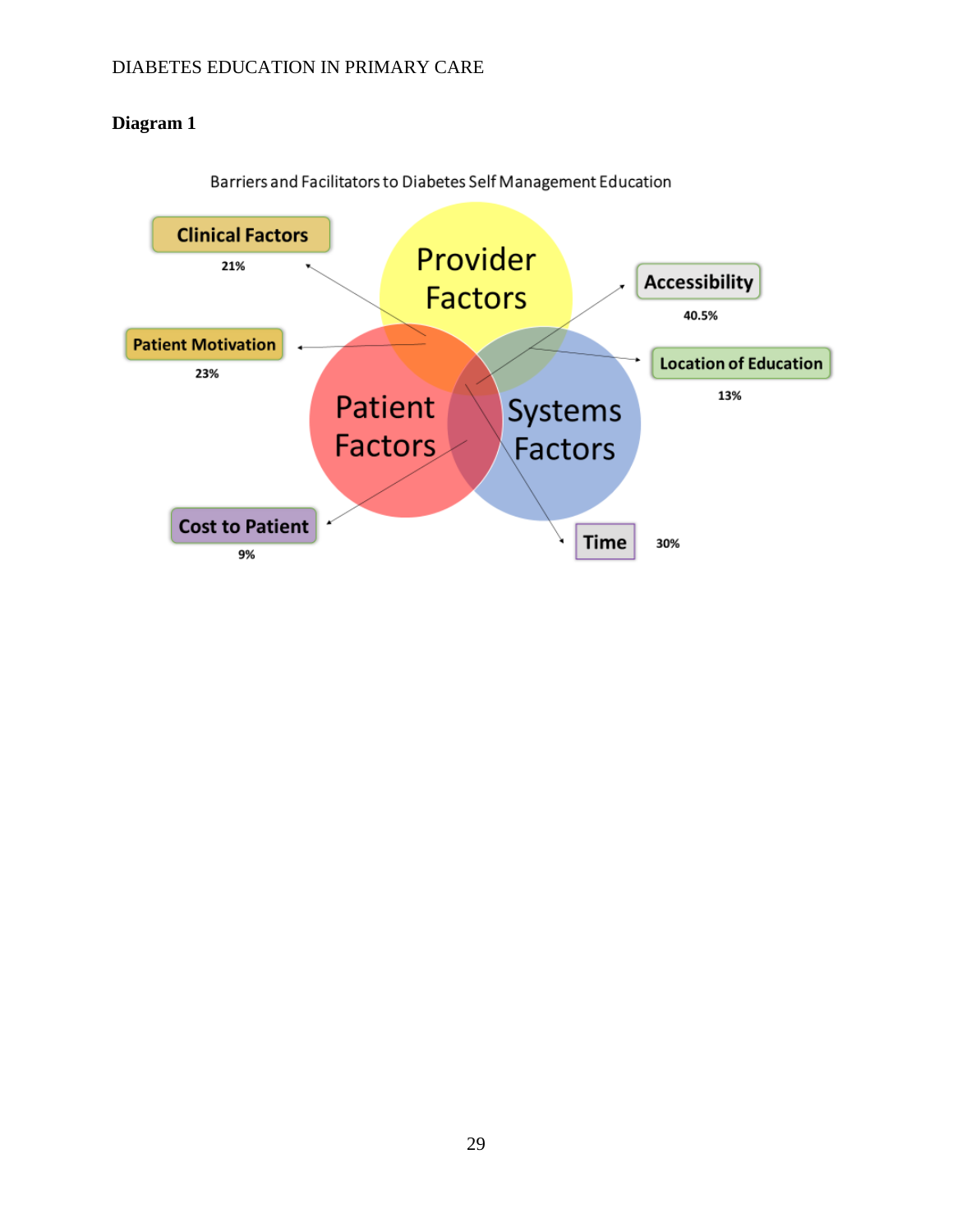### **Diagram 1**



Barriers and Facilitators to Diabetes Self Management Education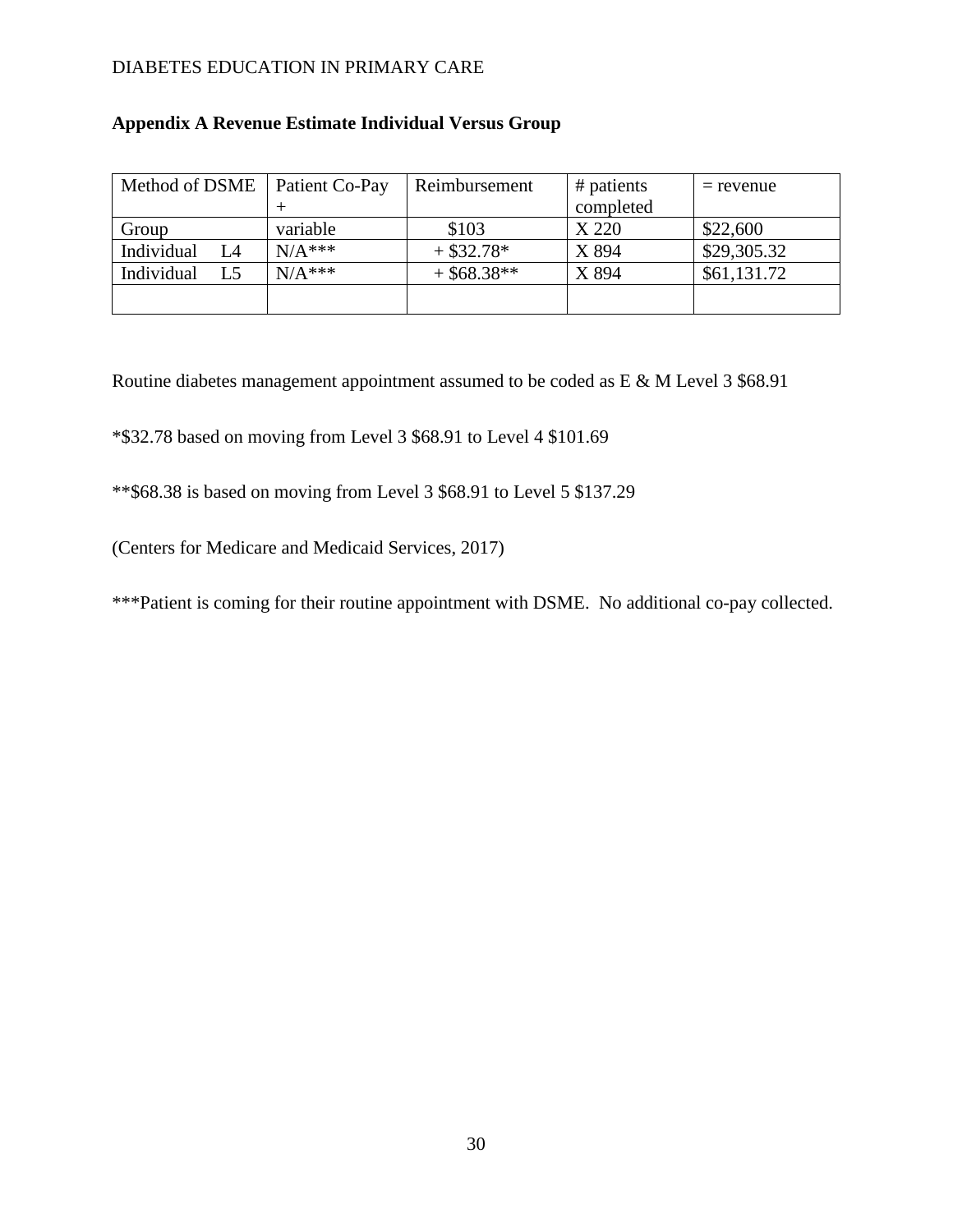| Method of DSME   | Patient Co-Pay | Reimbursement | # patients | $=$ revenue |
|------------------|----------------|---------------|------------|-------------|
|                  |                |               | completed  |             |
| Group            | variable       | \$103         | X 220      | \$22,600    |
| Individual<br>L4 | $N/A$ ***      | $+$ \$32.78*  | X 894      | \$29,305.32 |
| Individual<br>L5 | $N/A$ ***      | $+$ \$68.38** | X 894      | \$61,131.72 |
|                  |                |               |            |             |
|                  |                |               |            |             |

### **Appendix A Revenue Estimate Individual Versus Group**

Routine diabetes management appointment assumed to be coded as E & M Level 3 \$68.91

\*\$32.78 based on moving from Level 3 \$68.91 to Level 4 \$101.69

\*\*\$68.38 is based on moving from Level 3 \$68.91 to Level 5 \$137.29

(Centers for Medicare and Medicaid Services, 2017)

\*\*\*Patient is coming for their routine appointment with DSME. No additional co-pay collected.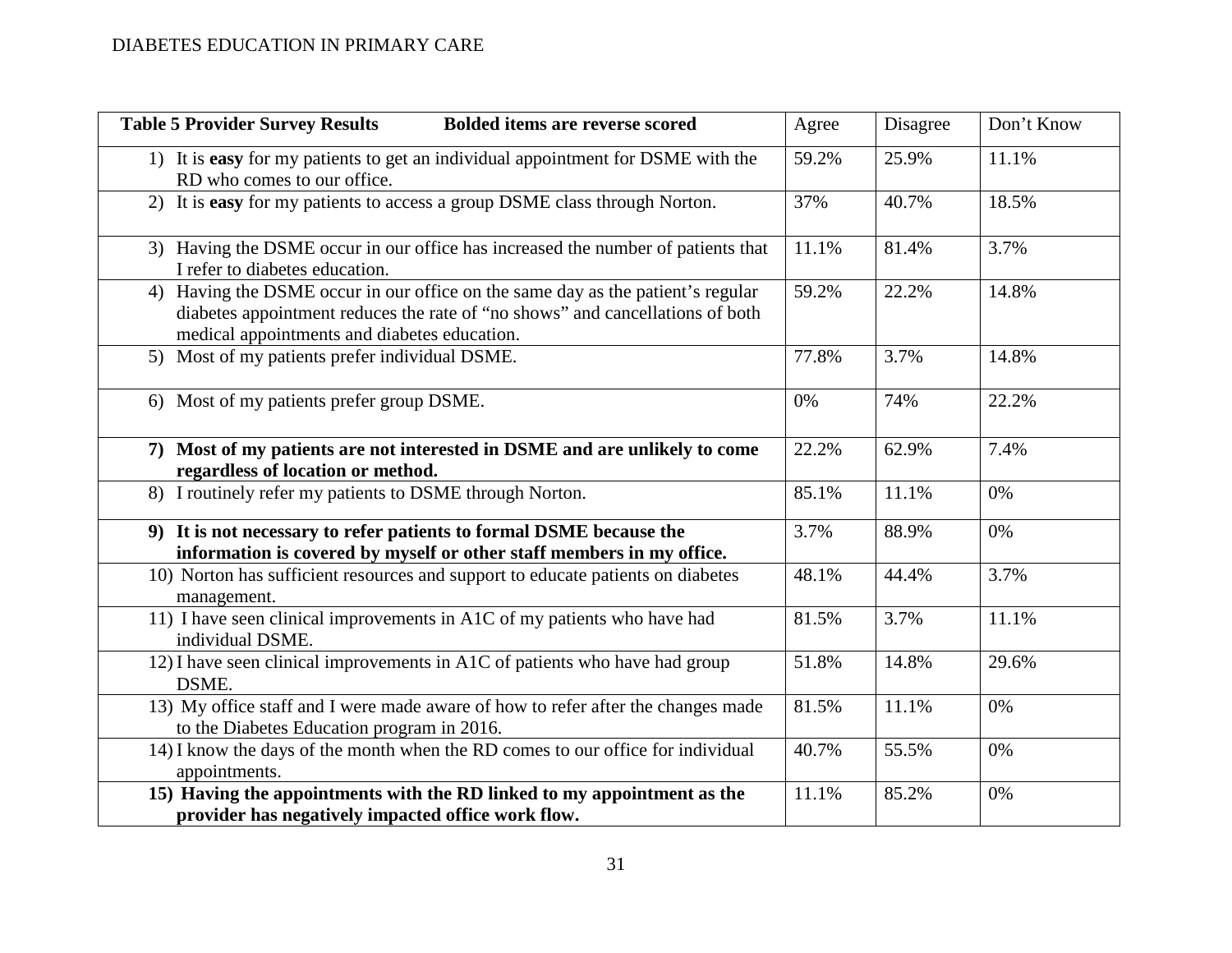| <b>Table 5 Provider Survey Results</b><br><b>Bolded items are reverse scored</b>                                                                                                                                 | Agree | Disagree | Don't Know |
|------------------------------------------------------------------------------------------------------------------------------------------------------------------------------------------------------------------|-------|----------|------------|
| 1) It is easy for my patients to get an individual appointment for DSME with the<br>RD who comes to our office.                                                                                                  | 59.2% | 25.9%    | 11.1%      |
| 2) It is easy for my patients to access a group DSME class through Norton.                                                                                                                                       | 37%   | 40.7%    | 18.5%      |
| 3) Having the DSME occur in our office has increased the number of patients that<br>I refer to diabetes education.                                                                                               | 11.1% | 81.4%    | 3.7%       |
| 4) Having the DSME occur in our office on the same day as the patient's regular<br>diabetes appointment reduces the rate of "no shows" and cancellations of both<br>medical appointments and diabetes education. | 59.2% | 22.2%    | 14.8%      |
| 5) Most of my patients prefer individual DSME.                                                                                                                                                                   | 77.8% | 3.7%     | 14.8%      |
| 6) Most of my patients prefer group DSME.                                                                                                                                                                        | 0%    | 74%      | 22.2%      |
| 7) Most of my patients are not interested in DSME and are unlikely to come<br>regardless of location or method.                                                                                                  | 22.2% | 62.9%    | 7.4%       |
| 8) I routinely refer my patients to DSME through Norton.                                                                                                                                                         | 85.1% | 11.1%    | 0%         |
| 9) It is not necessary to refer patients to formal DSME because the<br>information is covered by myself or other staff members in my office.                                                                     | 3.7%  | 88.9%    | 0%         |
| 10) Norton has sufficient resources and support to educate patients on diabetes<br>management.                                                                                                                   | 48.1% | 44.4%    | 3.7%       |
| 11) I have seen clinical improvements in A1C of my patients who have had<br>individual DSME.                                                                                                                     | 81.5% | 3.7%     | 11.1%      |
| 12) I have seen clinical improvements in A1C of patients who have had group<br>DSME.                                                                                                                             | 51.8% | 14.8%    | 29.6%      |
| 13) My office staff and I were made aware of how to refer after the changes made<br>to the Diabetes Education program in 2016.                                                                                   | 81.5% | 11.1%    | 0%         |
| 14) I know the days of the month when the RD comes to our office for individual<br>appointments.                                                                                                                 | 40.7% | 55.5%    | 0%         |
| 15) Having the appointments with the RD linked to my appointment as the<br>provider has negatively impacted office work flow.                                                                                    | 11.1% | 85.2%    | 0%         |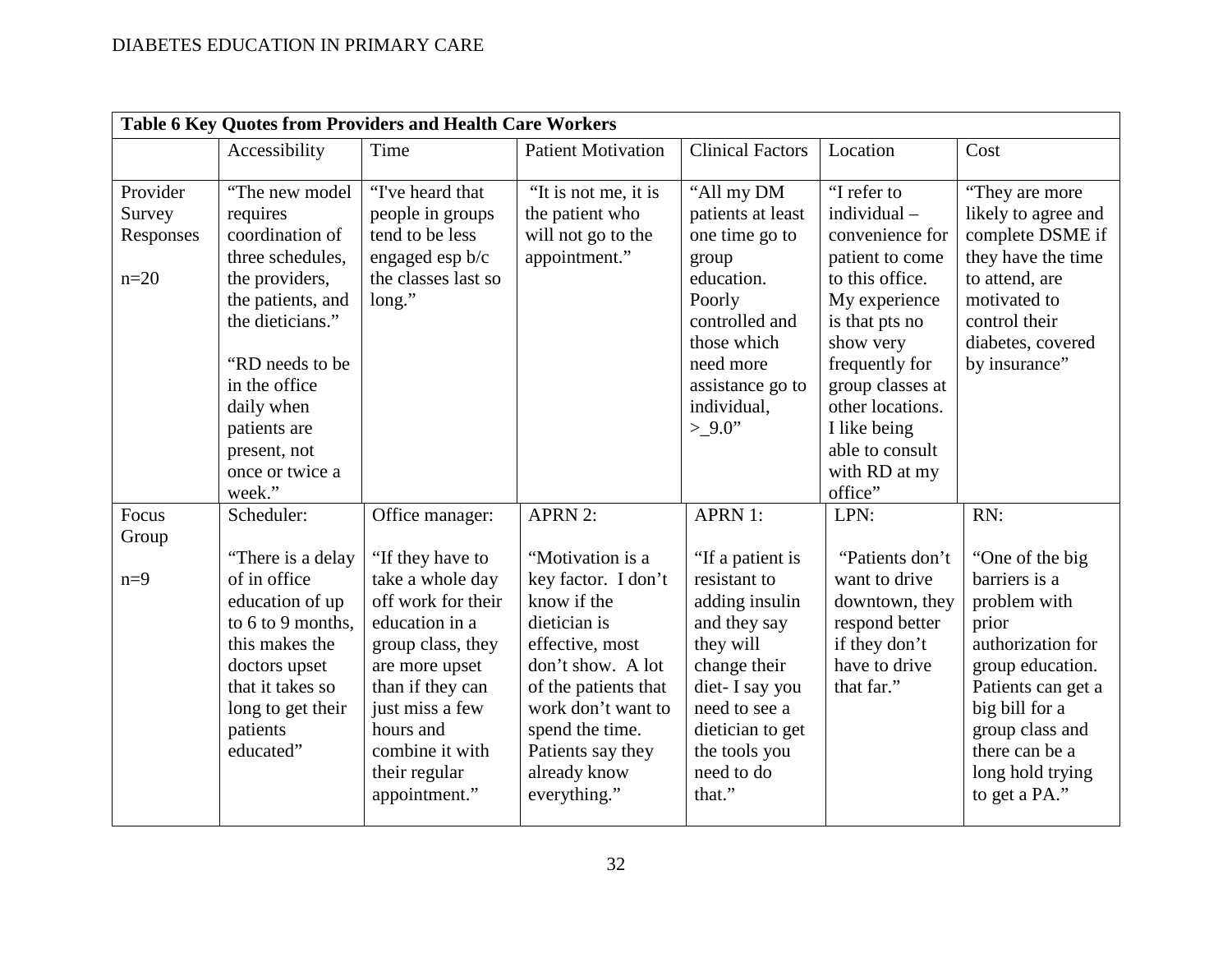| Table 6 Key Quotes from Providers and Health Care Workers |                                                                                                                                                                                                                                    |                                                                                                                                                                                                                                                 |                                                                                                                                                                                                                                                        |                                                                                                                                                                                                                    |                                                                                                                                                                                                                                                    |                                                                                                                                                                                                                             |
|-----------------------------------------------------------|------------------------------------------------------------------------------------------------------------------------------------------------------------------------------------------------------------------------------------|-------------------------------------------------------------------------------------------------------------------------------------------------------------------------------------------------------------------------------------------------|--------------------------------------------------------------------------------------------------------------------------------------------------------------------------------------------------------------------------------------------------------|--------------------------------------------------------------------------------------------------------------------------------------------------------------------------------------------------------------------|----------------------------------------------------------------------------------------------------------------------------------------------------------------------------------------------------------------------------------------------------|-----------------------------------------------------------------------------------------------------------------------------------------------------------------------------------------------------------------------------|
|                                                           | Accessibility                                                                                                                                                                                                                      | Time                                                                                                                                                                                                                                            | <b>Patient Motivation</b>                                                                                                                                                                                                                              | <b>Clinical Factors</b>                                                                                                                                                                                            | Location                                                                                                                                                                                                                                           | Cost                                                                                                                                                                                                                        |
| Provider<br>Survey<br>Responses<br>$n=20$                 | "The new model"<br>requires<br>coordination of<br>three schedules,<br>the providers,<br>the patients, and<br>the dieticians."<br>"RD needs to be<br>in the office<br>daily when<br>patients are<br>present, not<br>once or twice a | "I've heard that<br>people in groups<br>tend to be less<br>engaged esp b/c<br>the classes last so<br>long."                                                                                                                                     | "It is not me, it is<br>the patient who<br>will not go to the<br>appointment."                                                                                                                                                                         | "All my DM<br>patients at least<br>one time go to<br>group<br>education.<br>Poorly<br>controlled and<br>those which<br>need more<br>assistance go to<br>individual,<br>$>9.0$ "                                    | "I refer to<br>individual -<br>convenience for<br>patient to come<br>to this office.<br>My experience<br>is that pts no<br>show very<br>frequently for<br>group classes at<br>other locations.<br>I like being<br>able to consult<br>with RD at my | "They are more<br>likely to agree and<br>complete DSME if<br>they have the time<br>to attend, are<br>motivated to<br>control their<br>diabetes, covered<br>by insurance"                                                    |
| Focus<br>Group<br>$n=9$                                   | week."<br>Scheduler:<br>"There is a delay<br>of in office<br>education of up<br>to 6 to 9 months,<br>this makes the<br>doctors upset<br>that it takes so<br>long to get their<br>patients<br>educated"                             | Office manager:<br>"If they have to<br>take a whole day<br>off work for their<br>education in a<br>group class, they<br>are more upset<br>than if they can<br>just miss a few<br>hours and<br>combine it with<br>their regular<br>appointment." | <b>APRN 2:</b><br>"Motivation is a<br>key factor. I don't<br>know if the<br>dietician is<br>effective, most<br>don't show. A lot<br>of the patients that<br>work don't want to<br>spend the time.<br>Patients say they<br>already know<br>everything." | <b>APRN 1:</b><br>"If a patient is<br>resistant to<br>adding insulin<br>and they say<br>they will<br>change their<br>diet- I say you<br>need to see a<br>dietician to get<br>the tools you<br>need to do<br>that." | office"<br>LPN:<br>"Patients don't<br>want to drive<br>downtown, they<br>respond better<br>if they don't<br>have to drive<br>that far."                                                                                                            | RN:<br>"One of the big<br>barriers is a<br>problem with<br>prior<br>authorization for<br>group education.<br>Patients can get a<br>big bill for a<br>group class and<br>there can be a<br>long hold trying<br>to get a PA." |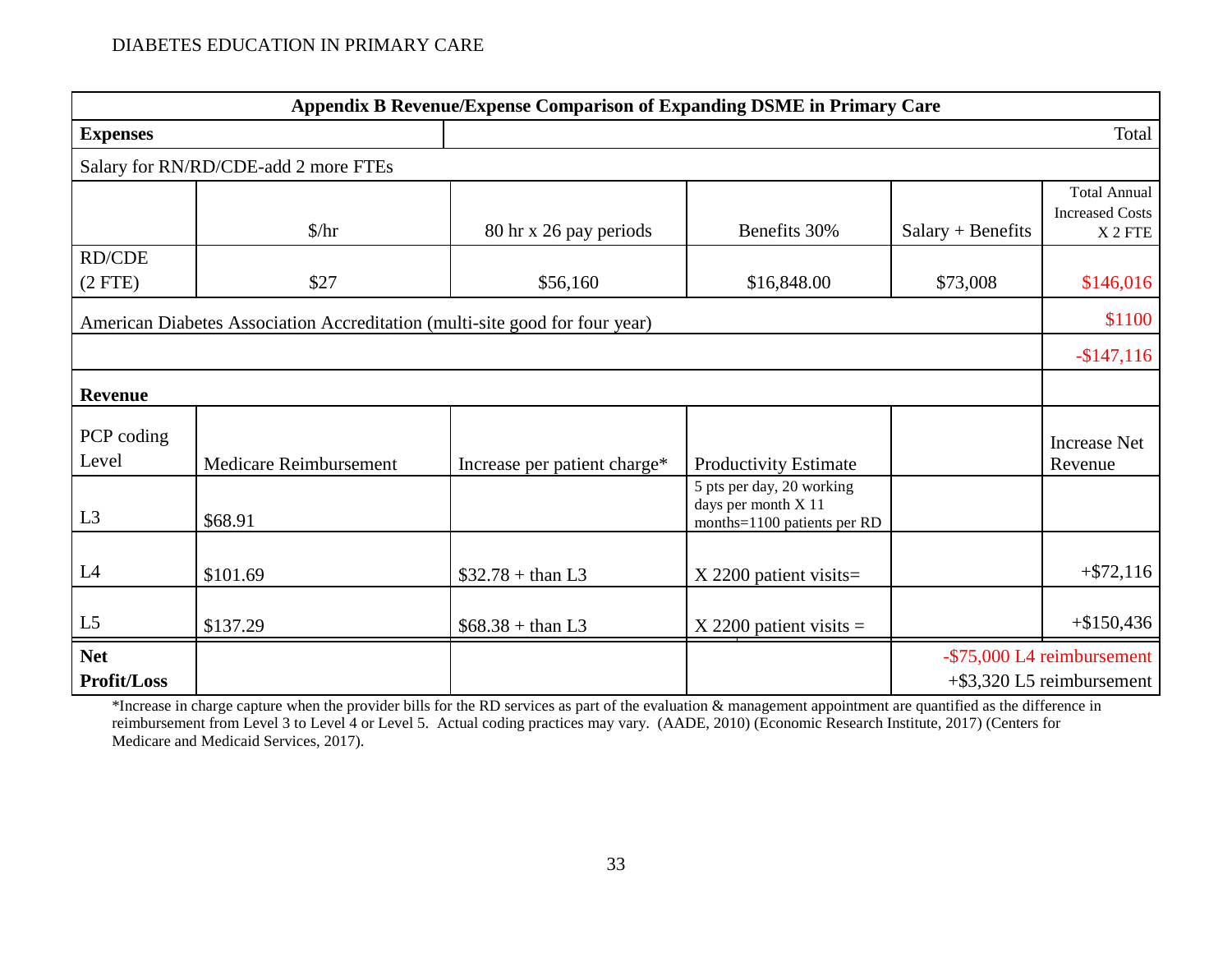|                                                                             | Appendix B Revenue/Expense Comparison of Expanding DSME in Primary Care |                              |                                                                                 |                     |                                                                     |  |  |  |
|-----------------------------------------------------------------------------|-------------------------------------------------------------------------|------------------------------|---------------------------------------------------------------------------------|---------------------|---------------------------------------------------------------------|--|--|--|
| <b>Expenses</b>                                                             |                                                                         |                              |                                                                                 |                     | Total                                                               |  |  |  |
|                                                                             | Salary for RN/RD/CDE-add 2 more FTEs                                    |                              |                                                                                 |                     |                                                                     |  |  |  |
|                                                                             | $\frac{\pi}{3}$                                                         | 80 hr x 26 pay periods       | Benefits 30%                                                                    | $Salary + Benefits$ | <b>Total Annual</b><br><b>Increased Costs</b><br>X <sub>2</sub> FTE |  |  |  |
| <b>RD/CDE</b><br>(2 FTE)                                                    | \$27                                                                    | \$56,160                     | \$16,848.00                                                                     | \$73,008            | \$146,016                                                           |  |  |  |
| American Diabetes Association Accreditation (multi-site good for four year) |                                                                         |                              |                                                                                 |                     |                                                                     |  |  |  |
|                                                                             |                                                                         |                              |                                                                                 |                     | $-$ \$147,116                                                       |  |  |  |
| <b>Revenue</b>                                                              |                                                                         |                              |                                                                                 |                     |                                                                     |  |  |  |
| PCP coding<br>Level                                                         | Medicare Reimbursement                                                  | Increase per patient charge* | <b>Productivity Estimate</b>                                                    |                     | <b>Increase Net</b><br>Revenue                                      |  |  |  |
| L <sub>3</sub>                                                              | \$68.91                                                                 |                              | 5 pts per day, 20 working<br>days per month X 11<br>months=1100 patients per RD |                     |                                                                     |  |  |  |
| L4                                                                          | \$101.69                                                                | $$32.78 + than L3$           | $X$ 2200 patient visits=                                                        |                     | $+ $72,116$                                                         |  |  |  |
| L5                                                                          | \$137.29                                                                | $$68.38 + than L3$           | $X$ 2200 patient visits =                                                       |                     | $+\$150,436$                                                        |  |  |  |
| <b>Net</b><br><b>Profit/Loss</b>                                            |                                                                         |                              |                                                                                 |                     | -\$75,000 L4 reimbursement<br>$+$ \$3,320 L5 reimbursement          |  |  |  |

\*Increase in charge capture when the provider bills for the RD services as part of the evaluation & management appointment are quantified as the difference in reimbursement from Level 3 to Level 4 or Level 5. Actual coding practices may vary. (AADE, 2010) (Economic Research Institute, 2017) (Centers for Medicare and Medicaid Services, 2017).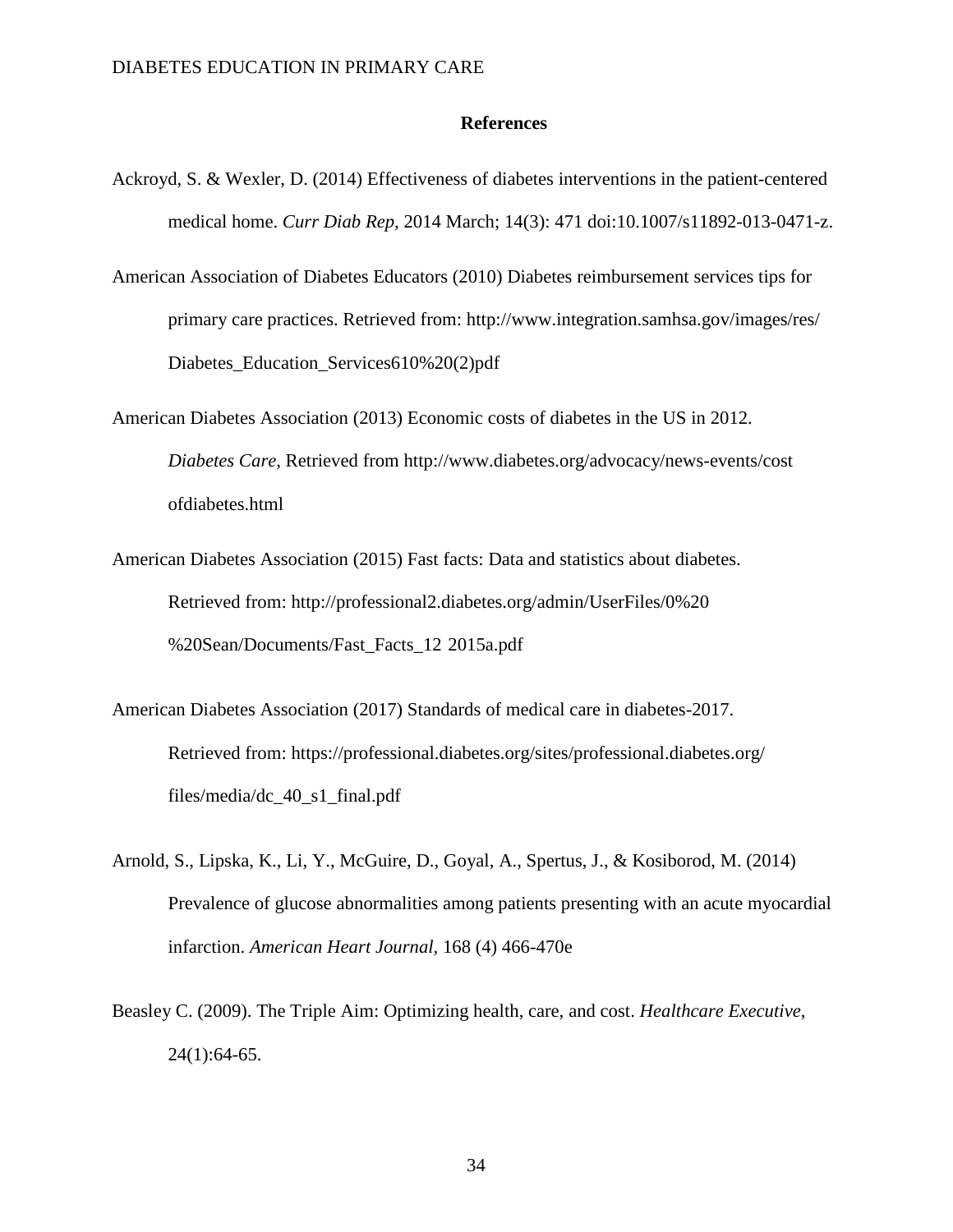#### **References**

- Ackroyd, S. & Wexler, D. (2014) Effectiveness of diabetes interventions in the patient-centered medical home. *Curr Diab Rep,* 2014 March; 14(3): 471 doi:10.1007/s11892-013-0471-z.
- American Association of Diabetes Educators (2010) Diabetes reimbursement services tips for primary care practices. Retrieved from: http://www.integration.samhsa.gov/images/res/ Diabetes Education Services610%20(2)pdf
- American Diabetes Association (2013) Economic costs of diabetes in the US in 2012. *Diabetes Care*, Retrieved from [http://www.diabetes.org/advocacy/news-events/cost](http://www.diabetes.org/advocacy/news-events/cost%09of) [ofd](http://www.diabetes.org/advocacy/news-events/cost%09of)iabetes.html
- American Diabetes Association (2015) Fast facts: Data and statistics about diabetes. Retrieved from: [http://professional2.diabetes.org/admin/UserFiles/0%20](http://professional2.diabetes.org/admin/UserFiles/0%20%09%20Sean/Documents/Fast_Facts_12%092015a.pdf) [%20Sean/Documents/Fast\\_Facts\\_12](http://professional2.diabetes.org/admin/UserFiles/0%20%09%20Sean/Documents/Fast_Facts_12%092015a.pdf) 2015a.pdf
- American Diabetes Association (2017) Standards of medical care in diabetes-2017. Retrieved from: https://professional.diabetes.org/sites/professional.diabetes.org/ files/media/dc\_40\_s1\_final.pdf
- Arnold, S., Lipska, K., Li, Y., McGuire, D., Goyal, A., Spertus, J., & Kosiborod, M. (2014) Prevalence of glucose abnormalities among patients presenting with an acute myocardial infarction. *American Heart Journal,* 168 (4) 466-470e
- Beasley C. (2009). The Triple Aim: Optimizing health, care, and cost. *Healthcare Executive*,  $24(1):64-65.$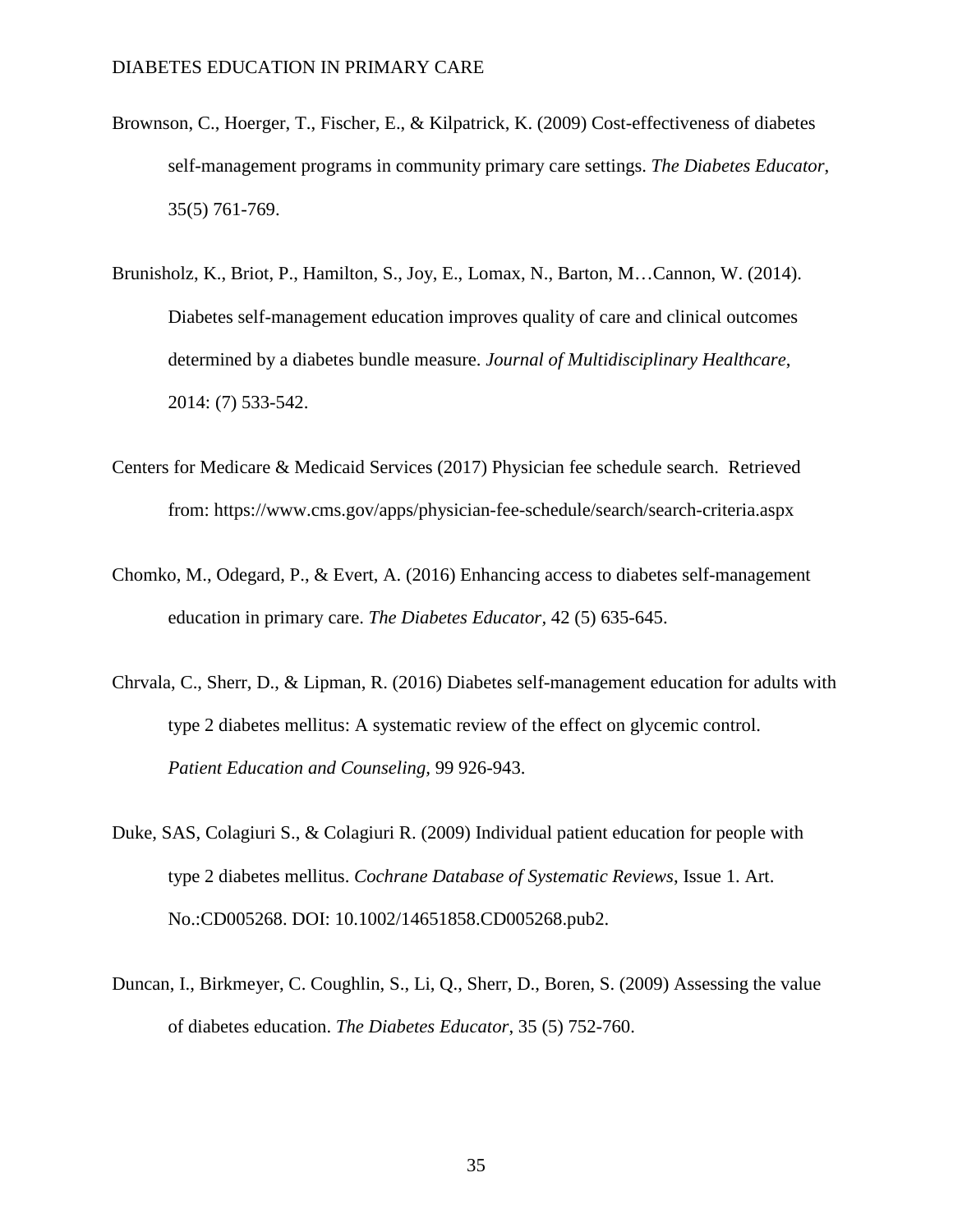- Brownson, C., Hoerger, T., Fischer, E., & Kilpatrick, K. (2009) Cost-effectiveness of diabetes self-management programs in community primary care settings. *The Diabetes Educator*, 35(5) 761-769.
- Brunisholz, K., Briot, P., Hamilton, S., Joy, E., Lomax, N., Barton, M…Cannon, W. (2014). Diabetes self-management education improves quality of care and clinical outcomes determined by a diabetes bundle measure. *Journal of Multidisciplinary Healthcare*, 2014: (7) 533-542.
- Centers for Medicare & Medicaid Services (2017) Physician fee schedule search. Retrieved from: https://www.cms.gov/apps/physician-fee-schedule/search/search-criteria.aspx
- Chomko, M., Odegard, P., & Evert, A. (2016) Enhancing access to diabetes self-management education in primary care. *The Diabetes Educator,* 42 (5) 635-645.
- Chrvala, C., Sherr, D., & Lipman, R. (2016) Diabetes self-management education for adults with type 2 diabetes mellitus: A systematic review of the effect on glycemic control. *Patient Education and Counseling,* 99 926-943.
- Duke, SAS, Colagiuri S., & Colagiuri R. (2009) Individual patient education for people with type 2 diabetes mellitus. *Cochrane Database of Systematic Reviews*, Issue 1. Art. No.:CD005268. DOI: 10.1002/14651858.CD005268.pub2.
- Duncan, I., Birkmeyer, C. Coughlin, S., Li, Q., Sherr, D., Boren, S. (2009) Assessing the value of diabetes education. *The Diabetes Educator*, 35 (5) 752-760.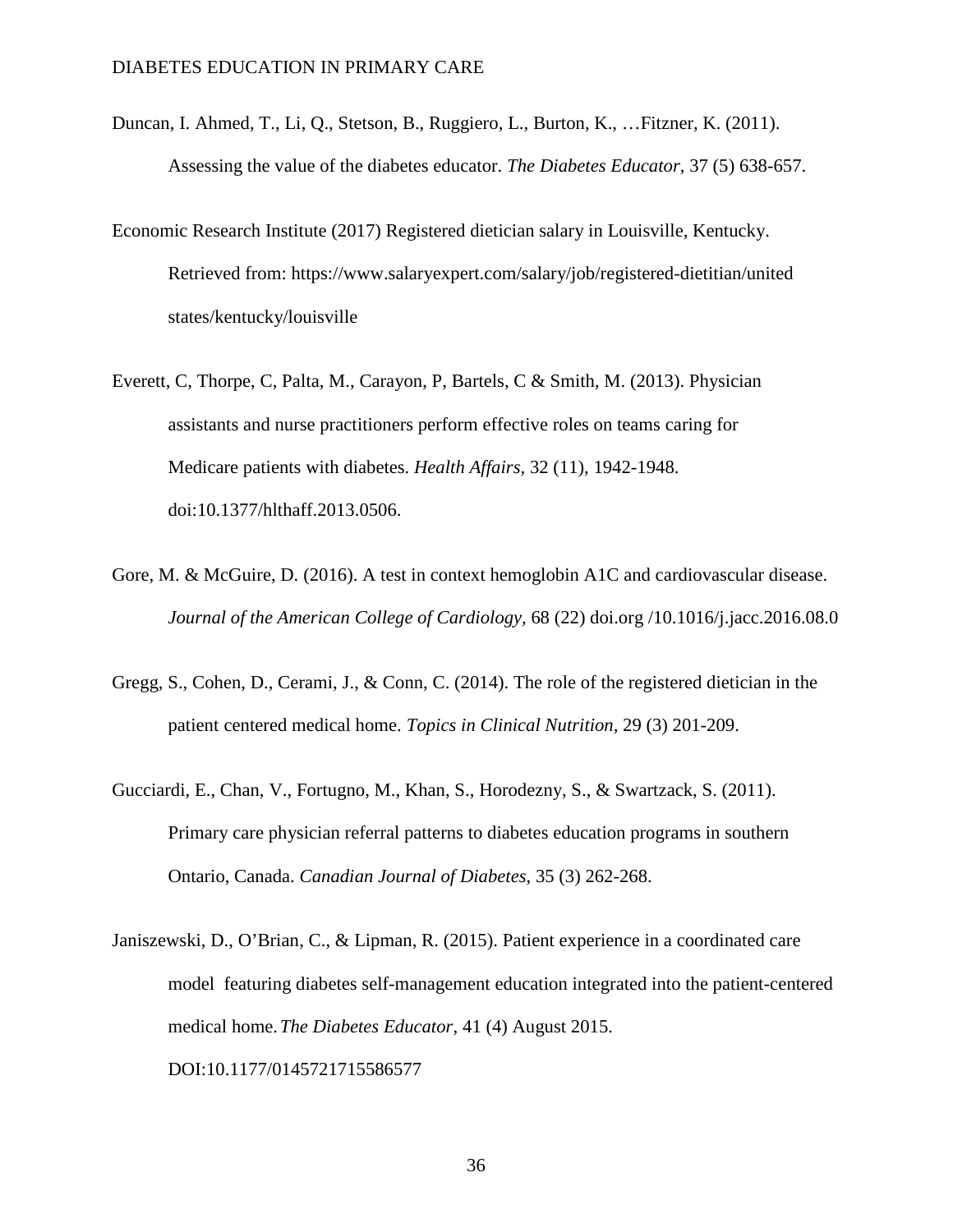- Duncan, I. Ahmed, T., Li, Q., Stetson, B., Ruggiero, L., Burton, K., …Fitzner, K. (2011). Assessing the value of the diabetes educator. *The Diabetes Educator,* 37 (5) 638-657.
- Economic Research Institute (2017) Registered dietician salary in Louisville, Kentucky. Retrieved from: <https://www.salaryexpert.com/salary/job/registered-dietitian/united> states/kentucky/louisville
- Everett, C, Thorpe, C, Palta, M., Carayon, P, Bartels, C & Smith, M. (2013). Physician assistants and nurse practitioners perform effective roles on teams caring for Medicare patients with diabetes. *Health Affairs,* 32 (11), 1942-1948. doi:10.1377/hlthaff.2013.0506.
- Gore, M. & McGuire, D. (2016). A test in context hemoglobin A1C and cardiovascular disease. *Journal of the American College of Cardiology,* 68 (22) doi.org /10.1016/j.jacc.2016.08.0
- Gregg, S., Cohen, D., Cerami, J., & Conn, C. (2014). The role of the registered dietician in the patient centered medical home. *Topics in Clinical Nutrition,* 29 (3) 201-209.
- Gucciardi, E., Chan, V., Fortugno, M., Khan, S., Horodezny, S., & Swartzack, S. (2011). Primary care physician referral patterns to diabetes education programs in southern Ontario, Canada. *Canadian Journal of Diabetes*, 35 (3) 262-268.
- Janiszewski, D., O'Brian, C., & Lipman, R. (2015). Patient experience in a coordinated care model featuring diabetes self-management education integrated into the patient-centered medical home.*The Diabetes Educator,* 41 (4) August 2015. DOI:10.1177/0145721715586577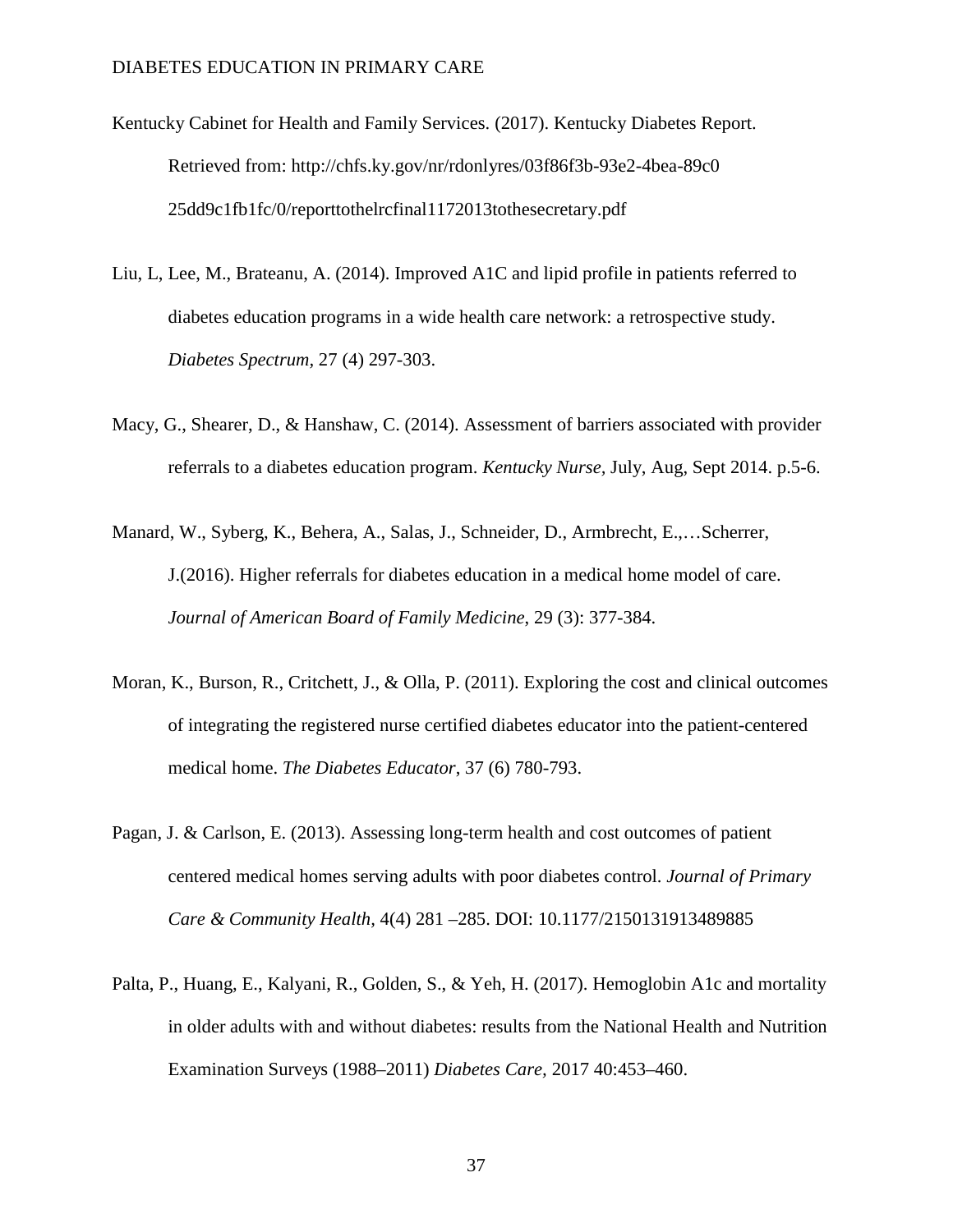- Kentucky Cabinet for Health and Family Services. (2017). Kentucky Diabetes Report. Retrieved from: [http://chfs.ky.gov/nr/rdonlyres/03f86f3b-93e2-4bea-89c0](http://chfs.ky.gov/nr/rdonlyres/03f86f3b-93e2-4bea-89c0%0925dd9c1fb1fc/0/reporttothelrcfinal1172013tothesecretary.pdf) [25dd9c1fb1fc/0/reporttothelrcfinal1172013tothesecretary.pdf](http://chfs.ky.gov/nr/rdonlyres/03f86f3b-93e2-4bea-89c0%0925dd9c1fb1fc/0/reporttothelrcfinal1172013tothesecretary.pdf)
- Liu, L, Lee, M., Brateanu, A. (2014). Improved A1C and lipid profile in patients referred to diabetes education programs in a wide health care network: a retrospective study. *Diabetes Spectrum,* 27 (4) 297-303.
- Macy, G., Shearer, D., & Hanshaw, C. (2014). Assessment of barriers associated with provider referrals to a diabetes education program. *Kentucky Nurse,* July, Aug, Sept 2014. p.5-6.
- Manard, W., Syberg, K., Behera, A., Salas, J., Schneider, D., Armbrecht, E.,…Scherrer, J.(2016). Higher referrals for diabetes education in a medical home model of care. *Journal of American Board of Family Medicine*, 29 (3): 377-384.
- Moran, K., Burson, R., Critchett, J., & Olla, P. (2011). Exploring the cost and clinical outcomes of integrating the registered nurse certified diabetes educator into the patient-centered medical home. *The Diabetes Educator*, 37 (6) 780-793.
- Pagan, J. & Carlson, E. (2013). Assessing long-term health and cost outcomes of patient centered medical homes serving adults with poor diabetes control. *Journal of Primary Care & Community Health,* 4(4) 281 –285. DOI: 10.1177/2150131913489885
- Palta, P., Huang, E., Kalyani, R., Golden, S., & Yeh, H. (2017). Hemoglobin A1c and mortality in older adults with and without diabetes: results from the National Health and Nutrition Examination Surveys (1988–2011) *Diabetes Care,* 2017 40:453–460.